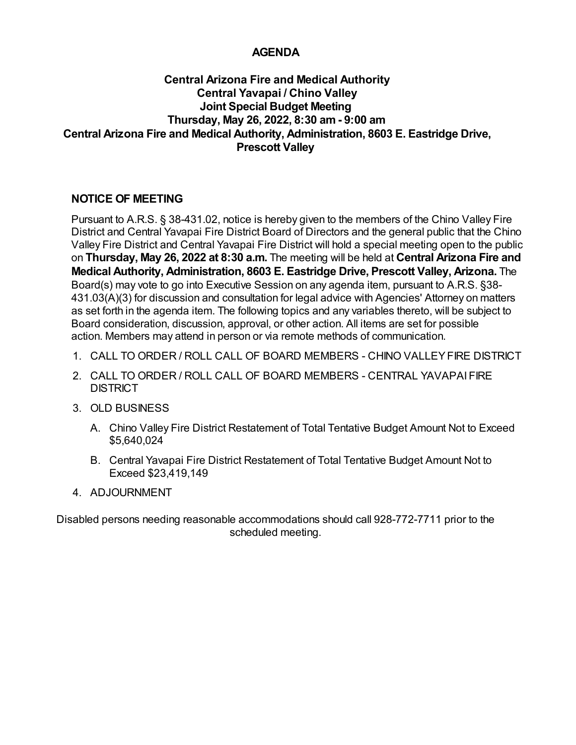# **AGENDA**

# **Central Arizona Fire and Medical Authority Central Yavapai / Chino Valley Joint Special Budget Meeting Thursday, May 26, 2022, 8:30 am - 9:00 am Central Arizona Fire and Medical Authority, Administration, 8603 E. Eastridge Drive, Prescott Valley**

# **NOTICE OF MEETING**

Pursuant to A.R.S. § 38-431.02, notice is hereby given to the members of the Chino Valley Fire District and Central Yavapai Fire District Board of Directors and the general public that the Chino Valley Fire District and Central Yavapai Fire District will hold a special meeting open to the public on **Thursday, May 26, 2022 at 8:30 a.m.** The meeting will be held at **Central Arizona Fire and Medical Authority, Administration, 8603 E. Eastridge Drive, Prescott Valley, Arizona.** The Board(s) may vote to go into Executive Session on any agenda item, pursuant to A.R.S. §38- 431.03(A)(3) for discussion and consultation for legal advice with Agencies' Attorney on matters as set forth in the agenda item. The following topics and any variables thereto, will be subject to Board consideration, discussion, approval, or other action. All items are set for possible action. Members may attend in person or via remote methods of communication.

- 1. CALL TO ORDER / ROLL CALL OF BOARD MEMBERS CHINO VALLEY FIRE DISTRICT
- CALL TO ORDER / ROLL CALL OF BOARD MEMBERS CENTRAL YAVAPAI FIRE 2. **DISTRICT**
- 3. OLD BUSINESS
	- A. Chino Valley Fire District Restatement of Total Tentative Budget Amount Not to Exceed \$5,640,024
	- Central Yavapai Fire District Restatement of Total Tentative Budget Amount Not to B. Exceed \$23,419,149
- 4. ADJOURNMENT

Disabled persons needing reasonable accommodations should call 928-772-7711 prior to the scheduled meeting.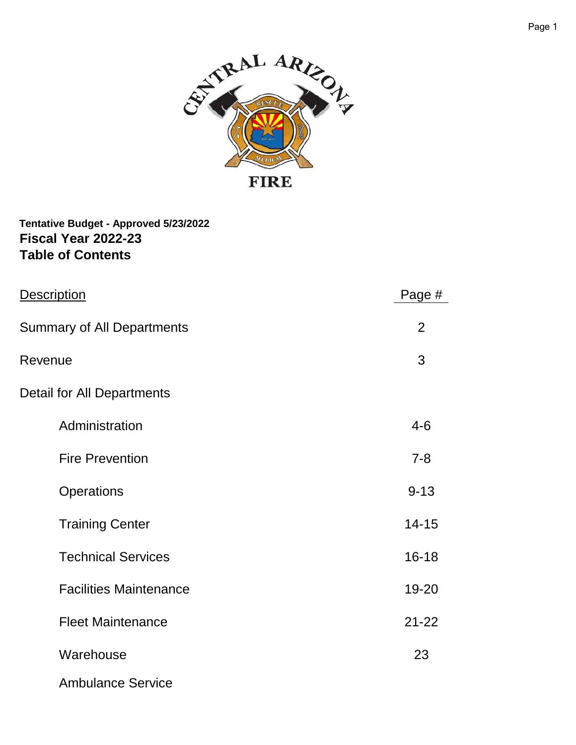

**Fiscal Year 2022-23 Tentative Budget - Approved 5/23/2022 Table of Contents**

| Description                       | Page #         |
|-----------------------------------|----------------|
| <b>Summary of All Departments</b> | $\overline{2}$ |
| Revenue                           | 3              |
| Detail for All Departments        |                |
| Administration                    | $4 - 6$        |
| <b>Fire Prevention</b>            | $7 - 8$        |
| Operations                        | $9 - 13$       |
| <b>Training Center</b>            | $14 - 15$      |
| <b>Technical Services</b>         | $16 - 18$      |
| <b>Facilities Maintenance</b>     | 19-20          |
| <b>Fleet Maintenance</b>          | $21 - 22$      |
| Warehouse                         | 23             |
| <b>Ambulance Service</b>          |                |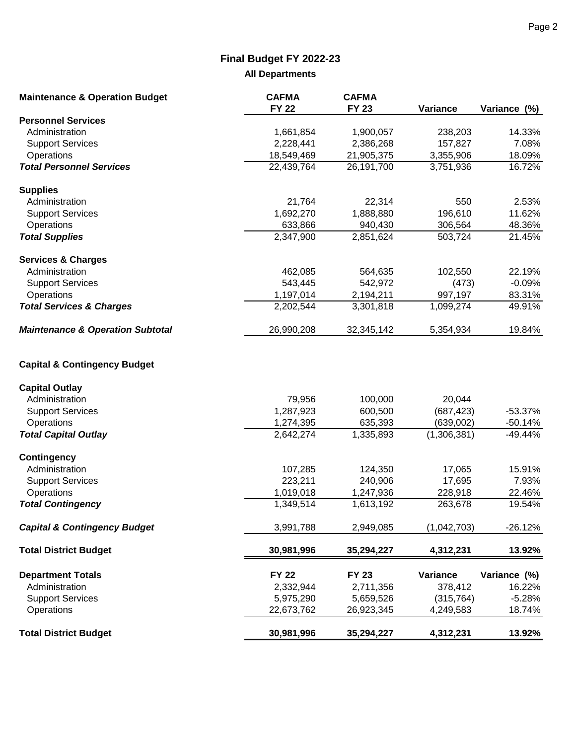# **Final Budget FY 2022-23**

# **All Departments**

| <b>Maintenance &amp; Operation Budget</b>   | <b>CAFMA</b><br><b>FY 22</b> | <b>CAFMA</b><br><b>FY 23</b> | Variance    | Variance (%) |
|---------------------------------------------|------------------------------|------------------------------|-------------|--------------|
| <b>Personnel Services</b>                   |                              |                              |             |              |
| Administration                              | 1,661,854                    | 1,900,057                    | 238,203     | 14.33%       |
| <b>Support Services</b>                     | 2,228,441                    | 2,386,268                    | 157,827     | 7.08%        |
| Operations                                  | 18,549,469                   | 21,905,375                   | 3,355,906   | 18.09%       |
| <b>Total Personnel Services</b>             | 22,439,764                   | 26,191,700                   | 3,751,936   | 16.72%       |
| <b>Supplies</b>                             |                              |                              |             |              |
| Administration                              | 21,764                       | 22,314                       | 550         | 2.53%        |
| <b>Support Services</b>                     | 1,692,270                    | 1,888,880                    | 196,610     | 11.62%       |
| Operations                                  | 633,866                      | 940,430                      | 306,564     | 48.36%       |
| <b>Total Supplies</b>                       | 2,347,900                    | 2,851,624                    | 503,724     | 21.45%       |
| <b>Services &amp; Charges</b>               |                              |                              |             |              |
| Administration                              | 462,085                      | 564,635                      | 102,550     | 22.19%       |
| <b>Support Services</b>                     | 543,445                      | 542,972                      | (473)       | $-0.09%$     |
| Operations                                  | 1,197,014                    | 2,194,211                    | 997,197     | 83.31%       |
| <b>Total Services &amp; Charges</b>         | 2,202,544                    | 3,301,818                    | 1,099,274   | 49.91%       |
| <b>Maintenance &amp; Operation Subtotal</b> | 26,990,208                   | 32,345,142                   | 5,354,934   | 19.84%       |
| <b>Capital &amp; Contingency Budget</b>     |                              |                              |             |              |
| <b>Capital Outlay</b>                       |                              |                              |             |              |
| Administration                              | 79,956                       | 100,000                      | 20,044      |              |
| <b>Support Services</b>                     | 1,287,923                    | 600,500                      | (687, 423)  | $-53.37%$    |
| Operations                                  | 1,274,395                    | 635,393                      | (639,002)   | $-50.14%$    |
| <b>Total Capital Outlay</b>                 | 2,642,274                    | 1,335,893                    | (1,306,381) | $-49.44%$    |
| <b>Contingency</b>                          |                              |                              |             |              |
| Administration                              | 107,285                      | 124,350                      | 17,065      | 15.91%       |
| <b>Support Services</b>                     | 223,211                      | 240,906                      | 17,695      | 7.93%        |
| Operations                                  | 1,019,018                    | 1,247,936                    | 228,918     | 22.46%       |
| <b>Total Contingency</b>                    | 1,349,514                    | 1,613,192                    | 263,678     | 19.54%       |
| <b>Capital &amp; Contingency Budget</b>     | 3,991,788                    | 2,949,085                    | (1,042,703) | $-26.12%$    |
| <b>Total District Budget</b>                | 30,981,996                   | 35,294,227                   | 4,312,231   | 13.92%       |
| <b>Department Totals</b>                    | <b>FY 22</b>                 | <b>FY 23</b>                 | Variance    | Variance (%) |
| Administration                              | 2,332,944                    | 2,711,356                    | 378,412     | 16.22%       |
| <b>Support Services</b>                     | 5,975,290                    | 5,659,526                    | (315, 764)  | $-5.28%$     |
| Operations                                  | 22,673,762                   | 26,923,345                   | 4,249,583   | 18.74%       |
| <b>Total District Budget</b>                | 30,981,996                   | 35,294,227                   | 4,312,231   | 13.92%       |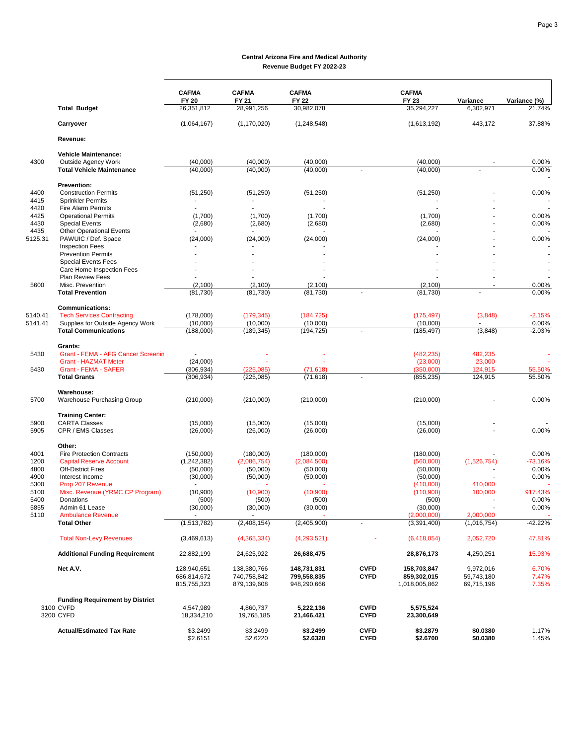|              |                                                     | <b>CAFMA</b><br><b>FY 20</b> | <b>CAFMA</b><br><b>FY 21</b> | <b>CAFMA</b><br>FY 22  |              | <b>CAFMA</b><br>FY 23   | Variance           | Variance (%)     |
|--------------|-----------------------------------------------------|------------------------------|------------------------------|------------------------|--------------|-------------------------|--------------------|------------------|
|              | <b>Total Budget</b>                                 | 26,351,812                   | 28,991,256                   | 30,982,078             |              | 35,294,227              | 6,302,971          | 21.74%           |
|              | Carryover                                           | (1,064,167)                  | (1, 170, 020)                | (1,248,548)            |              | (1,613,192)             | 443,172            | 37.88%           |
|              | Revenue:                                            |                              |                              |                        |              |                         |                    |                  |
|              | <b>Vehicle Maintenance:</b>                         |                              |                              |                        |              |                         |                    |                  |
| 4300         | <b>Outside Agency Work</b>                          | (40,000)                     | (40,000)                     | (40,000)               |              | (40,000)                |                    | 0.00%            |
|              | <b>Total Vehicle Maintenance</b>                    | (40,000)                     | (40,000)                     | (40,000)               |              | (40,000)                |                    | 0.00%            |
|              | Prevention:                                         |                              |                              |                        |              |                         |                    |                  |
| 4400         | <b>Construction Permits</b>                         | (51,250)                     | (51,250)                     | (51,250)               |              | (51,250)                |                    | 0.00%            |
| 4415         | <b>Sprinkler Permits</b>                            |                              |                              |                        |              |                         |                    |                  |
| 4420         | Fire Alarm Permits                                  |                              |                              |                        |              |                         |                    |                  |
| 4425<br>4430 | <b>Operational Permits</b><br><b>Special Events</b> | (1,700)                      | (1,700)<br>(2,680)           | (1,700)                |              | (1,700)<br>(2,680)      |                    | 0.00%<br>0.00%   |
| 4435         | <b>Other Operational Events</b>                     | (2,680)                      |                              | (2,680)                |              |                         |                    |                  |
| 5125.31      | PAWUIC / Def. Space                                 | (24,000)                     | (24,000)                     | (24,000)               |              | (24,000)                |                    | 0.00%            |
|              | <b>Inspection Fees</b>                              |                              |                              |                        |              |                         |                    |                  |
|              | <b>Prevention Permits</b>                           |                              |                              |                        |              |                         |                    |                  |
|              | <b>Special Events Fees</b>                          |                              |                              |                        |              |                         |                    |                  |
|              | Care Home Inspection Fees                           |                              |                              |                        |              |                         |                    |                  |
|              | <b>Plan Review Fees</b>                             |                              |                              |                        |              |                         |                    |                  |
| 5600         | Misc. Prevention                                    | (2,100)                      | (2,100)                      | (2,100)                |              | (2,100)                 |                    | 0.00%            |
|              | <b>Total Prevention</b>                             | (81, 730)                    | (81, 730)                    | (81, 730)              | $\mathbf{r}$ | (81, 730)               |                    | 0.00%            |
|              | <b>Communications:</b>                              |                              |                              |                        |              |                         |                    |                  |
| 5140.41      | <b>Tech Services Contracting</b>                    | (178,000)                    | (179, 345)                   | (184, 725)             |              | (175, 497)              | (3,848)            | $-2.15%$         |
| 5141.41      | Supplies for Outside Agency Work                    | (10,000)                     | (10,000)                     | (10,000)               |              | (10,000)                |                    | 0.00%            |
|              | <b>Total Communications</b>                         | (188,000)                    | (189, 345)                   | (194, 725)             |              | (185, 497)              | (3,848)            | $-2.03%$         |
|              | Grants:                                             |                              |                              |                        |              |                         |                    |                  |
| 5430         | <b>Grant - FEMA - AFG Cancer Screenin</b>           |                              |                              |                        |              | (482, 235)              | 482,235            |                  |
|              | <b>Grant - HAZMAT Meter</b>                         | (24,000)                     |                              |                        |              | (23,000)                | 23,000             |                  |
| 5430         | <b>Grant - FEMA - SAFER</b><br><b>Total Grants</b>  | (306, 934)<br>(306, 934)     | (225, 085)<br>(225, 085)     | (71, 618)<br>(71, 618) |              | (350,000)<br>(855, 235) | 124,915<br>124,915 | 55.50%<br>55.50% |
|              |                                                     |                              |                              |                        |              |                         |                    |                  |
| 5700         | Warehouse:<br>Warehouse Purchasing Group            | (210,000)                    | (210,000)                    | (210,000)              |              | (210,000)               |                    | 0.00%            |
|              |                                                     |                              |                              |                        |              |                         |                    |                  |
|              | <b>Training Center:</b>                             |                              |                              |                        |              |                         |                    |                  |
| 5900         | <b>CARTA Classes</b>                                | (15,000)                     | (15,000)                     | (15,000)               |              | (15,000)                |                    |                  |
| 5905         | CPR / EMS Classes                                   | (26,000)                     | (26,000)                     | (26,000)               |              | (26,000)                |                    | 0.00%            |
|              | Other:                                              |                              |                              |                        |              |                         |                    |                  |
| 4001         | <b>Fire Protection Contracts</b>                    | (150,000)                    | (180,000)                    | (180,000)              |              | (180,000)               |                    | 0.00%            |
| 1200         | <b>Capital Reserve Account</b>                      | (1,242,382)                  | (2,086,754)                  | (2,084,500)            |              | (560,000)               | (1,526,754)        | $-73.16%$        |
| 4800<br>4900 | <b>Off-District Fires</b><br>Interest Income        | (50,000)<br>(30,000)         | (50,000)<br>(50,000)         | (50,000)               |              | (50,000)<br>(50,000)    |                    | 0.00%<br>0.00%   |
| 5300         | Prop 207 Revenue                                    |                              |                              | (50,000)               |              | (410,000)               | 410,000            |                  |
| 5100         | Misc. Revenue (YRMC CP Program)                     | (10,900)                     | (10,900)                     | (10,900)               |              | (110,900)               | 100,000            | 917.43%          |
| 5400         | <b>Donations</b>                                    | (500)                        | (500)                        | (500)                  |              | (500)                   |                    | 0.00%            |
| 5855         | Admin 61 Lease                                      | (30,000)                     | (30,000)                     | (30,000)               |              | (30,000)                |                    | 0.00%            |
| 5110         | <b>Ambulance Revenue</b>                            |                              |                              |                        |              | (2,000,000)             | 2,000,000          |                  |
|              | <b>Total Other</b>                                  | (1,513,782)                  | (2,408,154)                  | (2,405,900)            |              | (3,391,400)             | (1,016,754)        | $-42.22%$        |
|              | <b>Total Non-Levy Revenues</b>                      | (3,469,613)                  | (4,365,334)                  | (4,293,521)            |              | (6,418,054)             | 2,052,720          | 47.81%           |
|              | <b>Additional Funding Requirement</b>               | 22,882,199                   | 24,625,922                   | 26,688,475             |              | 28,876,173              | 4,250,251          | 15.93%           |
|              | Net A.V.                                            | 128,940,651                  | 138,380,766                  | 148,731,831            | <b>CVFD</b>  | 158,703,847             | 9,972,016          | 6.70%            |
|              |                                                     | 686,814,672                  | 740,758,842                  | 799,558,835            | <b>CYFD</b>  | 859,302,015             | 59,743,180         | 7.47%            |
|              |                                                     | 815,755,323                  | 879,139,608                  | 948,290,666            |              | 1,018,005,862           | 69,715,196         | 7.35%            |
|              | <b>Funding Requirement by District</b>              |                              |                              |                        |              |                         |                    |                  |
|              | 3100 CVFD                                           | 4,547,989                    | 4,860,737                    | 5,222,136              | <b>CVFD</b>  | 5,575,524               |                    |                  |
|              | 3200 CYFD                                           | 18,334,210                   | 19,765,185                   | 21,466,421             | <b>CYFD</b>  | 23,300,649              |                    |                  |
|              | <b>Actual/Estimated Tax Rate</b>                    | \$3.2499                     | \$3.2499                     | \$3.2499               | <b>CVFD</b>  | \$3.2879                | \$0.0380           | 1.17%            |
|              |                                                     | \$2.6151                     | \$2.6220                     | \$2.6320               | <b>CYFD</b>  | \$2.6700                | \$0.0380           | 1.45%            |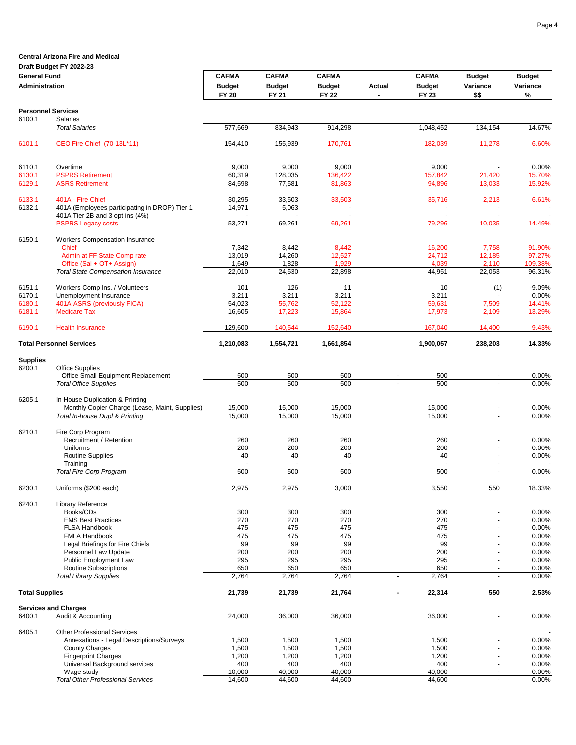### **Draft Budget FY 2022-23**

| <b>General Fund</b>   |                                                              | <b>CAFMA</b>  | <b>CAFMA</b>  | <b>CAFMA</b>  |                | <b>CAFMA</b>  | <b>Budget</b>                    | <b>Budget</b>  |
|-----------------------|--------------------------------------------------------------|---------------|---------------|---------------|----------------|---------------|----------------------------------|----------------|
| <b>Administration</b> |                                                              | <b>Budget</b> | <b>Budget</b> | <b>Budget</b> | Actual         | <b>Budget</b> | Variance                         | Variance       |
|                       |                                                              | <b>FY 20</b>  | FY 21         | <b>FY 22</b>  |                | <b>FY 23</b>  | \$\$                             | %              |
|                       | <b>Personnel Services</b>                                    |               |               |               |                |               |                                  |                |
| 6100.1                | Salaries                                                     |               |               |               |                |               |                                  |                |
|                       | <b>Total Salaries</b>                                        | 577,669       | 834,943       | 914,298       |                | 1,048,452     | 134,154                          | 14.67%         |
| 6101.1                | CEO Fire Chief (70-13L*11)                                   | 154,410       | 155,939       | 170,761       |                | 182,039       | 11,278                           | 6.60%          |
| 6110.1                | Overtime                                                     | 9,000         | 9,000         | 9,000         |                | 9,000         |                                  | 0.00%          |
| 6130.1                | <b>PSPRS Retirement</b>                                      | 60,319        | 128,035       | 136,422       |                | 157,842       | 21,420                           | 15.70%         |
| 6129.1                | <b>ASRS Retirement</b>                                       | 84,598        | 77,581        | 81,863        |                | 94,896        | 13,033                           | 15.92%         |
| 6133.1                | 401A - Fire Chief                                            | 30,295        | 33,503        | 33,503        |                | 35,716        | 2,213                            | 6.61%          |
| 6132.1                | 401A (Employees participating in DROP) Tier 1                | 14,971        | 5,063         |               |                |               |                                  |                |
|                       | 401A Tier 2B and 3 opt ins (4%)<br><b>PSPRS Legacy costs</b> | 53,271        | 69,261        | 69,261        |                |               | 10,035                           | 14.49%         |
|                       |                                                              |               |               |               |                | 79,296        |                                  |                |
| 6150.1                | Workers Compensation Insurance<br><b>Chief</b>               | 7,342         | 8,442         | 8,442         |                | 16,200        | 7,758                            | 91.90%         |
|                       | Admin at FF State Comp rate                                  | 13,019        | 14,260        | 12,527        |                | 24,712        | 12,185                           | 97.27%         |
|                       | Office (Sal + OT+ Assign)                                    | 1,649         | 1,828         | 1,929         |                | 4,039         | 2,110                            | 109.38%        |
|                       | <b>Total State Compensation Insurance</b>                    | 22,010        | 24,530        | 22,898        |                | 44,951        | 22,053                           | 96.31%         |
| 6151.1                | Workers Comp Ins. / Volunteers                               | 101           | 126           | 11            |                | 10            | (1)                              | $-9.09%$       |
| 6170.1                | Unemployment Insurance                                       | 3,211         | 3,211         | 3,211         |                | 3,211         |                                  | 0.00%          |
| 6180.1                | 401A-ASRS (previously FICA)                                  | 54,023        | 55,762        | 52,122        |                | 59,631        | 7,509                            | 14.41%         |
| 6181.1                | <b>Medicare Tax</b>                                          | 16,605        | 17,223        | 15,864        |                | 17,973        | 2,109                            | 13.29%         |
| 6190.1                | <b>Health Insurance</b>                                      | 129,600       | 140,544       | 152,640       |                | 167,040       | 14,400                           | 9.43%          |
|                       | <b>Total Personnel Services</b>                              | 1,210,083     | 1,554,721     | 1,661,854     |                | 1,900,057     | 238,203                          | 14.33%         |
| <b>Supplies</b>       |                                                              |               |               |               |                |               |                                  |                |
| 6200.1                | <b>Office Supplies</b>                                       |               |               |               |                |               |                                  |                |
|                       | Office Small Equipment Replacement                           | 500           | 500           | 500           |                | 500           |                                  | 0.00%          |
|                       | <b>Total Office Supplies</b>                                 | 500           | 500           | 500           |                | 500           |                                  | 0.00%          |
| 6205.1                | In-House Duplication & Printing                              |               |               |               |                |               |                                  |                |
|                       | Monthly Copier Charge (Lease, Maint, Supplies)               | 15,000        | 15,000        | 15,000        |                | 15,000        |                                  | 0.00%          |
|                       | Total In-house Dupl & Printing                               | 15,000        | 15,000        | 15,000        |                | 15,000        |                                  | 0.00%          |
| 6210.1                | Fire Corp Program                                            |               |               |               |                |               |                                  |                |
|                       | Recruitment / Retention                                      | 260           | 260           | 260           |                | 260           |                                  | 0.00%          |
|                       | Uniforms                                                     | 200<br>40     | 200<br>40     | 200<br>40     |                | 200<br>40     | $\blacksquare$                   | 0.00%<br>0.00% |
|                       | <b>Routine Supplies</b><br>Training                          |               |               |               |                |               |                                  |                |
|                       | <b>Total Fire Corp Program</b>                               | 500           | 500           | 500           |                | 500           |                                  | 0.00%          |
| 6230.1                | Uniforms (\$200 each)                                        | 2,975         | 2,975         | 3,000         |                | 3,550         | 550                              | 18.33%         |
| 6240.1                | Library Reference                                            |               |               |               |                |               |                                  |                |
|                       | Books/CDs                                                    | 300           | 300           | 300           |                | 300           |                                  | 0.00%          |
|                       | <b>EMS Best Practices</b>                                    | 270           | 270           | 270           |                | 270           |                                  | 0.00%          |
|                       | <b>FLSA Handbook</b>                                         | 475           | 475           | 475           |                | 475           |                                  | 0.00%          |
|                       | <b>FMLA Handbook</b>                                         | 475           | 475           | 475           |                | 475           |                                  | 0.00%          |
|                       | Legal Briefings for Fire Chiefs<br>Personnel Law Update      | 99<br>200     | 99<br>200     | 99<br>200     |                | 99<br>200     |                                  | 0.00%<br>0.00% |
|                       | <b>Public Employment Law</b>                                 | 295           | 295           | 295           |                | 295           | $\blacksquare$                   | 0.00%          |
|                       | <b>Routine Subscriptions</b>                                 | 650           | 650           | 650           |                | 650           | $\blacksquare$                   | 0.00%          |
|                       | <b>Total Library Supplies</b>                                | 2,764         | 2,764         | 2,764         | $\overline{a}$ | 2,764         | $\overline{a}$                   | 0.00%          |
| <b>Total Supplies</b> |                                                              | 21,739        | 21,739        | 21,764        |                | 22,314        | 550                              | 2.53%          |
|                       | <b>Services and Charges</b>                                  |               |               |               |                |               |                                  |                |
| 6400.1                | Audit & Accounting                                           | 24,000        | 36,000        | 36,000        |                | 36,000        |                                  | 0.00%          |
| 6405.1                | <b>Other Professional Services</b>                           |               |               |               |                |               |                                  |                |
|                       | Annexations - Legal Descriptions/Surveys                     | 1,500         | 1,500         | 1,500         |                | 1,500         |                                  | 0.00%          |
|                       | <b>County Charges</b>                                        | 1,500         | 1,500         | 1,500         |                | 1,500         |                                  | 0.00%          |
|                       | <b>Fingerprint Charges</b><br>Universal Background services  | 1,200<br>400  | 1,200<br>400  | 1,200<br>400  |                | 1,200<br>400  | $\blacksquare$<br>$\blacksquare$ | 0.00%<br>0.00% |
|                       | Wage study                                                   | 10,000        | 40,000        | 40,000        |                | 40,000        |                                  | 0.00%          |
|                       | <b>Total Other Professional Services</b>                     | 14,600        | 44,600        | 44,600        |                | 44,600        | L.                               | 0.00%          |
|                       |                                                              |               |               |               |                |               |                                  |                |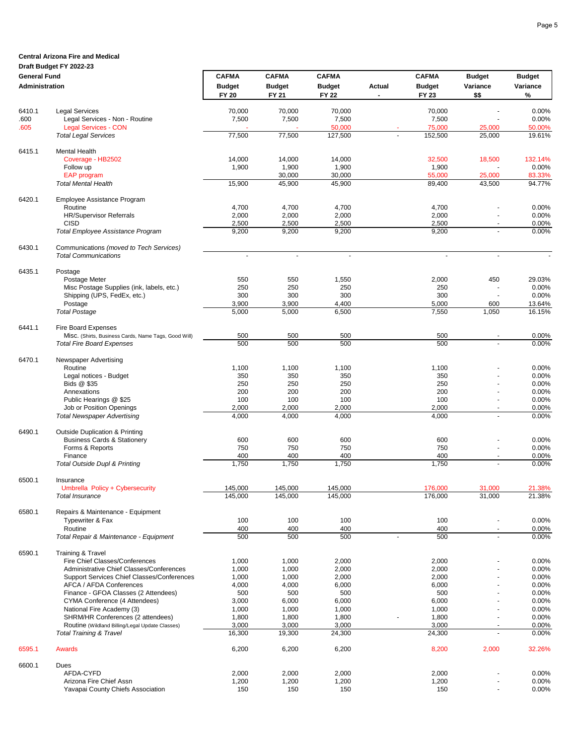Page 5

### **Central Arizona Fire and Medical**

### **Draft Budget FY 2022-23**

| <b>General Fund</b>   |                                                                                      | <b>CAFMA</b>             | <b>CAFMA</b>   | <b>CAFMA</b>   |        | <b>CAFMA</b>   | <b>Budget</b>            | <b>Budget</b>  |
|-----------------------|--------------------------------------------------------------------------------------|--------------------------|----------------|----------------|--------|----------------|--------------------------|----------------|
| <b>Administration</b> |                                                                                      | <b>Budget</b>            | <b>Budget</b>  | <b>Budget</b>  | Actual | <b>Budget</b>  | Variance                 | Variance       |
|                       |                                                                                      | <b>FY 20</b>             | FY 21          | <b>FY 22</b>   |        | FY 23          | \$\$                     | %              |
| 6410.1                | <b>Legal Services</b>                                                                | 70,000                   | 70,000         | 70,000         |        | 70,000         |                          | 0.00%          |
| .600                  | Legal Services - Non - Routine                                                       | 7,500                    | 7,500          | 7,500          |        | 7,500          | L.                       | 0.00%          |
| .605                  | <b>Legal Services - CON</b>                                                          |                          |                | 50,000         |        | 75,000         | 25,000                   | 50.00%         |
|                       | <b>Total Legal Services</b>                                                          | 77,500                   | 77,500         | 127,500        |        | 152,500        | 25,000                   | 19.61%         |
| 6415.1                | <b>Mental Health</b>                                                                 |                          |                |                |        |                |                          |                |
|                       | Coverage - HB2502                                                                    | 14,000                   | 14,000         | 14,000         |        | 32,500         | 18,500                   | 132.14%        |
|                       | Follow up                                                                            | 1,900                    | 1,900          | 1,900          |        | 1,900          |                          | 0.00%          |
|                       | <b>EAP</b> program                                                                   |                          | 30,000         | 30,000         |        | 55,000         | 25,000                   | 83.33%         |
|                       | <b>Total Mental Health</b>                                                           | 15,900                   | 45,900         | 45,900         |        | 89,400         | 43,500                   | 94.77%         |
| 6420.1                | Employee Assistance Program                                                          |                          |                |                |        |                |                          |                |
|                       | Routine                                                                              | 4,700                    | 4,700          | 4,700          |        | 4,700          |                          | 0.00%          |
|                       | HR/Supervisor Referrals                                                              | 2,000                    | 2,000          | 2,000          |        | 2,000          | $\blacksquare$           | 0.00%          |
|                       | <b>CISD</b>                                                                          | 2,500                    | 2,500          | 2,500          |        | 2,500          | $\overline{a}$           | 0.00%          |
|                       | Total Employee Assistance Program                                                    | 9,200                    | 9,200          | 9,200          |        | 9,200          |                          | 0.00%          |
| 6430.1                | Communications (moved to Tech Services)                                              |                          |                |                |        |                |                          |                |
|                       | <b>Total Communications</b>                                                          | $\overline{\phantom{a}}$ | $\omega$       | ä,             |        | $\omega$       | $\overline{\phantom{a}}$ |                |
| 6435.1                | Postage                                                                              |                          |                |                |        |                |                          |                |
|                       | Postage Meter                                                                        | 550                      | 550            | 1,550          |        | 2,000          | 450                      | 29.03%         |
|                       | Misc Postage Supplies (ink, labels, etc.)                                            | 250                      | 250            | 250            |        | 250            |                          | 0.00%          |
|                       | Shipping (UPS, FedEx, etc.)                                                          | 300                      | 300            | 300            |        | 300            |                          | 0.00%          |
|                       | Postage                                                                              | 3,900                    | 3,900          | 4,400          |        | 5,000          | 600                      | 13.64%         |
|                       | <b>Total Postage</b>                                                                 | 5,000                    | 5,000          | 6,500          |        | 7,550          | 1,050                    | 16.15%         |
| 6441.1                | Fire Board Expenses                                                                  |                          |                |                |        |                |                          |                |
|                       | Misc. (Shirts, Business Cards, Name Tags, Good Will)                                 | 500                      | 500            | 500            |        | 500            |                          | 0.00%          |
|                       | <b>Total Fire Board Expenses</b>                                                     | 500                      | 500            | 500            |        | 500            | L.                       | 0.00%          |
| 6470.1                | Newspaper Advertising                                                                |                          |                |                |        |                |                          |                |
|                       | Routine                                                                              | 1,100                    | 1,100          | 1,100          |        | 1,100          |                          | 0.00%          |
|                       | Legal notices - Budget                                                               | 350                      | 350            | 350            |        | 350            |                          | 0.00%          |
|                       | Bids @ \$35                                                                          | 250                      | 250            | 250            |        | 250            | L,                       | 0.00%          |
|                       | Annexations                                                                          | 200                      | 200            | 200            |        | 200            | $\ddot{\phantom{1}}$     | 0.00%          |
|                       | Public Hearings @ \$25                                                               | 100                      | 100            | 100            |        | 100            | L,                       | 0.00%          |
|                       | Job or Position Openings                                                             | 2,000                    | 2,000          | 2,000          |        | 2,000          | $\overline{\phantom{a}}$ | 0.00%          |
|                       | <b>Total Newspaper Advertising</b>                                                   | 4,000                    | 4,000          | 4,000          |        | 4,000          |                          | 0.00%          |
| 6490.1                | <b>Outside Duplication &amp; Printing</b>                                            |                          |                |                |        |                |                          |                |
|                       | <b>Business Cards &amp; Stationery</b>                                               | 600                      | 600            | 600            |        | 600            |                          | 0.00%          |
|                       | Forms & Reports                                                                      | 750                      | 750            | 750            |        | 750            | ä,                       | 0.00%          |
|                       | Finance                                                                              | 400                      | 400            | 400            |        | 400            | $\sim$                   | 0.00%          |
|                       | Total Outside Dupl & Printing                                                        | 1,750                    | 1,750          | 1,750          |        | 1,750          |                          | 0.00%          |
| 6500.1                | Insurance                                                                            |                          |                |                |        |                |                          |                |
|                       | Umbrella Policy + Cybersecurity                                                      | 145,000                  | 145,000        | 145,000        |        | 176,000        | 31,000                   | 21.38%         |
|                       | Total Insurance                                                                      | 145,000                  | 145,000        | 145,000        |        | 176,000        | 31,000                   | 21.38%         |
| 6580.1                | Repairs & Maintenance - Equipment                                                    |                          |                |                |        |                |                          |                |
|                       | Typewriter & Fax                                                                     | 100                      | 100            | 100            |        | 100            | ٠                        | 0.00%          |
|                       | Routine                                                                              | 400                      | 400            | 400            |        | 400            | $\blacksquare$           | 0.00%          |
|                       | Total Repair & Maintenance - Equipment                                               | 500                      | 500            | 500            | ÷,     | 500            |                          | 0.00%          |
| 6590.1                | <b>Training &amp; Travel</b>                                                         |                          |                |                |        |                |                          |                |
|                       | Fire Chief Classes/Conferences                                                       | 1,000                    | 1,000          | 2,000          |        | 2,000          |                          | 0.00%          |
|                       | Administrative Chief Classes/Conferences                                             | 1,000                    | 1,000          | 2,000          |        | 2,000          |                          | 0.00%          |
|                       | Support Services Chief Classes/Conferences                                           | 1,000                    | 1,000          | 2,000          |        | 2,000          | ä,                       | 0.00%          |
|                       | AFCA / AFDA Conferences                                                              | 4,000                    | 4,000          | 6,000          |        | 6,000          | ä,                       | 0.00%          |
|                       | Finance - GFOA Classes (2 Attendees)                                                 | 500                      | 500            | 500            |        | 500            | $\blacksquare$           | 0.00%          |
|                       | CYMA Conference (4 Attendees)                                                        | 3,000                    | 6,000          | 6,000          |        | 6,000          |                          | 0.00%          |
|                       | National Fire Academy (3)                                                            | 1,000                    | 1,000          | 1,000          |        | 1,000          | $\overline{a}$<br>ä,     | 0.00%<br>0.00% |
|                       | SHRM/HR Conferences (2 attendees)<br>Routine (Wildland Billing/Legal Update Classes) | 1,800<br>3,000           | 1,800<br>3,000 | 1,800<br>3,000 |        | 1,800<br>3,000 |                          | 0.00%          |
|                       | <b>Total Training &amp; Travel</b>                                                   | 16,300                   | 19,300         | 24,300         |        | 24,300         |                          | 0.00%          |
|                       |                                                                                      |                          |                |                |        |                |                          |                |
| 6595.1                | Awards                                                                               | 6,200                    | 6,200          | 6,200          |        | 8,200          | 2,000                    | 32.26%         |
| 6600.1                | Dues                                                                                 |                          |                |                |        |                |                          |                |
|                       | AFDA-CYFD                                                                            | 2,000                    | 2,000          | 2,000          |        | 2,000          |                          | 0.00%          |
|                       | Arizona Fire Chief Assn<br>Yavapai County Chiefs Association                         | 1,200<br>150             | 1,200<br>150   | 1,200<br>150   |        | 1,200<br>150   | $\overline{\phantom{a}}$ | 0.00%<br>0.00% |
|                       |                                                                                      |                          |                |                |        |                |                          |                |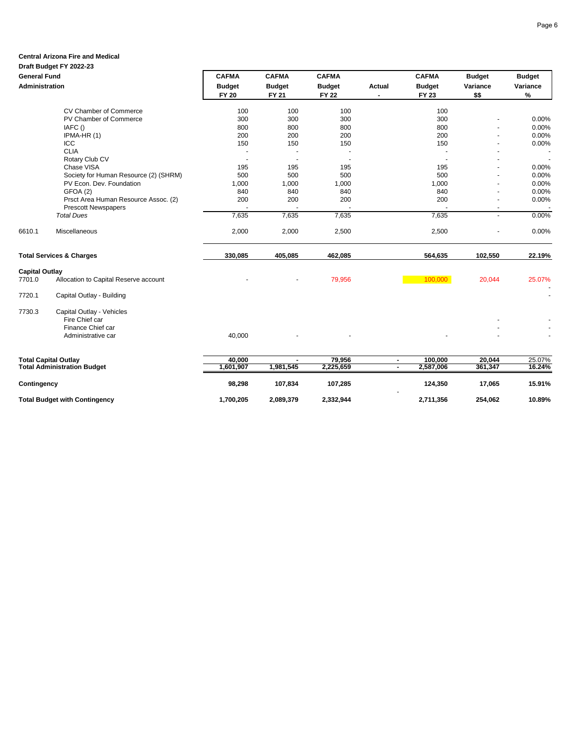### **Central Arizona Fire and Medical**

#### **Draft Budget FY 2022-23**

| <b>General Fund</b>   |                                       | <b>CAFMA</b>                  | <b>CAFMA</b>                  | <b>CAFMA</b>                  |                | <b>CAFMA</b>                  | <b>Budget</b>    | <b>Budget</b>    |
|-----------------------|---------------------------------------|-------------------------------|-------------------------------|-------------------------------|----------------|-------------------------------|------------------|------------------|
| <b>Administration</b> |                                       | <b>Budget</b><br><b>FY 20</b> | <b>Budget</b><br><b>FY 21</b> | <b>Budget</b><br><b>FY 22</b> | Actual         | <b>Budget</b><br><b>FY 23</b> | Variance<br>\$\$ | Variance<br>$\%$ |
|                       | CV Chamber of Commerce                | 100                           | 100                           | 100                           |                | 100                           |                  |                  |
|                       | PV Chamber of Commerce                | 300                           | 300                           | 300                           |                | 300                           |                  | 0.00%            |
|                       | IAFC ()                               | 800                           | 800                           | 800                           |                | 800                           |                  | 0.00%            |
|                       | IPMA-HR (1)                           | 200                           | 200                           | 200                           |                | 200                           |                  | 0.00%            |
|                       | ICC                                   | 150                           | 150                           | 150                           |                | 150                           |                  | 0.00%            |
|                       | <b>CLIA</b>                           |                               |                               |                               |                |                               |                  |                  |
|                       | Rotary Club CV                        |                               |                               |                               |                |                               |                  |                  |
|                       | Chase VISA                            | 195                           | 195                           | 195                           |                | 195                           |                  | 0.00%            |
|                       | Society for Human Resource (2) (SHRM) | 500                           | 500                           | 500                           |                | 500                           |                  | 0.00%            |
|                       | PV Econ. Dev. Foundation              | 1,000                         | 1,000                         | 1,000                         |                | 1,000                         |                  | 0.00%            |
|                       | GFOA (2)                              | 840                           | 840                           | 840                           |                | 840                           |                  | 0.00%            |
|                       | Prsct Area Human Resource Assoc. (2)  | 200                           | 200                           | 200                           |                | 200                           |                  | 0.00%            |
|                       | <b>Prescott Newspapers</b>            |                               |                               |                               |                |                               |                  |                  |
|                       | <b>Total Dues</b>                     | 7,635                         | 7,635                         | 7,635                         |                | 7,635                         |                  | 0.00%            |
| 6610.1                | Miscellaneous                         | 2,000                         | 2,000                         | 2,500                         |                | 2,500                         |                  | 0.00%            |
|                       | <b>Total Services &amp; Charges</b>   | 330,085                       | 405,085                       | 462,085                       |                | 564,635                       | 102,550          | 22.19%           |
| <b>Capital Outlay</b> |                                       |                               |                               |                               |                |                               |                  |                  |
| 7701.0                | Allocation to Capital Reserve account |                               |                               | 79,956                        |                | 100,000                       | 20,044           | 25.07%           |
| 7720.1                | Capital Outlay - Building             |                               |                               |                               |                |                               |                  |                  |
| 7730.3                | Capital Outlay - Vehicles             |                               |                               |                               |                |                               |                  |                  |
|                       | Fire Chief car                        |                               |                               |                               |                |                               |                  |                  |
|                       | Finance Chief car                     |                               |                               |                               |                |                               |                  |                  |
|                       | Administrative car                    | 40,000                        |                               |                               |                |                               |                  |                  |
|                       | <b>Total Capital Outlay</b>           | 40.000                        | $\blacksquare$                | 79,956                        | $\blacksquare$ | 100,000                       | 20,044           | 25.07%           |
|                       | <b>Total Administration Budget</b>    | 1,601,907                     | 1,981,545                     | 2,225,659                     | $\blacksquare$ | 2,587,006                     | 361,347          | 16.24%           |
| Contingency           |                                       | 98,298                        | 107,834                       | 107,285                       |                | 124,350                       | 17,065           | 15.91%           |
|                       | <b>Total Budget with Contingency</b>  | 1,700,205                     | 2,089,379                     | 2,332,944                     |                | 2,711,356                     | 254,062          | 10.89%           |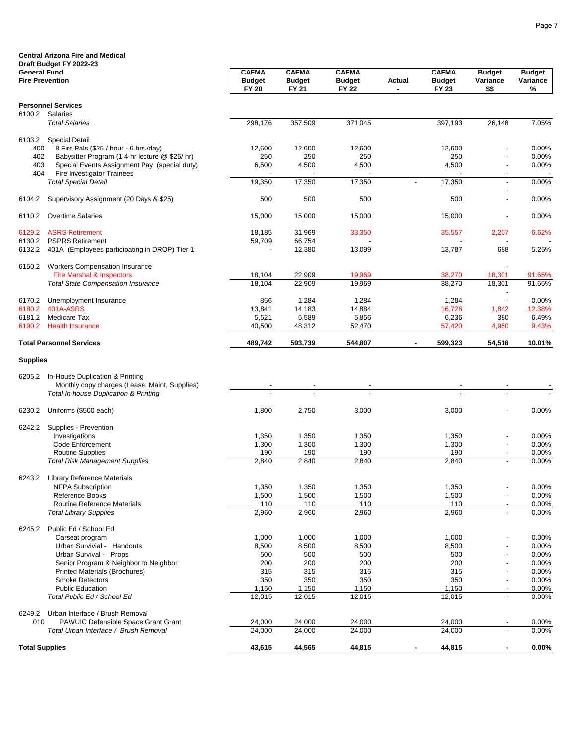|                                               | <b>Central Arizona Fire and Medical</b>                                             |                                               |                                               |                                               |                          |                                               |                                   |                                |
|-----------------------------------------------|-------------------------------------------------------------------------------------|-----------------------------------------------|-----------------------------------------------|-----------------------------------------------|--------------------------|-----------------------------------------------|-----------------------------------|--------------------------------|
|                                               | Draft Budget FY 2022-23                                                             |                                               |                                               |                                               |                          |                                               |                                   |                                |
| <b>General Fund</b><br><b>Fire Prevention</b> |                                                                                     | <b>CAFMA</b><br><b>Budget</b><br><b>FY 20</b> | <b>CAFMA</b><br><b>Budget</b><br><b>FY 21</b> | <b>CAFMA</b><br><b>Budget</b><br><b>FY 22</b> | Actual                   | <b>CAFMA</b><br><b>Budget</b><br><b>FY 23</b> | <b>Budget</b><br>Variance<br>\$\$ | <b>Budget</b><br>Variance<br>% |
|                                               | <b>Personnel Services</b>                                                           |                                               |                                               |                                               |                          |                                               |                                   |                                |
| 6100.2                                        | Salaries                                                                            |                                               |                                               |                                               |                          |                                               |                                   |                                |
|                                               | <b>Total Salaries</b>                                                               | 298,176                                       | 357,509                                       | 371,045                                       |                          | 397,193                                       | 26,148                            | 7.05%                          |
| 6103.2                                        | <b>Special Detail</b>                                                               |                                               |                                               |                                               |                          |                                               |                                   |                                |
| .400                                          | 8 Fire Pals (\$25 / hour - 6 hrs./day)                                              | 12,600                                        | 12,600                                        | 12,600                                        |                          | 12,600                                        |                                   | 0.00%                          |
| .402                                          | Babysitter Program (1 4-hr lecture @ \$25/hr)                                       | 250                                           | 250                                           | 250                                           |                          | 250                                           |                                   | 0.00%                          |
| .403                                          | Special Events Assignment Pay (special duty)                                        | 6,500                                         | 4,500                                         | 4,500                                         |                          | 4,500                                         | $\overline{\phantom{a}}$          | 0.00%                          |
| .404                                          | Fire Investigator Trainees<br><b>Total Special Detail</b>                           | 19,350                                        | 17,350                                        | 17,350                                        | $\overline{\phantom{a}}$ | 17,350                                        | $\overline{\phantom{a}}$          | 0.00%                          |
|                                               |                                                                                     |                                               |                                               |                                               |                          |                                               |                                   |                                |
| 6104.2                                        | Supervisory Assignment (20 Days & \$25)                                             | 500                                           | 500                                           | 500                                           |                          | 500                                           | $\overline{\phantom{0}}$          | 0.00%                          |
| 6110.2                                        | <b>Overtime Salaries</b>                                                            | 15,000                                        | 15,000                                        | 15,000                                        |                          | 15,000                                        | $\overline{\phantom{a}}$          | 0.00%                          |
| 6129.2                                        | <b>ASRS Retirement</b>                                                              | 18,185                                        | 31,969                                        | 33,350                                        |                          | 35,557                                        | 2,207                             | 6.62%                          |
| 6130.2                                        | <b>PSPRS Retirement</b>                                                             | 59,709                                        | 66,754                                        |                                               |                          |                                               |                                   |                                |
| 6132.2                                        | 401A (Employees participating in DROP) Tier 1                                       |                                               | 12,380                                        | 13,099                                        |                          | 13,787                                        | 688                               | 5.25%                          |
|                                               | 6150.2 Workers Compensation Insurance                                               |                                               |                                               |                                               |                          |                                               |                                   |                                |
|                                               | Fire Marshal & Inspectors                                                           | 18,104                                        | 22,909                                        | 19,969                                        |                          | 38,270                                        | 18,301                            | 91.65%                         |
|                                               | <b>Total State Compensation Insurance</b>                                           | 18,104                                        | 22,909                                        | 19,969                                        |                          | 38,270                                        | 18,301                            | 91.65%                         |
| 6170.2                                        | Unemployment Insurance                                                              | 856                                           | 1,284                                         | 1,284                                         |                          | 1,284                                         | $\overline{\phantom{a}}$          | 0.00%                          |
| 6180.2                                        | 401A-ASRS                                                                           | 13,841                                        | 14,183                                        | 14,884                                        |                          | 16,726                                        | 1,842                             | 12.38%                         |
| 6181.2                                        | Medicare Tax                                                                        | 5,521                                         | 5,589                                         | 5,856                                         |                          | 6,236                                         | 380                               | 6.49%                          |
| 6190.2                                        | <b>Health Insurance</b>                                                             | 40,500                                        | 48,312                                        | 52,470                                        |                          | 57,420                                        | 4,950                             | 9.43%                          |
|                                               | <b>Total Personnel Services</b>                                                     | 489,742                                       | 593,739                                       | 544,807                                       |                          | 599,323                                       | 54,516                            | 10.01%                         |
| <b>Supplies</b>                               |                                                                                     |                                               |                                               |                                               |                          |                                               |                                   |                                |
| 6205.2                                        | In-House Duplication & Printing                                                     |                                               |                                               |                                               |                          |                                               |                                   |                                |
|                                               | Monthly copy charges (Lease, Maint, Supplies)                                       |                                               |                                               |                                               |                          |                                               |                                   |                                |
|                                               | Total In-house Duplication & Printing                                               |                                               |                                               |                                               |                          |                                               |                                   |                                |
| 6230.2                                        | Uniforms (\$500 each)                                                               | 1,800                                         | 2,750                                         | 3,000                                         |                          | 3,000                                         |                                   | 0.00%                          |
| 6242.2                                        | Supplies - Prevention                                                               |                                               |                                               |                                               |                          |                                               |                                   |                                |
|                                               | Investigations                                                                      | 1,350                                         | 1,350                                         | 1,350                                         |                          | 1,350                                         | $\overline{\phantom{0}}$          | 0.00%                          |
|                                               | Code Enforcement                                                                    | 1,300                                         | 1,300                                         | 1,300                                         |                          | 1,300                                         | $\overline{\phantom{0}}$          | 0.00%                          |
|                                               | <b>Routine Supplies</b>                                                             | 190                                           | 190                                           | 190                                           |                          | 190                                           | $\overline{\phantom{a}}$          | 0.00%                          |
|                                               | <b>Total Risk Management Supplies</b>                                               | 2,840                                         | 2,840                                         | 2,840                                         |                          | 2,840                                         |                                   | 0.00%                          |
|                                               | 6243.2 Library Reference Materials                                                  |                                               |                                               |                                               |                          |                                               |                                   |                                |
|                                               | <b>NFPA Subscription</b>                                                            | 1,350                                         | 1,350                                         | 1,350                                         |                          | 1,350                                         |                                   | 0.00%                          |
|                                               | Reference Books<br>Routine Reference Materials                                      | 1,500<br>110                                  | 1,500<br>110                                  | 1,500<br>110                                  |                          | 1,500<br>110                                  | $\overline{\phantom{a}}$          | 0.00%<br>0.00%                 |
|                                               | <b>Total Library Supplies</b>                                                       | 2,960                                         | 2,960                                         | 2,960                                         |                          | 2,960                                         |                                   | 0.00%                          |
| 6245.2                                        | Public Ed / School Ed                                                               |                                               |                                               |                                               |                          |                                               |                                   |                                |
|                                               | Carseat program                                                                     | 1,000                                         | 1,000                                         | 1,000                                         |                          | 1,000                                         |                                   | 0.00%                          |
|                                               | Urban Survivial - Handouts                                                          | 8,500                                         | 8,500                                         | 8,500                                         |                          | 8,500                                         |                                   | 0.00%                          |
|                                               | Urban Survival - Props                                                              | 500                                           | 500                                           | 500                                           |                          | 500                                           | $\blacksquare$                    | 0.00%                          |
|                                               | Senior Program & Neighbor to Neighbor                                               | 200                                           | 200                                           | 200                                           |                          | 200                                           | $\overline{\phantom{0}}$          | 0.00%                          |
|                                               | <b>Printed Materials (Brochures)</b>                                                | 315                                           | 315                                           | 315                                           |                          | 315                                           | $\overline{\phantom{a}}$          | 0.00%                          |
|                                               | <b>Smoke Detectors</b>                                                              | 350                                           | 350                                           | 350                                           |                          | 350                                           | $\overline{\phantom{0}}$          | 0.00%                          |
|                                               | <b>Public Education</b>                                                             | 1,150                                         | 1,150                                         | 1,150                                         |                          | 1,150                                         | $\overline{\phantom{a}}$          | 0.00%                          |
|                                               | Total Public Ed / School Ed                                                         | 12,015                                        | 12,015                                        | 12,015                                        |                          | 12,015                                        |                                   | 0.00%                          |
| 6249.2                                        | Urban Interface / Brush Removal                                                     |                                               |                                               |                                               |                          |                                               |                                   |                                |
| .010                                          | <b>PAWUIC Defensible Space Grant Grant</b><br>Total Urban Interface / Brush Removal | 24,000<br>24,000                              | 24,000<br>24,000                              | 24,000<br>24,000                              |                          | 24,000<br>24,000                              | $\overline{\phantom{a}}$          | 0.00%<br>0.00%                 |
|                                               |                                                                                     |                                               |                                               |                                               |                          |                                               |                                   |                                |
| <b>Total Supplies</b>                         |                                                                                     | 43,615                                        | 44,565                                        | 44,815                                        |                          | 44,815                                        | ٠                                 | 0.00%                          |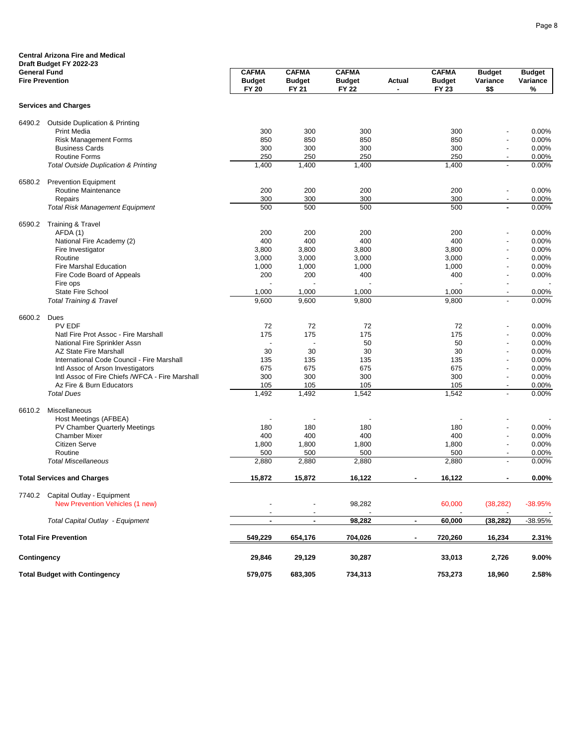|                     | <b>Central Arizona Fire and Medical</b><br>Draft Budget FY 2022-23 |                                               |                                        |                                               |                          |                                               |                                            |                                |
|---------------------|--------------------------------------------------------------------|-----------------------------------------------|----------------------------------------|-----------------------------------------------|--------------------------|-----------------------------------------------|--------------------------------------------|--------------------------------|
| <b>General Fund</b> | <b>Fire Prevention</b>                                             | <b>CAFMA</b><br><b>Budget</b><br><b>FY 20</b> | <b>CAFMA</b><br><b>Budget</b><br>FY 21 | <b>CAFMA</b><br><b>Budget</b><br><b>FY 22</b> | Actual<br>$\blacksquare$ | <b>CAFMA</b><br><b>Budget</b><br><b>FY 23</b> | <b>Budget</b><br>Variance<br>\$\$          | <b>Budget</b><br>Variance<br>% |
|                     | <b>Services and Charges</b>                                        |                                               |                                        |                                               |                          |                                               |                                            |                                |
| 6490.2              | <b>Outside Duplication &amp; Printing</b>                          |                                               |                                        |                                               |                          |                                               |                                            |                                |
|                     | <b>Print Media</b>                                                 | 300                                           | 300                                    | 300                                           |                          | 300                                           |                                            | 0.00%                          |
|                     | <b>Risk Management Forms</b>                                       | 850                                           | 850                                    | 850                                           |                          | 850                                           | $\overline{a}$                             | 0.00%                          |
|                     | <b>Business Cards</b><br><b>Routine Forms</b>                      | 300<br>250                                    | 300<br>250                             | 300<br>250                                    |                          | 300<br>250                                    | $\overline{\phantom{a}}$<br>$\blacksquare$ | 0.00%<br>0.00%                 |
|                     | <b>Total Outside Duplication &amp; Printing</b>                    | 1,400                                         | 1,400                                  | 1,400                                         |                          | 1,400                                         |                                            | 0.00%                          |
| 6580.2              | <b>Prevention Equipment</b>                                        |                                               |                                        |                                               |                          |                                               |                                            |                                |
|                     | Routine Maintenance                                                | 200                                           | 200                                    | 200                                           |                          | 200                                           | $\overline{\phantom{a}}$                   | 0.00%                          |
|                     | Repairs                                                            | 300                                           | 300                                    | 300                                           |                          | 300                                           | $\blacksquare$                             | 0.00%                          |
|                     | <b>Total Risk Management Equipment</b>                             | 500                                           | 500                                    | 500                                           |                          | 500                                           | $\blacksquare$                             | 0.00%                          |
| 6590.2              | Training & Travel                                                  |                                               |                                        |                                               |                          |                                               |                                            |                                |
|                     | AFDA (1)                                                           | 200                                           | 200                                    | 200                                           |                          | 200                                           |                                            | 0.00%                          |
|                     | National Fire Academy (2)                                          | 400<br>3,800                                  | 400<br>3,800                           | 400<br>3,800                                  |                          | 400<br>3,800                                  | $\overline{\phantom{0}}$                   | 0.00%<br>0.00%                 |
|                     | Fire Investigator<br>Routine                                       | 3,000                                         | 3,000                                  | 3,000                                         |                          | 3,000                                         | $\overline{\phantom{0}}$                   | 0.00%                          |
|                     | <b>Fire Marshal Education</b>                                      | 1,000                                         | 1,000                                  | 1,000                                         |                          | 1,000                                         |                                            | 0.00%                          |
|                     | Fire Code Board of Appeals                                         | 200                                           | 200                                    | 400                                           |                          | 400                                           | $\overline{\phantom{0}}$                   | 0.00%                          |
|                     | Fire ops                                                           |                                               |                                        |                                               |                          |                                               | $\overline{\phantom{0}}$                   |                                |
|                     | <b>State Fire School</b>                                           | 1,000                                         | 1,000                                  | 1,000                                         |                          | 1,000                                         | $\overline{\phantom{0}}$                   | $0.00\%$                       |
|                     | <b>Total Training &amp; Travel</b>                                 | 9,600                                         | 9,600                                  | 9,800                                         |                          | 9,800                                         |                                            | 0.00%                          |
| 6600.2              | Dues                                                               |                                               |                                        |                                               |                          |                                               |                                            |                                |
|                     | <b>PV EDF</b>                                                      | 72                                            | 72                                     | 72                                            |                          | 72                                            |                                            | 0.00%                          |
|                     | Natl Fire Prot Assoc - Fire Marshall                               | 175<br>$\overline{\phantom{a}}$               | 175<br>$\overline{a}$                  | 175<br>50                                     |                          | 175<br>50                                     |                                            | 0.00%<br>0.00%                 |
|                     | National Fire Sprinkler Assn<br><b>AZ State Fire Marshall</b>      | 30                                            | 30                                     | 30                                            |                          | 30                                            | $\overline{\phantom{0}}$                   | 0.00%                          |
|                     | International Code Council - Fire Marshall                         | 135                                           | 135                                    | 135                                           |                          | 135                                           | $\overline{\phantom{0}}$                   | 0.00%                          |
|                     | Intl Assoc of Arson Investigators                                  | 675                                           | 675                                    | 675                                           |                          | 675                                           | $\overline{\phantom{0}}$                   | 0.00%                          |
|                     | Intl Assoc of Fire Chiefs /WFCA - Fire Marshall                    | 300                                           | 300                                    | 300                                           |                          | 300                                           | $\overline{\phantom{a}}$                   | 0.00%                          |
|                     | Az Fire & Burn Educators                                           | 105                                           | 105                                    | 105                                           |                          | 105                                           | $\blacksquare$                             | 0.00%                          |
|                     | <b>Total Dues</b>                                                  | 1,492                                         | 1,492                                  | 1,542                                         |                          | 1,542                                         | $\blacksquare$                             | 0.00%                          |
| 6610.2              | Miscellaneous                                                      |                                               |                                        |                                               |                          |                                               |                                            |                                |
|                     | Host Meetings (AFBEA)                                              |                                               | $\overline{\phantom{a}}$               |                                               |                          |                                               |                                            |                                |
|                     | PV Chamber Quarterly Meetings                                      | 180                                           | 180                                    | 180                                           |                          | 180                                           | $\blacksquare$                             | 0.00%                          |
|                     | <b>Chamber Mixer</b><br>Citizen Serve                              | 400<br>1,800                                  | 400<br>1,800                           | 400<br>1,800                                  |                          | 400<br>1,800                                  | $\overline{a}$<br>$\overline{\phantom{a}}$ | 0.00%<br>0.00%                 |
|                     | Routine                                                            | 500                                           | 500                                    | 500                                           |                          | 500                                           |                                            | 0.00%                          |
|                     | <b>Total Miscellaneous</b>                                         | 2,880                                         | 2,880                                  | 2,880                                         |                          | 2,880                                         | $\overline{\phantom{a}}$                   | 0.00%                          |
|                     | <b>Total Services and Charges</b>                                  | 15,872                                        | 15,872                                 | 16,122                                        | ٠                        | 16,122                                        | ٠                                          | $0.00\%$                       |
|                     | 7740.2 Capital Outlay - Equipment                                  |                                               |                                        |                                               |                          |                                               |                                            |                                |
|                     | New Prevention Vehicles (1 new)                                    |                                               |                                        | 98,282                                        |                          | 60,000                                        | (38, 282)                                  | $-38.95%$                      |
|                     | Total Capital Outlay - Equipment                                   |                                               | ٠                                      | 98,282                                        | $\blacksquare$           | 60,000                                        | (38, 282)                                  | $-38.95%$                      |
|                     | <b>Total Fire Prevention</b>                                       | 549,229                                       | 654,176                                | 704,026                                       |                          | 720,260                                       | 16,234                                     | 2.31%                          |
| Contingency         |                                                                    | 29,846                                        | 29,129                                 | 30,287                                        |                          | 33,013                                        | 2,726                                      | 9.00%                          |
|                     | <b>Total Budget with Contingency</b>                               | 579,075                                       | 683,305                                | 734,313                                       |                          | 753,273                                       | 18,960                                     | 2.58%                          |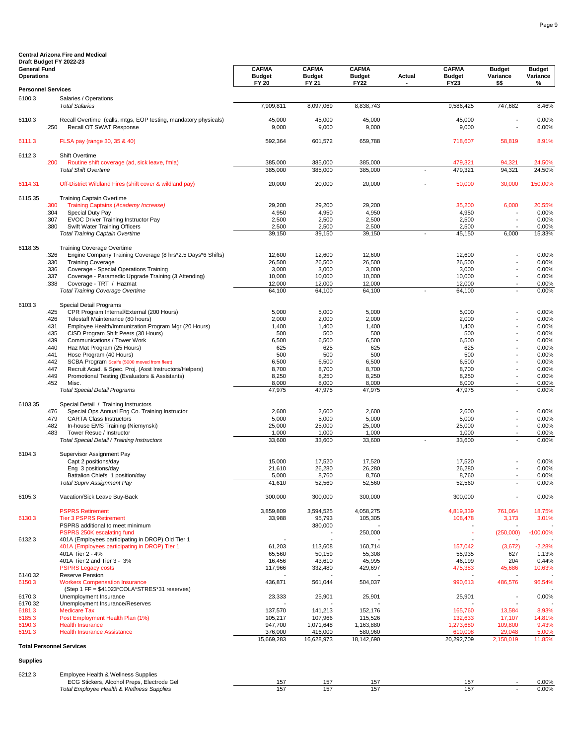| Draft Budget FY 2022-23                  |              |                                                                                |                               |                               |                               |        |                               |                           |                           |
|------------------------------------------|--------------|--------------------------------------------------------------------------------|-------------------------------|-------------------------------|-------------------------------|--------|-------------------------------|---------------------------|---------------------------|
| <b>General Fund</b><br><b>Operations</b> |              |                                                                                | <b>CAFMA</b><br><b>Budget</b> | <b>CAFMA</b><br><b>Budget</b> | <b>CAFMA</b><br><b>Budget</b> | Actual | <b>CAFMA</b><br><b>Budget</b> | <b>Budget</b><br>Variance | <b>Budget</b><br>Variance |
|                                          |              |                                                                                | <b>FY 20</b>                  | FY 21                         | <b>FY22</b>                   |        | <b>FY23</b>                   | \$\$                      | %                         |
| <b>Personnel Services</b>                |              |                                                                                |                               |                               |                               |        |                               |                           |                           |
| 6100.3                                   |              | Salaries / Operations                                                          |                               |                               |                               |        |                               |                           |                           |
|                                          |              | <b>Total Salaries</b>                                                          | 7,909,811                     | 8,097,069                     | 8,838,743                     |        | 9,586,425                     | 747,682                   | 8.46%                     |
| 6110.3                                   |              | Recall Overtime (calls, mtgs, EOP testing, mandatory physicals)                | 45,000                        | 45,000                        | 45,000                        |        | 45,000                        |                           | 0.00%                     |
|                                          | .250         | Recall OT SWAT Response                                                        | 9,000                         | 9,000                         | 9,000                         |        | 9,000                         |                           | 0.00%                     |
|                                          |              |                                                                                |                               |                               |                               |        |                               |                           |                           |
| 6111.3                                   |              | FLSA pay (range 30, 35 & 40)                                                   | 592,364                       | 601,572                       | 659,788                       |        | 718,607                       | 58,819                    | 8.91%                     |
| 6112.3                                   |              | Shift Overtime                                                                 |                               |                               |                               |        |                               |                           |                           |
|                                          | .200         | Routine shift coverage (ad, sick leave, fmla)                                  | 385,000                       | 385,000                       | 385,000                       |        | 479,321                       | 94,321                    | 24.50%                    |
|                                          |              | <b>Total Shift Overtime</b>                                                    | 385,000                       | 385,000                       | 385,000                       |        | 479,321                       | 94,321                    | 24.50%                    |
| 6114.31                                  |              | Off-District Wildland Fires (shift cover & wildland pay)                       | 20,000                        | 20,000                        | 20,000                        |        | 50,000                        | 30,000                    | 150.00%                   |
|                                          |              |                                                                                |                               |                               |                               |        |                               |                           |                           |
| 6115.35                                  |              | <b>Training Captain Overtime</b>                                               |                               |                               |                               |        |                               |                           |                           |
|                                          | .300<br>.304 | Training Captains (Academy Increase)<br>Special Duty Pay                       | 29,200<br>4,950               | 29,200<br>4,950               | 29,200<br>4,950               |        | 35,200<br>4,950               | 6,000                     | 20.55%<br>0.00%           |
|                                          | .307         | <b>EVOC Driver Training Instructor Pay</b>                                     | 2,500                         | 2,500                         | 2,500                         |        | 2,500                         |                           | 0.00%                     |
|                                          | .380         | Swift Water Training Officers                                                  | 2,500                         | 2,500                         | 2,500                         |        | 2,500                         |                           | 0.00%                     |
|                                          |              | <b>Total Training Captain Overtime</b>                                         | 39,150                        | 39,150                        | 39,150                        |        | 45,150                        | 6,000                     | 15.33%                    |
| 6118.35                                  |              | <b>Training Coverage Overtime</b>                                              |                               |                               |                               |        |                               |                           |                           |
|                                          | .326         | Engine Company Training Coverage (8 hrs*2.5 Days*6 Shifts)                     | 12,600                        | 12,600                        | 12,600                        |        | 12,600                        |                           | 0.00%                     |
|                                          | .330         | <b>Training Coverage</b>                                                       | 26,500                        | 26,500                        | 26,500                        |        | 26,500                        |                           | 0.00%                     |
|                                          | .336         | Coverage - Special Operations Training                                         | 3,000                         | 3,000                         | 3,000                         |        | 3,000                         |                           | 0.00%                     |
|                                          | .337<br>.338 | Coverage - Paramedic Upgrade Training (3 Attending)<br>Coverage - TRT / Hazmat | 10,000<br>12,000              | 10,000<br>12,000              | 10,000<br>12,000              |        | 10,000<br>12,000              |                           | 0.00%<br>0.00%            |
|                                          |              | <b>Total Training Coverage Overtime</b>                                        | 64,100                        | 64,100                        | 64,100                        |        | 64,100                        |                           | 0.00%                     |
|                                          |              |                                                                                |                               |                               |                               |        |                               |                           |                           |
| 6103.3                                   |              | Special Detail Programs                                                        |                               |                               |                               |        |                               |                           |                           |
|                                          | .425<br>.426 | CPR Program Internal/External (200 Hours)<br>Telestaff Maintenance (80 hours)  | 5,000<br>2,000                | 5,000<br>2,000                | 5,000<br>2,000                |        | 5,000<br>2,000                |                           | 0.00%<br>0.00%            |
|                                          | .431         | Employee Health/Immunization Program Mgr (20 Hours)                            | 1,400                         | 1,400                         | 1,400                         |        | 1,400                         |                           | 0.00%                     |
|                                          | .435         | CISD Program Shift Peers (30 Hours)                                            | 500                           | 500                           | 500                           |        | 500                           |                           | 0.00%                     |
|                                          | .439         | Communications / Tower Work                                                    | 6,500                         | 6,500                         | 6,500                         |        | 6,500                         |                           | 0.00%                     |
|                                          | .440<br>.441 | Haz Mat Program (25 Hours)<br>Hose Program (40 Hours)                          | 625<br>500                    | 625<br>500                    | 625<br>500                    |        | 625<br>500                    |                           | 0.00%<br>0.00%            |
|                                          | .442         | SCBA Program Scaife (5000 moved from fleet)                                    | 6,500                         | 6,500                         | 6,500                         |        | 6,500                         |                           | 0.00%                     |
|                                          | .447         | Recruit Acad. & Spec. Proj. (Asst Instructors/Helpers)                         | 8,700                         | 8,700                         | 8,700                         |        | 8,700                         |                           | 0.00%                     |
|                                          | .449         | Promotional Testing (Evaluators & Assistants)                                  | 8,250                         | 8,250                         | 8,250                         |        | 8,250                         |                           | 0.00%                     |
|                                          | .452         | Misc.<br><b>Total Special Detail Programs</b>                                  | 8,000<br>47,975               | 8,000<br>47,975               | 8,000<br>47,975               |        | 8,000<br>47,975               |                           | 0.00%<br>0.00%            |
|                                          |              |                                                                                |                               |                               |                               |        |                               |                           |                           |
| 6103.35                                  |              | Special Detail / Training Instructors                                          |                               |                               |                               |        |                               |                           |                           |
|                                          | .476         | Special Ops Annual Eng Co. Training Instructor                                 | 2,600                         | 2,600                         | 2,600                         |        | 2,600                         |                           | 0.00%                     |
|                                          | .479<br>.482 | <b>CARTA Class Instructors</b><br>In-house EMS Training (Niemynski)            | 5,000<br>25,000               | 5,000<br>25,000               | 5,000<br>25,000               |        | 5,000<br>25,000               |                           | 0.00%<br>0.00%            |
|                                          | .483         | Tower Resue / Instructor                                                       | 1,000                         | 1,000                         | 1,000                         |        | 1,000                         |                           | 0.00%                     |
|                                          |              | Total Special Detail / Training Instructors                                    | 33,600                        | 33,600                        | 33,600                        |        | 33,600                        |                           | 0.00%                     |
|                                          |              |                                                                                |                               |                               |                               |        |                               |                           |                           |
| 6104.3                                   |              | Supervisor Assignment Pay<br>Capt 2 positions/day                              | 15,000                        | 17,520                        | 17,520                        |        | 17,520                        |                           | 0.00%                     |
|                                          |              | Eng 3 positions/day                                                            | 21,610                        | 26,280                        | 26,280                        |        | 26,280                        |                           | 0.00%                     |
|                                          |              | Battalion Chiefs 1 position/day                                                | 5,000                         | 8,760                         | 8,760                         |        | 8,760                         |                           | 0.00%                     |
|                                          |              | <b>Total Suprv Assignment Pay</b>                                              | 41,610                        | 52,560                        | 52,560                        |        | 52,560                        |                           | $0.00\%$                  |
| 6105.3                                   |              | Vacation/Sick Leave Buy-Back                                                   | 300,000                       | 300,000                       | 300,000                       |        | 300,000                       |                           | 0.00%                     |
|                                          |              |                                                                                |                               |                               |                               |        |                               |                           |                           |
|                                          |              | <b>PSPRS Retirement</b>                                                        | 3,859,809                     | 3,594,525                     | 4,058,275                     |        | 4,819,339                     | 761,064                   | 18.75%                    |
| 6130.3                                   |              | <b>Tier 3 PSPRS Retirement</b>                                                 | 33,988                        | 95,793<br>380,000             | 105,305                       |        | 108,478                       | 3,173                     | 3.01%                     |
|                                          |              | PSPRS additional to meet minimum<br>PSPRS 250K escalating fund                 |                               |                               | 250,000                       |        | $\tilde{\phantom{a}}$         | (250,000)                 | $-100.00\%$               |
| 6132.3                                   |              | 401A (Employees participating in DROP) Old Tier 1                              |                               |                               |                               |        |                               |                           |                           |
|                                          |              | 401A (Employees participating in DROP) Tier 1                                  | 61,203                        | 113,608                       | 160,714                       |        | 157,042                       | (3,672)                   | $-2.28%$                  |
|                                          |              | 401A Tier 2 - 4%                                                               | 65,560                        | 50,159                        | 55,308                        |        | 55,935                        | 627                       | 1.13%                     |
|                                          |              | 401A Tier 2 and Tier 3 - 3%<br><b>PSPRS Legacy costs</b>                       | 16,456<br>117,966             | 43,610<br>332,480             | 45,995<br>429,697             |        | 46,199<br>475,383             | 204<br>45,686             | 0.44%<br>10.63%           |
| 6140.32                                  |              | Reserve Pension                                                                |                               |                               |                               |        |                               |                           |                           |
| 6150.3                                   |              | <b>Workers Compensation Insurance</b>                                          | 436,871                       | 561,044                       | 504,037                       |        | 990,613                       | 486,576                   | 96.54%                    |
|                                          |              | (Step 1 FF = \$41023*COLA*STRES*31 reserves)                                   |                               |                               |                               |        |                               |                           |                           |
| 6170.3<br>6170.32                        |              | Unemployment Insurance<br>Unemployment Insurance/Reserves                      | 23,333                        | 25,901                        | 25,901                        |        | 25,901                        |                           | 0.00%                     |
| 6181.3                                   |              | <b>Medicare Tax</b>                                                            | 137,570                       | 141,213                       | 152,176                       |        | 165,760                       | 13,584                    | 8.93%                     |
| 6185.3                                   |              | Post Employment Health Plan (1%)                                               | 105,217                       | 107,966                       | 115,526                       |        | 132,633                       | 17,107                    | 14.81%                    |
| 6190.3                                   |              | <b>Health Insurance</b>                                                        | 947,700                       | 1,071,648                     | 1,163,880                     |        | 1,273,680                     | 109,800                   | 9.43%                     |
| 6191.3                                   |              | <b>Health Insurance Assistance</b>                                             | 376,000<br>15,669,283         | 416,000<br>16,628,973         | 580,960<br>18,142,690         |        | 610,008<br>20,292,709         | 29,048<br>2,150,019       | 5.00%<br>11.85%           |
|                                          |              | <b>Total Personnel Services</b>                                                |                               |                               |                               |        |                               |                           |                           |
|                                          |              |                                                                                |                               |                               |                               |        |                               |                           |                           |
| <b>Supplies</b>                          |              |                                                                                |                               |                               |                               |        |                               |                           |                           |
| 6212.3                                   |              | Employee Health & Wellness Supplies                                            |                               |                               |                               |        |                               |                           |                           |
|                                          |              | ECG Stickers, Alcohol Preps, Electrode Gel                                     | 157                           | 157                           | 157                           |        | 157                           |                           | 0.00%                     |
|                                          |              | Total Employee Health & Wellness Supplies                                      | 157                           | 157                           | 157                           |        | 157                           |                           | 0.00%                     |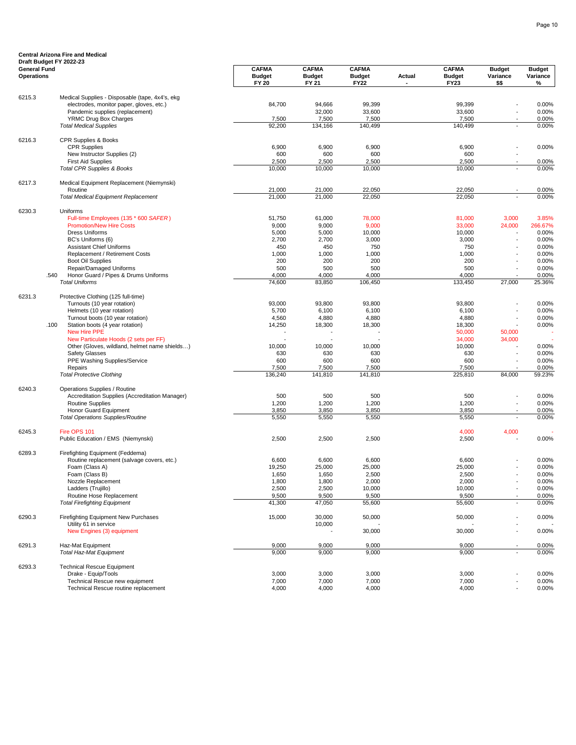|                                          | Draft Budget FY 2022-23                                                         |                                               |                                        |                                              |                                 |                                              |                                   |                                |
|------------------------------------------|---------------------------------------------------------------------------------|-----------------------------------------------|----------------------------------------|----------------------------------------------|---------------------------------|----------------------------------------------|-----------------------------------|--------------------------------|
| <b>General Fund</b><br><b>Operations</b> |                                                                                 | <b>CAFMA</b><br><b>Budget</b><br><b>FY 20</b> | <b>CAFMA</b><br><b>Budget</b><br>FY 21 | <b>CAFMA</b><br><b>Budget</b><br><b>FY22</b> | <b>Actual</b><br>$\blacksquare$ | <b>CAFMA</b><br><b>Budget</b><br><b>FY23</b> | <b>Budget</b><br>Variance<br>\$\$ | <b>Budget</b><br>Variance<br>% |
|                                          |                                                                                 |                                               |                                        |                                              |                                 |                                              |                                   |                                |
| 6215.3                                   | Medical Supplies - Disposable (tape, 4x4's, ekg                                 |                                               |                                        |                                              |                                 |                                              |                                   |                                |
|                                          | electrodes, monitor paper, gloves, etc.)                                        | 84,700                                        | 94,666<br>32,000                       | 99,399<br>33,600                             |                                 | 99,399<br>33,600                             |                                   | 0.00%<br>0.00%                 |
|                                          | Pandemic supplies (replacement)<br>YRMC Drug Box Charges                        | 7,500                                         | 7,500                                  | 7,500                                        |                                 | 7,500                                        |                                   | 0.00%                          |
|                                          | <b>Total Medical Supplies</b>                                                   | 92,200                                        | 134.166                                | 140,499                                      |                                 | 140,499                                      |                                   | 0.00%                          |
| 6216.3                                   | CPR Supplies & Books                                                            |                                               |                                        |                                              |                                 |                                              |                                   |                                |
|                                          | <b>CPR Supplies</b>                                                             | 6,900                                         | 6,900                                  | 6,900                                        |                                 | 6,900                                        |                                   | 0.00%                          |
|                                          | New Instructor Supplies (2)                                                     | 600                                           | 600                                    | 600                                          |                                 | 600                                          |                                   |                                |
|                                          | <b>First Aid Supplies</b>                                                       | 2,500                                         | 2,500                                  | 2,500                                        |                                 | 2,500                                        |                                   | 0.00%                          |
|                                          | <b>Total CPR Supplies &amp; Books</b>                                           | 10,000                                        | 10,000                                 | 10,000                                       |                                 | 10,000                                       |                                   | 0.00%                          |
| 6217.3                                   | Medical Equipment Replacement (Niemynski)<br>Routine                            | 21,000                                        | 21,000                                 | 22,050                                       |                                 | 22,050                                       |                                   | 0.00%                          |
|                                          | <b>Total Medical Equipment Replacement</b>                                      | 21,000                                        | 21,000                                 | 22,050                                       |                                 | 22,050                                       |                                   | 0.00%                          |
| 6230.3                                   | Uniforms                                                                        |                                               |                                        |                                              |                                 |                                              |                                   |                                |
|                                          | Full-time Employees (135 * 600 SAFER)                                           | 51,750                                        | 61,000                                 | 78,000                                       |                                 | 81,000                                       | 3,000                             | 3.85%                          |
|                                          | <b>Promotion/New Hire Costs</b>                                                 | 9,000                                         | 9,000                                  | 9,000                                        |                                 | 33,000                                       | 24,000                            | 266.67%                        |
|                                          | <b>Dress Uniforms</b>                                                           | 5,000                                         | 5,000                                  | 10,000                                       |                                 | 10,000                                       |                                   | 0.00%                          |
|                                          | BC's Uniforms (6)                                                               | 2,700                                         | 2,700                                  | 3,000                                        |                                 | 3,000                                        |                                   | 0.00%                          |
|                                          | <b>Assistant Chief Uniforms</b><br>Replacement / Retirement Costs               | 450<br>1,000                                  | 450<br>1,000                           | 750<br>1,000                                 |                                 | 750<br>1,000                                 |                                   | 0.00%<br>0.00%                 |
|                                          | <b>Boot Oil Supplies</b>                                                        | 200                                           | 200                                    | 200                                          |                                 | 200                                          |                                   | 0.00%                          |
|                                          | Repair/Damaged Uniforms                                                         | 500                                           | 500                                    | 500                                          |                                 | 500                                          |                                   | 0.00%                          |
|                                          | Honor Guard / Pipes & Drums Uniforms<br>.540                                    | 4,000                                         | 4,000                                  | 4,000                                        |                                 | 4,000                                        |                                   | 0.00%                          |
|                                          | <b>Total Uniforms</b>                                                           | 74,600                                        | 83,850                                 | 106,450                                      |                                 | 133,450                                      | 27,000                            | 25.36%                         |
| 6231.3                                   | Protective Clothing (125 full-time)                                             |                                               |                                        |                                              |                                 |                                              |                                   |                                |
|                                          | Turnouts (10 year rotation)                                                     | 93,000                                        | 93,800                                 | 93,800                                       |                                 | 93,800                                       |                                   | 0.00%                          |
|                                          | Helmets (10 year rotation)                                                      | 5,700                                         | 6,100                                  | 6,100                                        |                                 | 6,100                                        |                                   | 0.00%                          |
|                                          | Turnout boots (10 year rotation)                                                | 4,560                                         | 4,880                                  | 4,880                                        |                                 | 4,880                                        |                                   | 0.00%                          |
|                                          | .100<br>Station boots (4 year rotation)                                         | 14,250                                        | 18,300                                 | 18,300                                       |                                 | 18,300                                       |                                   | 0.00%                          |
|                                          | New Hire PPE                                                                    |                                               |                                        |                                              |                                 | 50,000                                       | 50,000                            |                                |
|                                          | New Particulate Hoods (2 sets per FF)                                           |                                               |                                        |                                              |                                 | 34,000                                       | 34,000                            |                                |
|                                          | Other (Gloves, wildland, helmet name shields)                                   | 10,000                                        | 10,000                                 | 10,000                                       |                                 | 10,000                                       |                                   | 0.00%                          |
|                                          | <b>Safety Glasses</b>                                                           | 630                                           | 630                                    | 630                                          |                                 | 630                                          |                                   | 0.00%                          |
|                                          | PPE Washing Supplies/Service                                                    | 600                                           | 600                                    | 600                                          |                                 | 600                                          |                                   | 0.00%                          |
|                                          | Repairs<br><b>Total Protective Clothing</b>                                     | 7,500<br>136,240                              | 7,500<br>141,810                       | 7,500<br>141,810                             |                                 | 7,500<br>225,810                             | 84,000                            | 0.00%<br>59.23%                |
|                                          |                                                                                 |                                               |                                        |                                              |                                 |                                              |                                   |                                |
| 6240.3                                   | Operations Supplies / Routine<br>Accreditation Supplies (Accreditation Manager) | 500                                           | 500                                    | 500                                          |                                 | 500                                          |                                   | 0.00%                          |
|                                          | <b>Routine Supplies</b>                                                         | 1,200                                         | 1,200                                  | 1,200                                        |                                 | 1,200                                        |                                   | 0.00%                          |
|                                          | Honor Guard Equipment                                                           | 3,850                                         | 3,850                                  | 3,850                                        |                                 | 3,850                                        |                                   | 0.00%                          |
|                                          | <b>Total Operations Supplies/Routine</b>                                        | 5,550                                         | 5,550                                  | 5,550                                        |                                 | 5,550                                        | L,                                | 0.00%                          |
| 6245.3                                   | Fire OPS 101                                                                    |                                               |                                        |                                              |                                 | 4,000                                        | 4,000                             |                                |
|                                          | Public Education / EMS (Niemynski)                                              | 2,500                                         | 2,500                                  | 2,500                                        |                                 | 2,500                                        |                                   | 0.00%                          |
| 6289.3                                   | Firefighting Equipment (Feddema)                                                |                                               |                                        |                                              |                                 |                                              |                                   |                                |
|                                          | Routine replacement (salvage covers, etc.)                                      | 6,600                                         | 6,600                                  | 6,600                                        |                                 | 6,600                                        |                                   | 0.00%                          |
|                                          | Foam (Class A)                                                                  | 19,250                                        | 25,000                                 | 25,000                                       |                                 | 25,000                                       |                                   | 0.00%                          |
|                                          | Foam (Class B)                                                                  | 1,650                                         | 1,650                                  | 2,500                                        |                                 | 2,500                                        |                                   | 0.00%                          |
|                                          | Nozzle Replacement                                                              | 1,800                                         | 1,800                                  | 2,000                                        |                                 | 2,000                                        |                                   | 0.00%                          |
|                                          | Ladders (Trujillo)                                                              | 2,500                                         | 2,500                                  | 10,000                                       |                                 | 10,000                                       | $\overline{a}$                    | 0.00%                          |
|                                          | Routine Hose Replacement                                                        | 9,500                                         | 9,500                                  | 9,500                                        |                                 | 9,500                                        |                                   | 0.00%                          |
|                                          | <b>Total Firefighting Equipment</b>                                             | 41,300                                        | 47,050                                 | 55,600                                       |                                 | 55,600                                       |                                   | 0.00%                          |
| 6290.3                                   | Firefighting Equipment New Purchases                                            | 15,000                                        | 30,000                                 | 50,000                                       |                                 | 50,000                                       |                                   | 0.00%                          |
|                                          | Utility 61 in service<br>New Engines (3) equipment                              |                                               | 10,000                                 | 30,000                                       |                                 | 30,000                                       |                                   | 0.00%                          |
| 6291.3                                   | Haz-Mat Equipment                                                               | 9,000                                         | 9,000                                  | 9,000                                        |                                 | 9,000                                        |                                   |                                |
|                                          | <b>Total Haz-Mat Equipment</b>                                                  | 9,000                                         | 9,000                                  | 9,000                                        |                                 | 9,000                                        | L,                                | 0.00%<br>0.00%                 |
| 6293.3                                   | <b>Technical Rescue Equipment</b>                                               |                                               |                                        |                                              |                                 |                                              |                                   |                                |
|                                          | Drake - Equip/Tools                                                             | 3,000                                         | 3,000                                  | 3,000                                        |                                 | 3,000                                        |                                   | 0.00%                          |
|                                          | <b>Technical Rescue new equipment</b>                                           | 7,000                                         | 7,000                                  | 7,000                                        |                                 | 7,000                                        |                                   | 0.00%                          |
|                                          | Technical Rescue routine replacement                                            | 4,000                                         | 4,000                                  | 4,000                                        |                                 | 4,000                                        |                                   | 0.00%                          |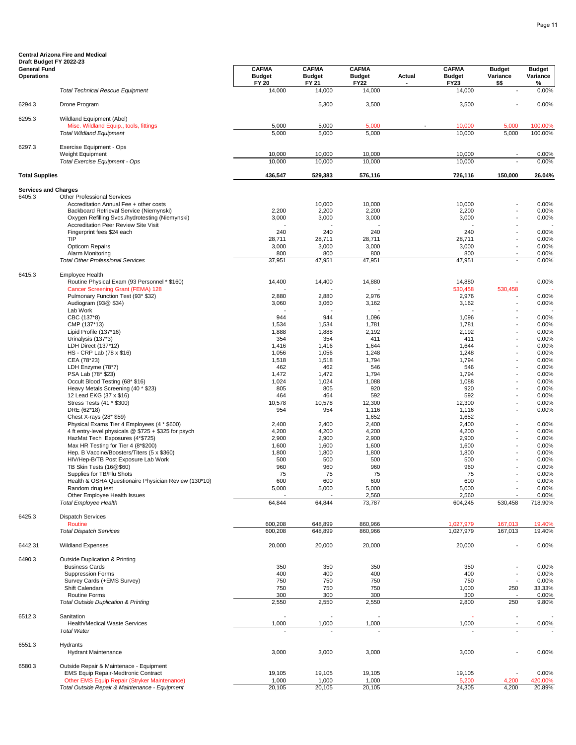#### **General Fund CAFMA CAFMA CAFMA CAFMA Budget Budget Operations Budget Budget Budget Actual Budget Variance Variance FY 20 FY 21 FY22 - FY23 \$\$ % Draft Budget FY 2022-23**  *Total Technical Rescue Equipment* 14,000 14,000 14,000 14,000 - 0.00% 6294.3 Drone Program 5,300 3,500 3,500 - 0.00% 6295.3 Wildland Equipment (Abel) Misc. Wildland Equip., tools, fittings **5.000** 5,000 5,000 5,000 5,000 5,000 5,000 5,000 5,000 5,000 5,000 100.00%<br>
For the Mildland Equipment 5,000 100.00% 5,000 5,000 5,000 5,000 5,000 5,000 5,000 5,000 100.00% **Total Wildland Equipment** 6297.3 Exercise Equipment - Ops Weight Equipment 10,000 10,000 10,000 10,000 - 0.00% *Total Exercise Equipment - Ops* 10,000 10,000 10,000 10,000 - 0.00% **Total Supplies 436,547 529,383 576,116 726,116 150,000 26.04% Services and Charges**<br>6405.3 Other F ntal gee<br>Other Professional Services Accreditation Annual Fee + other costs<br>
Accreditation Annual Fee + other costs<br>  $2,200$  10,000 10,000 10,000 10,000 10,000 2,200 2,200 10,000 2,200 10,000 10,000 10,000 10,000 10,000 10,000 Backboard Retrieval Service (Niemynski) <br>
2,200 2,200 2,200 2,200 2,200 2,200 2,200 2,200 2,200 2,200 2,200 2,200 2,200 - 0.00% Oxygen Refilling Svcs./hydrotesting (Niemynski) Accreditation Peer Review Site Visit - - - - - - Fingerprint fees \$24 each 240 240 240 240 - 0.00% TIP 28,711 28,711 28,711 28,711 - 0.00% Opticom Repairs 3,000 3,000 3,000 3,000 - 0.00% Alarm Monitoring 800 800 800 800 - 0.00% *Total Other Professional Services* 37,951 47,951 47,951 47,951 - 0.00% 6415.3 Employee Health Routine Physical Exam (93 Personnel \* \$160) 14,400 14,400 14,400 14,880 14,880 14,880 14,880 14,880 14,880 14,880 14,880 14,880 14,880 14,880 14,880 14,880 14,880 14,880 14,880 14,880 14,880 14,880 14,880 14,880 14,880 14, Cancer Screening Grant (FEMA) 128 - - - 530,458 530,458 - Pulmonary Function Test (93\* \$32) 2,880 2,880 2,976 2,976 - 0.00% Audiogram (93@ \$34) 3,060 3,060 3,162 3,162 3,162 3,162 3,162 3,162 3,162 3,162 3,162 3,162 3,162 3,162 3,162 3,162 3,162 3,162 3,162 3,162 3,162 3,162 3,162 3,162 3,162 3,162 3,162 3,162 3,162 3,162 3,162 3,162 3,162 3,16 Lab Work - - - - - - CBC (137\*8) 944 944 1,096 1,096 - 0.00% CMP (137\*13) 1,534 1,534 1,781 1,781 - 0.00% Lipid Profile (137\*16) 1,888 1,888 2,192 2,192 - 0.00% Urinalysis (137\*3) 354 354 411 411 - 0.00% LDH Direct (137\*12) 1,416 1,416 1,644 1,644 - 0.00% HS - CRP Lab (78 x \$16) 1,056 1,056 1,248 1,248 0.00% <br>CEA (78\*23) 1,518 1,794 1,794 0.00% CEA (78\*23) 1,518 1,518 1,794 1,794 - 0.00% LDH Enzyme (78\*7) 462 462 546 546 - 0.00% PSA Lab (78\* \$23) 1,472 1,472 1,794 1,794 - 0.00% Occult Blood Testing (68\* \$16) 000% 1,024 1,024 1,024 1,088 1,088 1,088 1,088 1,088 1,088 1,088 1,088 1,088 1,088 1,088 1,088 1,088 1,088 1,088 1,088 1,088 1,088 1,088 1,088 1,088 1,088 1,088 1,088 1,088 1,088 1,089 1,000 Heavy Metals Screening (40 \* \$23) 805 805 920 920 - 0.00% 12 Lead EKG (37 x \$16) 464 592 592 0.00% Stress Tests (41 \* \$300) 10,578 10,578 12,300 12,300 - 0.00% DRE (62\*18) 954 954 1,116 1,116 - 0.00% Chest X-rays (28\* \$59) 1,652 1,652 1,652 1,652 1,652 1,652 1,652 1,652 1,652 1,652 1,652 1,652 1,652 1,652 1,652 1,652 1,652 1,652 1,652 1,652 1,652 1,652 1,652 1,652 1,652 1,652 1,652 1,652 1,652 1,652 1,400 1,400 1,400 1 Physical Exams Tier 4 Employees (4 \* \$600) <br>
9.000 2,400 2,400 2,400 2,400 2,400 2,400 2,400 2,400 2,400 2,400 2,400 2,400 2,200 2,400 2,400 2,400 2,400 - 0.00% 4 ft entry-level physicals @ \$725 + \$325 for psych 4 and the state of the 4,200 4,200 4,200 4,200 4,200 4,200<br>AlazMat Tech Exposures (4\*\$725) 4.200 5.2000 9.900 9.900 9.900 9.900 9.900 9.900 9.900 9.900 4.200 4.200 9.900 HazMat Tech Exposures (4\*\$725) 2,900 2,900 2,900 2,900 - 0.00% Max HR Testing for Tier 4 (8\*\$200) 1,600 1,600 1,600 1,600 - 0.00% Hep. B Vaccine/Boosters/Titers (5 x \$360) 1,800 1,800 1,800 1,800 1,800 1,800 1,800 1,800 1,800 - 0.00% 1,800<br>HIV/Hep-B/TB Post Exposure Lab Work 1,800 1,800 500 500 500 500 500 500 500 - 0.00% HIV/Hep-B/TB Post Exposure Lab Work 500 500 500 500 - 0.00% TB Skin Tests (16@\$60) 960 960 960 960 - 0.00% Supplies for TB/Flu Shots<br>
Health & OSHA Ouestionaire Physician Review (130\*10)<br>
Health & OSHA Ouestionaire Physician Review (130\*10) 600 600 600 600 600 600 600 600 600 - 0.00% Health & OSHA Questionaire Physician Review (130\*10) 600 600 600 600 - 0.00% Random drug test 6.00 to the state of the state of the state 5,000 5,000 5,000 5,000 5,000 5,000 5,000 5,000 5,000 5,000 5,000 5,000 5,000 5,000 5,000 5,000 5,000 5,000 5,000 5,000 5,000 5,000 5,000 5,000 5,000 5,000 5,000 Other Employee Health Issues **- 2,560** 2,560 2,560 2,560 2,560 2,560 2,560 2,560 2,560 2,560 2,560 2,560 2,560 2,560 2,560 2,560 2,560 2,560 2,560 2,560 2,560 2,560 2,560 2,560 2,560 2,560 2,560 2,560 2,560 2,560 2,560 2,5 *Total Employee Health* 64,844 64,844 73,787 604,245 530,458 718.90% 6425.3 Dispatch Services Routine 600,208 648,899 860,966 1,027,979 167,013 19.40% *Total Dispatch Services* 600,208 648,899 860,966 1,027,979 167,013 19.40% 6442.31 Wildland Expenses 20,000 20,000 20,000 20,000 - 0.00% 6490.3 Outside Duplication & Printing Business Cards 350 350 350 350 - 0.00% Suppression Forms 400 400 400 400 - 0.00% Survey Cards (+EMS Survey) 750 750 750 750 - 0.00% Shift Calendars 750 750 750 1,000 250 33.33% Routine Forms 300 300 300 300 - 0.00% *Total Outside Duplication & Printing* 2,550 2,550 2,550 2,800 250 9.80% 6512.3 Sanitation - - - - - - Health/Medical Waste Services **1,000** 1,000 1,000 1,000 1,000 1,000 1,000 1,000 1,000 1,000 1,000 1,000 1,000 1,000 1,000 1,000 1,000 1,000 1,000 1,000 1,000 1,000 1,000 1,000 1,000 1,000 1,000 1,000 1,000 1,000 1,000 1,00 *Total Water* - - - - - - 6551.3 Hydrants Hydrant Maintenance 3,000 3,000 3,000 3,000 - 0.00% 6580.3 Outside Repair & Maintenace - Equipment EMS Equip Repair-Medtronic Contract 0.00% (19,105 19,105 19,105 19,105 19,105 0.00% (19,105 0.00% 1,000 1,000 1,000 1,000 1,000 1,000 1,000 1,000 1,000 1,000 1,000 1,000 1,000 1,000 1,000 1,000 1,000 1,000 1,000 1,000 1,00 Other EMS Equip Repair (Stryker Maintenance)<br>
1,000 1,000 1,000 1,000 5,200 4,200 4,200 420.00%<br>
1,000 5,200 5,200 4,200 5,200 5,200 5,200 5,200 5,200 5,200 5,200 5,200 5,200 5,200 5,200 5,200 5,200 5,200 5 **Total Outside Repair & Maintenance - Equipment**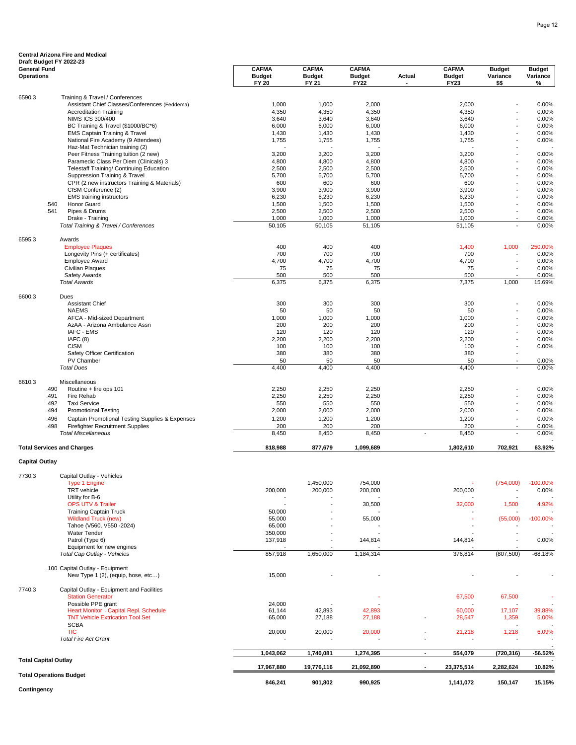|                                          | Central Arizona Fire and Medical<br>Draft Budget FY 2022-23                      |                                               |                                        |                                              |        |                                              |                                   |                                |
|------------------------------------------|----------------------------------------------------------------------------------|-----------------------------------------------|----------------------------------------|----------------------------------------------|--------|----------------------------------------------|-----------------------------------|--------------------------------|
| <b>General Fund</b><br><b>Operations</b> |                                                                                  | <b>CAFMA</b><br><b>Budget</b><br><b>FY 20</b> | <b>CAFMA</b><br><b>Budget</b><br>FY 21 | <b>CAFMA</b><br><b>Budget</b><br><b>FY22</b> | Actual | <b>CAFMA</b><br><b>Budget</b><br><b>FY23</b> | <b>Budget</b><br>Variance<br>\$\$ | <b>Budget</b><br>Variance<br>% |
|                                          |                                                                                  |                                               |                                        |                                              |        |                                              |                                   |                                |
| 6590.3                                   | Training & Travel / Conferences<br>Assistant Chief Classes/Conferences (Feddema) | 1,000                                         | 1,000                                  | 2,000                                        |        | 2,000                                        |                                   | 0.00%                          |
|                                          | <b>Accreditation Training</b>                                                    | 4,350                                         | 4,350                                  | 4,350                                        |        | 4,350                                        |                                   | 0.00%                          |
|                                          | <b>NIMS ICS 300/400</b>                                                          | 3,640                                         | 3,640                                  | 3,640                                        |        | 3,640                                        |                                   | 0.00%                          |
|                                          | BC Training & Travel (\$1000/BC*6)                                               | 6,000                                         | 6,000                                  | 6,000                                        |        | 6,000                                        |                                   | 0.00%                          |
|                                          | <b>EMS Captain Training &amp; Travel</b>                                         | 1,430                                         | 1,430                                  | 1,430                                        |        | 1,430                                        |                                   | 0.00%                          |
|                                          | National Fire Academy (9 Attendees)                                              | 1,755                                         | 1,755                                  | 1,755                                        |        | 1,755                                        |                                   | 0.00%                          |
|                                          | Haz-Mat Technician training (2)                                                  |                                               |                                        |                                              |        |                                              |                                   |                                |
|                                          | Peer Fitness Training tuition (2 new)<br>Paramedic Class Per Diem (Clinicals) 3  | 3,200<br>4,800                                | 3,200<br>4,800                         | 3,200<br>4,800                               |        | 3,200<br>4,800                               |                                   | 0.00%<br>0.00%                 |
|                                          | <b>Telestaff Training/ Continuing Education</b>                                  | 2,500                                         | 2,500                                  | 2,500                                        |        | 2,500                                        |                                   | 0.00%                          |
|                                          | Suppression Training & Travel                                                    | 5,700                                         | 5,700                                  | 5,700                                        |        | 5,700                                        |                                   | 0.00%                          |
|                                          | CPR (2 new instructors Training & Materials)                                     | 600                                           | 600                                    | 600                                          |        | 600                                          |                                   | 0.00%                          |
|                                          | CISM Conference (2)                                                              | 3,900                                         | 3,900                                  | 3,900                                        |        | 3,900                                        |                                   | 0.00%                          |
|                                          | <b>EMS</b> training instructors                                                  | 6,230                                         | 6,230                                  | 6,230                                        |        | 6,230                                        |                                   | 0.00%                          |
|                                          | <b>Honor Guard</b><br>.540<br>.541<br>Pipes & Drums                              | 1,500<br>2,500                                | 1,500<br>2,500                         | 1,500<br>2,500                               |        | 1,500<br>2,500                               | $\overline{a}$                    | 0.00%<br>0.00%                 |
|                                          | Drake - Training                                                                 | 1,000                                         | 1,000                                  | 1,000                                        |        | 1,000                                        |                                   | 0.00%                          |
|                                          | Total Training & Travel / Conferences                                            | 50,105                                        | 50,105                                 | 51,105                                       |        | 51,105                                       |                                   | 0.00%                          |
|                                          |                                                                                  |                                               |                                        |                                              |        |                                              |                                   |                                |
| 6595.3                                   | Awards<br><b>Employee Plaques</b>                                                | 400                                           | 400                                    | 400                                          |        | 1,400                                        | 1,000                             | 250.00%                        |
|                                          | Longevity Pins (+ certificates)                                                  | 700                                           | 700                                    | 700                                          |        | 700                                          |                                   | 0.00%                          |
|                                          | <b>Employee Award</b>                                                            | 4,700                                         | 4,700                                  | 4,700                                        |        | 4,700                                        |                                   | 0.00%                          |
|                                          | <b>Civilian Plaques</b>                                                          | 75                                            | 75                                     | 75                                           |        | 75                                           |                                   | 0.00%                          |
|                                          | Safety Awards                                                                    | 500                                           | 500                                    | 500                                          |        | 500                                          |                                   | 0.00%                          |
|                                          | <b>Total Awards</b>                                                              | 6,375                                         | 6,375                                  | 6,375                                        |        | 7,375                                        | 1,000                             | 15.69%                         |
| 6600.3                                   | Dues                                                                             |                                               |                                        |                                              |        |                                              |                                   |                                |
|                                          | <b>Assistant Chief</b><br><b>NAEMS</b>                                           | 300<br>50                                     | 300                                    | 300<br>50                                    |        | 300                                          |                                   | 0.00%                          |
|                                          | AFCA - Mid-sized Department                                                      | 1,000                                         | 50<br>1,000                            | 1,000                                        |        | 50<br>1,000                                  |                                   | 0.00%<br>0.00%                 |
|                                          | AzAA - Arizona Ambulance Assn                                                    | 200                                           | 200                                    | 200                                          |        | 200                                          |                                   | 0.00%                          |
|                                          | IAFC - EMS                                                                       | 120                                           | 120                                    | 120                                          |        | 120                                          |                                   | 0.00%                          |
|                                          | IAFC(8)                                                                          | 2,200                                         | 2,200                                  | 2,200                                        |        | 2,200                                        |                                   | 0.00%                          |
|                                          | <b>CISM</b>                                                                      | 100                                           | 100                                    | 100                                          |        | 100                                          | $\overline{a}$                    | 0.00%                          |
|                                          | Safety Officer Certification                                                     | 380                                           | 380                                    | 380                                          |        | 380                                          |                                   |                                |
|                                          | PV Chamber<br><b>Total Dues</b>                                                  | 50<br>4,400                                   | 50<br>4,400                            | 50<br>4,400                                  |        | 50<br>4,400                                  | ÷                                 | 0.00%<br>0.00%                 |
|                                          |                                                                                  |                                               |                                        |                                              |        |                                              |                                   |                                |
| 6610.3                                   | Miscellaneous<br>.490<br>Routine + fire ops 101                                  | 2,250                                         | 2,250                                  | 2,250                                        |        | 2,250                                        |                                   | 0.00%                          |
|                                          | Fire Rehab<br>.491                                                               | 2,250                                         | 2,250                                  | 2,250                                        |        | 2,250                                        |                                   | 0.00%                          |
|                                          | .492<br><b>Taxi Service</b>                                                      | 550                                           | 550                                    | 550                                          |        | 550                                          |                                   | 0.00%                          |
|                                          | .494<br><b>Promotioinal Testing</b>                                              | 2,000                                         | 2,000                                  | 2,000                                        |        | 2,000                                        |                                   | 0.00%                          |
|                                          | .496<br>Captain Promotional Testing Supplies & Expenses                          | 1,200                                         | 1,200                                  | 1,200                                        |        | 1,200                                        |                                   | 0.00%                          |
|                                          | .498<br><b>Firefighter Recruitment Supplies</b><br><b>Total Miscellaneous</b>    | 200<br>8,450                                  | 200<br>8,450                           | 200<br>8,450                                 |        | 200<br>8,450                                 | $\overline{a}$                    | 0.00%<br>0.00%                 |
|                                          |                                                                                  |                                               |                                        |                                              |        |                                              |                                   |                                |
|                                          | <b>Total Services and Charges</b>                                                | 818,988                                       | 877,679                                | 1,099,689                                    |        | 1,802,610                                    | 702,921                           | 63.92%                         |
| <b>Capital Outlay</b>                    |                                                                                  |                                               |                                        |                                              |        |                                              |                                   |                                |
| 7730.3                                   | Capital Outlay - Vehicles                                                        |                                               |                                        |                                              |        |                                              |                                   |                                |
|                                          | <b>Type 1 Engine</b>                                                             |                                               | 1,450,000                              | 754,000                                      |        |                                              | (754,000)                         | $-100.00\%$                    |
|                                          | TRT vehicle                                                                      | 200,000                                       | 200,000                                | 200,000                                      |        | 200,000                                      |                                   | 0.00%                          |
|                                          | Utility for B-6<br><b>OPS UTV &amp; Trailer</b>                                  |                                               |                                        | 30,500                                       |        | 32,000                                       | 1,500                             | 4.92%                          |
|                                          | <b>Training Captain Truck</b>                                                    | 50,000                                        |                                        |                                              |        |                                              |                                   |                                |
|                                          | <b>Wildland Truck (new)</b>                                                      | 55,000                                        |                                        | 55,000                                       |        |                                              | (55,000)                          | $-100.00\%$                    |
|                                          | Tahoe (V560, V550 -2024)                                                         | 65,000                                        |                                        |                                              |        |                                              |                                   |                                |
|                                          | Water Tender                                                                     | 350,000                                       |                                        |                                              |        |                                              |                                   |                                |
|                                          | Patrol (Type 6)                                                                  | 137,918                                       | $\overline{a}$                         | 144,814                                      |        | 144,814                                      |                                   | 0.00%                          |
|                                          | Equipment for new engines<br>Total Cap Outlay - Vehicles                         | 857,918                                       | 1,650,000                              | 1,184,314                                    |        | 376,814                                      | (807, 500)                        | $-68.18%$                      |
|                                          |                                                                                  |                                               |                                        |                                              |        |                                              |                                   |                                |
|                                          | .100 Capital Outlay - Equipment<br>New Type 1 (2), (equip, hose, etc)            | 15,000                                        |                                        |                                              |        |                                              |                                   |                                |
| 7740.3                                   | Capital Outlay - Equipment and Facilities                                        |                                               |                                        |                                              |        |                                              |                                   |                                |
|                                          | <b>Station Generator</b><br>Possible PPE grant                                   | 24,000                                        |                                        |                                              |        | 67,500                                       | 67,500                            |                                |
|                                          | Heart Monitor - Capital Repl. Schedule                                           | 61,144                                        | 42,893                                 | 42,893                                       |        | 60,000                                       | 17,107                            | 39.88%                         |
|                                          | <b>TNT Vehicle Extrication Tool Set</b>                                          | 65,000                                        | 27,188                                 | 27,188                                       |        | 28,547                                       | 1,359                             | 5.00%                          |
|                                          | SCRA                                                                             |                                               |                                        |                                              |        |                                              |                                   |                                |

| <b>SCBA</b><br><b>TIC</b><br><b>Total Fire Act Grant</b> | 20,000     | 20,000<br>$\sim$ | 20,000<br>$\overline{\phantom{a}}$ | . . | 21.218<br>- | 1,218      | 6.09%<br>$\overline{\phantom{0}}$  |
|----------------------------------------------------------|------------|------------------|------------------------------------|-----|-------------|------------|------------------------------------|
|                                                          | 1,043,062  | 1,740,081        | 1,274,395                          |     | 554,079     | (720, 316) | $-56.52%$                          |
| <b>Total Capital Outlay</b>                              | 17.967.880 | 19,776,116       | 21,092,890                         |     | 23,375,514  | 2,282,624  | $\overline{\phantom{a}}$<br>10.82% |
| <b>Total Operations Budget</b>                           | 846.241    | 901,802          | 990,925                            |     | 1.141.072   | 150.147    | 15.15%                             |
| Contingency                                              |            |                  |                                    |     |             |            |                                    |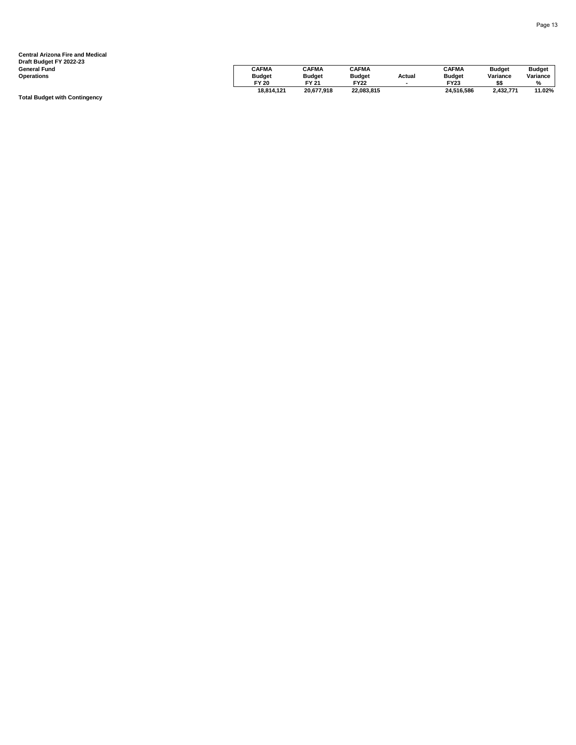| Draft Budget FY 2022-23 |               |               |               |        |               |               |               |
|-------------------------|---------------|---------------|---------------|--------|---------------|---------------|---------------|
| General Fund            | <b>CAFMA</b>  | <b>CAFMA</b>  | <b>CAFMA</b>  |        | <b>CAFMA</b>  | <b>Budget</b> | <b>Budget</b> |
| Operations              | <b>Budget</b> | <b>Budget</b> | <b>Budget</b> | Actual | <b>Budget</b> | Variance      | Variance      |
|                         | FY 20         | FY 21         | <b>FY22</b>   |        | FY23          |               | $\frac{9}{6}$ |
|                         | 18,814,121    | 20,677,918    | 22,083,815    |        | 24.516.586    | 2,432,771     | 11.02%        |

**Total Budget with Contingency**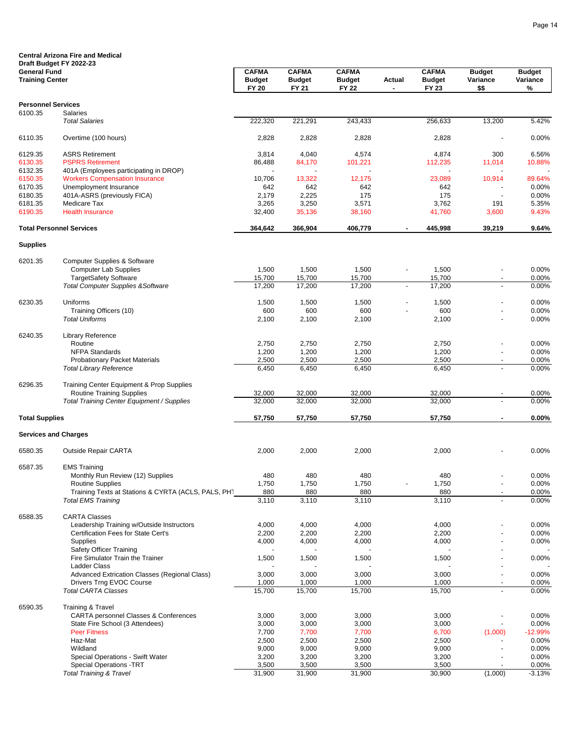|                                               | <b>Central Arizona Fire and Medical</b>                                       |                               |                               |                               |                |                        |                                   |                                |
|-----------------------------------------------|-------------------------------------------------------------------------------|-------------------------------|-------------------------------|-------------------------------|----------------|------------------------|-----------------------------------|--------------------------------|
|                                               | Draft Budget FY 2022-23                                                       | <b>CAFMA</b>                  | <b>CAFMA</b>                  | <b>CAFMA</b>                  |                | <b>CAFMA</b>           |                                   |                                |
| <b>General Fund</b><br><b>Training Center</b> |                                                                               | <b>Budget</b><br><b>FY 20</b> | <b>Budget</b><br><b>FY 21</b> | <b>Budget</b><br><b>FY 22</b> | Actual         | <b>Budget</b><br>FY 23 | <b>Budget</b><br>Variance<br>\$\$ | <b>Budget</b><br>Variance<br>% |
| <b>Personnel Services</b>                     |                                                                               |                               |                               |                               |                |                        |                                   |                                |
| 6100.35                                       | Salaries<br><b>Total Salaries</b>                                             | 222,320                       | 221,291                       | 243,433                       |                | 256,633                | 13,200                            | 5.42%                          |
| 6110.35                                       | Overtime (100 hours)                                                          | 2,828                         | 2,828                         | 2,828                         |                | 2,828                  |                                   | 0.00%                          |
| 6129.35                                       | <b>ASRS Retirement</b>                                                        | 3,814                         | 4,040                         | 4,574                         |                | 4,874                  | 300                               | 6.56%                          |
| 6130.35                                       | <b>PSPRS Retirement</b>                                                       | 86,488                        | 84,170                        | 101,221                       |                | 112,235                | 11,014                            | 10.88%                         |
| 6132.35                                       | 401A (Employees participating in DROP)                                        |                               |                               |                               |                |                        |                                   |                                |
| 6150.35                                       | <b>Workers Compensation Insurance</b>                                         | 10,706                        | 13,322                        | 12,175                        |                | 23,089                 | 10,914                            | 89.64%                         |
| 6170.35                                       | Unemployment Insurance                                                        | 642                           | 642                           | 642<br>175                    |                | 642<br>175             |                                   | 0.00%                          |
| 6180.35<br>6181.35                            | 401A-ASRS (previously FICA)<br>Medicare Tax                                   | 2,179<br>3,265                | 2,225<br>3,250                | 3,571                         |                | 3,762                  | 191                               | 0.00%<br>5.35%                 |
| 6190.35                                       | <b>Health Insurance</b>                                                       | 32,400                        | 35,136                        | 38,160                        |                | 41,760                 | 3,600                             | 9.43%                          |
|                                               | <b>Total Personnel Services</b>                                               | 364,642                       | 366,904                       | 406,779                       |                | 445,998                | 39,219                            | 9.64%                          |
| <b>Supplies</b>                               |                                                                               |                               |                               |                               |                |                        |                                   |                                |
|                                               | Computer Supplies & Software                                                  |                               |                               |                               |                |                        |                                   |                                |
| 6201.35                                       | <b>Computer Lab Supplies</b>                                                  | 1,500                         | 1,500                         | 1,500                         |                | 1,500                  | -                                 | 0.00%                          |
|                                               | <b>TargetSafety Software</b>                                                  | 15,700                        | 15,700                        | 15,700                        |                | 15,700                 |                                   | 0.00%                          |
|                                               | <b>Total Computer Supplies &amp; Software</b>                                 | 17,200                        | 17,200                        | 17,200                        | $\blacksquare$ | 17,200                 |                                   | 0.00%                          |
|                                               |                                                                               |                               |                               |                               |                |                        |                                   |                                |
| 6230.35                                       | Uniforms                                                                      | 1,500                         | 1,500                         | 1,500                         |                | 1,500                  |                                   | 0.00%                          |
|                                               | Training Officers (10)<br><b>Total Uniforms</b>                               | 600<br>2,100                  | 600<br>2,100                  | 600<br>2,100                  |                | 600<br>2,100           |                                   | 0.00%<br>0.00%                 |
|                                               |                                                                               |                               |                               |                               |                |                        |                                   |                                |
| 6240.35                                       | Library Reference                                                             |                               |                               |                               |                |                        |                                   |                                |
|                                               | Routine                                                                       | 2,750                         | 2,750                         | 2,750                         |                | 2,750                  |                                   | 0.00%                          |
|                                               | <b>NFPA Standards</b>                                                         | 1,200                         | 1,200<br>2,500                | 1,200<br>2,500                |                | 1,200<br>2,500         |                                   | 0.00%                          |
|                                               | <b>Probationary Packet Materials</b><br><b>Total Library Reference</b>        | 2,500<br>6,450                | 6,450                         | 6,450                         |                | 6,450                  | $\overline{\phantom{a}}$          | 0.00%<br>0.00%                 |
|                                               |                                                                               |                               |                               |                               |                |                        |                                   |                                |
| 6296.35                                       | Training Center Equipment & Prop Supplies<br><b>Routine Training Supplies</b> | 32,000                        | 32,000                        | 32,000                        |                | 32,000                 |                                   | 0.00%                          |
|                                               | Total Training Center Equipment / Supplies                                    | 32,000                        | 32,000                        | 32,000                        |                | 32,000                 |                                   | 0.00%                          |
| <b>Total Supplies</b>                         |                                                                               | 57,750                        | 57,750                        | 57,750                        |                | 57,750                 |                                   | 0.00%                          |
|                                               | <b>Services and Charges</b>                                                   |                               |                               |                               |                |                        |                                   |                                |
| 6580.35                                       | <b>Outside Repair CARTA</b>                                                   | 2,000                         | 2,000                         | 2,000                         |                | 2,000                  |                                   | 0.00%                          |
| 6587.35                                       | <b>EMS Training</b>                                                           |                               |                               |                               |                |                        |                                   |                                |
|                                               | Monthly Run Review (12) Supplies                                              | 480                           | 480                           | 480                           |                | 480                    |                                   | 0.00%                          |
|                                               | <b>Routine Supplies</b>                                                       | 1,750                         | 1,750                         | 1,750                         |                | 1,750                  | $\overline{\phantom{a}}$          | 0.00%                          |
|                                               | Training Texts at Stations & CYRTA (ACLS, PALS, PHT                           | 880                           | 880                           | 880                           |                | 880                    | $\blacksquare$                    | 0.00%                          |
|                                               | <b>Total EMS Training</b>                                                     | 3,110                         | 3,110                         | 3,110                         |                | 3,110                  |                                   | 0.00%                          |
| 6588.35                                       | <b>CARTA Classes</b>                                                          |                               |                               |                               |                |                        |                                   |                                |
|                                               | Leadership Training w/Outside Instructors                                     | 4,000                         | 4,000                         | 4,000                         |                | 4,000                  |                                   | 0.00%                          |
|                                               | Certification Fees for State Cert's                                           | 2,200                         | 2,200                         | 2,200                         |                | 2,200                  |                                   | 0.00%                          |
|                                               | <b>Supplies</b>                                                               | 4,000                         | 4,000                         | 4,000                         |                | 4,000                  | L.                                | 0.00%                          |
|                                               | Safety Officer Training<br>Fire Simulator Train the Trainer                   | 1,500                         | 1,500                         | 1,500                         |                | 1,500                  |                                   |                                |
|                                               | <b>Ladder Class</b>                                                           |                               |                               |                               |                |                        |                                   | 0.00%                          |
|                                               | Advanced Extrication Classes (Regional Class)                                 | 3,000                         | 3,000                         | 3,000                         |                | 3,000                  | $\overline{\phantom{a}}$          | 0.00%                          |
|                                               | Drivers Trng EVOC Course                                                      | 1,000                         | 1,000                         | 1,000                         |                | 1,000                  | $\overline{\phantom{a}}$          | 0.00%                          |
|                                               | <b>Total CARTA Classes</b>                                                    | 15,700                        | 15,700                        | 15,700                        |                | 15,700                 | $\overline{\phantom{a}}$          | 0.00%                          |
| 6590.35                                       | <b>Training &amp; Travel</b>                                                  |                               |                               |                               |                |                        |                                   |                                |
|                                               | <b>CARTA personnel Classes &amp; Conferences</b>                              | 3,000                         | 3,000                         | 3,000                         |                | 3,000                  |                                   | 0.00%                          |
|                                               | State Fire School (3 Attendees)                                               | 3,000                         | 3,000                         | 3,000                         |                | 3,000                  |                                   | 0.00%                          |
|                                               | <b>Peer Fitness</b>                                                           | 7,700                         | 7,700                         | 7,700                         |                | 6,700                  | (1,000)                           | $-12.99%$                      |
|                                               | Haz-Mat<br>Wildland                                                           | 2,500                         | 2,500                         | 2,500                         |                | 2,500                  |                                   | 0.00%                          |
|                                               | Special Operations - Swift Water                                              | 9,000<br>3,200                | 9,000<br>3,200                | 9,000<br>3,200                |                | 9,000<br>3,200         |                                   | 0.00%<br>0.00%                 |
|                                               | <b>Special Operations -TRT</b>                                                | 3,500                         | 3,500                         | 3,500                         |                | 3,500                  |                                   | 0.00%                          |
|                                               | <b>Total Training &amp; Travel</b>                                            | 31,900                        | 31,900                        | 31,900                        |                | 30,900                 | (1,000)                           | $-3.13%$                       |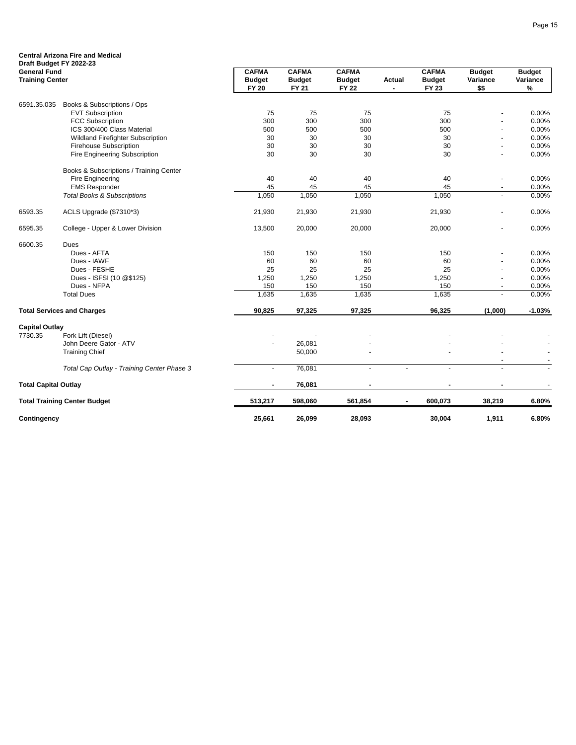| Draft Budget FY 2022-23     | <b>Central Arizona Fire and Medical</b>    |                               |                               |                               |                |                               |                          |                  |
|-----------------------------|--------------------------------------------|-------------------------------|-------------------------------|-------------------------------|----------------|-------------------------------|--------------------------|------------------|
| <b>General Fund</b>         |                                            | <b>CAFMA</b>                  | <b>CAFMA</b>                  | <b>CAFMA</b>                  |                | <b>CAFMA</b>                  | <b>Budget</b>            | <b>Budget</b>    |
| <b>Training Center</b>      |                                            | <b>Budget</b><br><b>FY 20</b> | <b>Budget</b><br><b>FY 21</b> | <b>Budget</b><br><b>FY 22</b> | Actual<br>٠    | <b>Budget</b><br><b>FY 23</b> | Variance<br>\$\$         | Variance<br>$\%$ |
| 6591.35.035                 | Books & Subscriptions / Ops                |                               |                               |                               |                |                               |                          |                  |
|                             | <b>EVT Subscription</b>                    | 75                            | 75                            | 75                            |                | 75                            |                          | 0.00%            |
|                             | <b>FCC Subscription</b>                    | 300                           | 300                           | 300                           |                | 300                           |                          | 0.00%            |
|                             | ICS 300/400 Class Material                 | 500                           | 500                           | 500                           |                | 500                           |                          | 0.00%            |
|                             | Wildland Firefighter Subscription          | 30                            | 30                            | 30                            |                | 30                            | ÷,                       | 0.00%            |
|                             | <b>Firehouse Subscription</b>              | 30                            | 30                            | 30                            |                | 30                            | ÷,                       | 0.00%            |
|                             | Fire Engineering Subscription              | 30                            | 30                            | 30                            |                | 30                            |                          | 0.00%            |
|                             | Books & Subscriptions / Training Center    |                               |                               |                               |                |                               |                          |                  |
|                             | Fire Engineering                           | 40                            | 40                            | 40                            |                | 40                            | ÷,                       | 0.00%            |
|                             | <b>EMS Responder</b>                       | 45                            | 45                            | 45                            |                | 45                            |                          | 0.00%            |
|                             | <b>Total Books &amp; Subscriptions</b>     | 1,050                         | 1,050                         | 1,050                         |                | 1,050                         | ä,                       | 0.00%            |
| 6593.35                     | ACLS Upgrade (\$7310*3)                    | 21,930                        | 21,930                        | 21,930                        |                | 21,930                        | ä,                       | 0.00%            |
| 6595.35                     | College - Upper & Lower Division           | 13,500                        | 20,000                        | 20,000                        |                | 20,000                        | ä,                       | 0.00%            |
| 6600.35                     | Dues                                       |                               |                               |                               |                |                               |                          |                  |
|                             | Dues - AFTA                                | 150                           | 150                           | 150                           |                | 150                           | ÷,                       | 0.00%            |
|                             | Dues - IAWF                                | 60                            | 60                            | 60                            |                | 60                            | ÷,                       | 0.00%            |
|                             | Dues - FESHE                               | 25                            | 25                            | 25                            |                | 25                            | ä,                       | 0.00%            |
|                             | Dues - ISFSI (10 @\$125)                   | 1,250                         | 1,250                         | 1,250                         |                | 1,250                         | ÷,                       | 0.00%            |
|                             | Dues - NFPA                                | 150                           | 150                           | 150                           |                | 150                           | $\overline{\phantom{a}}$ | 0.00%            |
|                             | <b>Total Dues</b>                          | 1,635                         | 1,635                         | 1,635                         |                | 1,635                         | ÷,                       | 0.00%            |
|                             | <b>Total Services and Charges</b>          | 90,825                        | 97,325                        | 97,325                        |                | 96,325                        | (1,000)                  | $-1.03%$         |
| <b>Capital Outlay</b>       |                                            |                               |                               |                               |                |                               |                          |                  |
| 7730.35                     | Fork Lift (Diesel)                         |                               |                               |                               |                |                               |                          |                  |
|                             | John Deere Gator - ATV                     |                               | 26,081                        |                               |                |                               |                          |                  |
|                             | <b>Training Chief</b>                      |                               | 50,000                        |                               |                |                               |                          |                  |
|                             | Total Cap Outlay - Training Center Phase 3 | $\blacksquare$                | 76,081                        | $\overline{\phantom{a}}$      |                | $\overline{\phantom{a}}$      |                          |                  |
| <b>Total Capital Outlay</b> |                                            |                               | 76,081                        |                               |                |                               |                          |                  |
|                             | <b>Total Training Center Budget</b>        | 513,217                       | 598,060                       | 561,854                       | $\blacksquare$ | 600,073                       | 38,219                   | 6.80%            |
| Contingency                 |                                            | 25,661                        | 26,099                        | 28,093                        |                | 30,004                        | 1,911                    | 6.80%            |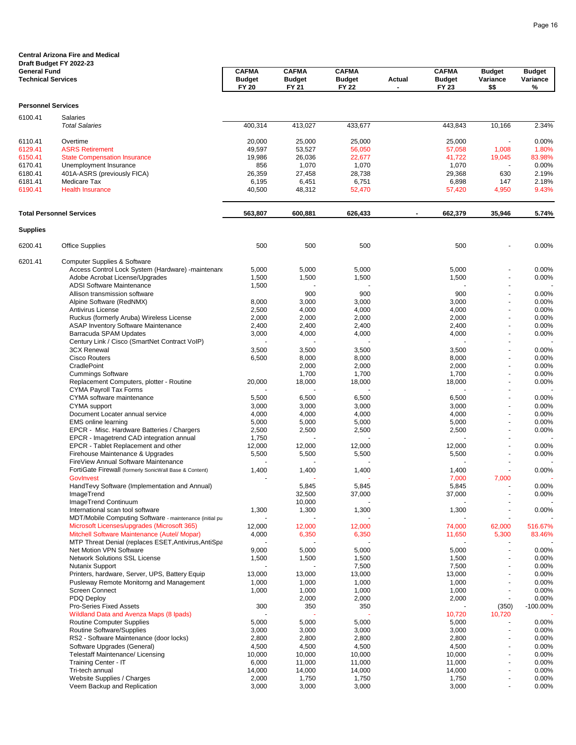|                                                  | <b>Central Arizona Fire and Medical</b>                                         |                                               |                                        |                                               |        |                                        |                                   |                                |
|--------------------------------------------------|---------------------------------------------------------------------------------|-----------------------------------------------|----------------------------------------|-----------------------------------------------|--------|----------------------------------------|-----------------------------------|--------------------------------|
| <b>General Fund</b><br><b>Technical Services</b> | Draft Budget FY 2022-23                                                         | <b>CAFMA</b><br><b>Budget</b><br><b>FY 20</b> | <b>CAFMA</b><br><b>Budget</b><br>FY 21 | <b>CAFMA</b><br><b>Budget</b><br><b>FY 22</b> | Actual | <b>CAFMA</b><br><b>Budget</b><br>FY 23 | <b>Budget</b><br>Variance<br>\$\$ | <b>Budget</b><br>Variance<br>% |
|                                                  |                                                                                 |                                               |                                        |                                               |        |                                        |                                   |                                |
| <b>Personnel Services</b>                        |                                                                                 |                                               |                                        |                                               |        |                                        |                                   |                                |
| 6100.41                                          | Salaries<br><b>Total Salaries</b>                                               | 400,314                                       | 413,027                                | 433,677                                       |        | 443,843                                | 10,166                            | 2.34%                          |
| 6110.41                                          | Overtime                                                                        | 20,000                                        | 25,000                                 | 25,000                                        |        | 25,000                                 | ÷,                                | 0.00%                          |
| 6129.41                                          | <b>ASRS Retirement</b>                                                          | 49,597                                        | 53,527                                 | 56,050                                        |        | 57,058                                 | 1,008                             | 1.80%                          |
| 6150.41                                          | <b>State Compensation Insurance</b>                                             | 19,986                                        | 26,036                                 | 22,677                                        |        | 41,722                                 | 19,045                            | 83.98%                         |
| 6170.41                                          | Unemployment Insurance                                                          | 856                                           | 1,070                                  | 1,070                                         |        | 1,070                                  |                                   | 0.00%                          |
| 6180.41                                          | 401A-ASRS (previously FICA)                                                     | 26,359                                        | 27,458                                 | 28,738                                        |        | 29,368                                 | 630                               | 2.19%                          |
| 6181.41<br>6190.41                               | Medicare Tax<br><b>Health Insurance</b>                                         | 6,195<br>40,500                               | 6,451<br>48,312                        | 6,751<br>52,470                               |        | 6,898<br>57,420                        | 147<br>4,950                      | 2.18%<br>9.43%                 |
|                                                  | <b>Total Personnel Services</b>                                                 | 563,807                                       | 600,881                                | 626,433                                       |        | 662,379                                | 35,946                            | 5.74%                          |
| <b>Supplies</b>                                  |                                                                                 |                                               |                                        |                                               |        |                                        |                                   |                                |
| 6200.41                                          | <b>Office Supplies</b>                                                          | 500                                           | 500                                    | 500                                           |        | 500                                    |                                   | 0.00%                          |
| 6201.41                                          | Computer Supplies & Software                                                    |                                               |                                        |                                               |        |                                        |                                   |                                |
|                                                  | Access Control Lock System (Hardware) -maintenand                               | 5,000                                         | 5,000                                  | 5,000                                         |        | 5,000                                  |                                   | 0.00%                          |
|                                                  | Adobe Acrobat License/Upgrades                                                  | 1,500                                         | 1,500                                  | 1,500                                         |        | 1,500                                  |                                   | 0.00%                          |
|                                                  | <b>ADSI Software Maintenance</b>                                                | 1,500                                         |                                        |                                               |        |                                        |                                   |                                |
|                                                  | Allison transmission software                                                   |                                               | 900                                    | 900                                           |        | 900                                    | $\blacksquare$                    | 0.00%                          |
|                                                  | Alpine Software (RedNMX)                                                        | 8,000                                         | 3,000                                  | 3,000                                         |        | 3,000                                  |                                   | 0.00%                          |
|                                                  | Antivirus License                                                               | 2,500                                         | 4,000                                  | 4,000                                         |        | 4,000                                  | $\overline{a}$                    | 0.00%                          |
|                                                  | Ruckus (formerly Aruba) Wireless License                                        | 2,000                                         | 2,000                                  | 2,000                                         |        | 2,000                                  |                                   | 0.00%                          |
|                                                  | ASAP Inventory Software Maintenance<br>Barracuda SPAM Updates                   | 2,400<br>3,000                                | 2,400<br>4,000                         | 2,400<br>4,000                                |        | 2,400<br>4,000                         |                                   | 0.00%<br>0.00%                 |
|                                                  | Century Link / Cisco (SmartNet Contract VoIP)                                   |                                               |                                        |                                               |        |                                        |                                   |                                |
|                                                  | <b>3CX Renewal</b>                                                              | 3,500                                         | 3,500                                  | 3,500                                         |        | 3,500                                  |                                   | 0.00%                          |
|                                                  | <b>Cisco Routers</b>                                                            | 6,500                                         | 8,000                                  | 8,000                                         |        | 8,000                                  |                                   | 0.00%                          |
|                                                  | CradlePoint                                                                     |                                               | 2,000                                  | 2,000                                         |        | 2,000                                  | ÷,                                | 0.00%                          |
|                                                  | <b>Cummings Software</b>                                                        |                                               | 1,700                                  | 1,700                                         |        | 1,700                                  | $\ddot{\phantom{1}}$              | 0.00%                          |
|                                                  | Replacement Computers, plotter - Routine<br><b>CYMA Payroll Tax Forms</b>       | 20,000                                        | 18,000                                 | 18,000                                        |        | 18,000                                 |                                   | $0.00\%$                       |
|                                                  | CYMA software maintenance                                                       | 5,500                                         | 6,500                                  | 6,500                                         |        | 6,500                                  |                                   | 0.00%                          |
|                                                  | CYMA support                                                                    | 3,000                                         | 3,000                                  | 3,000                                         |        | 3,000                                  |                                   | 0.00%                          |
|                                                  | Document Locater annual service                                                 | 4,000                                         | 4,000                                  | 4,000                                         |        | 4,000                                  |                                   | 0.00%                          |
|                                                  | <b>EMS</b> online learning                                                      | 5,000                                         | 5,000                                  | 5,000                                         |        | 5,000                                  | $\blacksquare$                    | 0.00%                          |
|                                                  | EPCR - Misc. Hardware Batteries / Chargers                                      | 2,500                                         | 2,500                                  | 2,500                                         |        | 2,500                                  | $\blacksquare$                    | 0.00%                          |
|                                                  | EPCR - Imagetrend CAD integration annual<br>EPCR - Tablet Replacement and other | 1,750<br>12,000                               | 12,000                                 | 12,000                                        |        | 12,000                                 |                                   | 0.00%                          |
|                                                  | Firehouse Maintenance & Upgrades                                                | 5,500                                         | 5,500                                  | 5,500                                         |        | 5,500                                  |                                   | 0.00%                          |
|                                                  | FireView Annual Software Maintenance                                            |                                               |                                        |                                               |        |                                        |                                   |                                |
|                                                  | FortiGate Firewall (formerly SonicWall Base & Content)                          | 1,400                                         | 1,400                                  | 1,400                                         |        | 1,400                                  |                                   | 0.00%                          |
|                                                  | GovInvest                                                                       |                                               |                                        |                                               |        | 7,000                                  | 7,000                             |                                |
|                                                  | HandTevy Software (Implementation and Annual)<br>ImageTrend                     |                                               | 5,845<br>32,500                        | 5,845<br>37,000                               |        | 5,845<br>37,000                        |                                   | $0.00\%$<br>0.00%              |
|                                                  | ImageTrend Continuum                                                            |                                               | 10,000                                 |                                               |        |                                        |                                   |                                |
|                                                  | International scan tool software                                                | 1,300                                         | 1,300                                  | 1,300                                         |        | 1,300                                  | $\blacksquare$                    | 0.00%                          |
|                                                  | MDT/Mobile Computing Software - maintenance (initial pu                         |                                               |                                        |                                               |        |                                        |                                   |                                |
|                                                  | Microsoft Licenses/upgrades (Microsoft 365)                                     | 12,000                                        | 12,000                                 | 12,000                                        |        | 74,000                                 | 62,000                            | 516.67%                        |
|                                                  | Mitchell Software Maintenance (Autel/ Mopar)                                    | 4,000                                         | 6,350                                  | 6,350                                         |        | 11,650                                 | 5,300                             | 83.46%                         |
|                                                  | MTP Threat Denial (replaces ESET, Antivirus, AntiSpa                            |                                               |                                        |                                               |        |                                        |                                   |                                |
|                                                  | Net Motion VPN Software                                                         | 9,000                                         | 5,000                                  | 5,000                                         |        | 5,000                                  |                                   | 0.00%                          |
|                                                  | <b>Network Solutions SSL License</b>                                            | 1,500                                         | 1,500                                  | 1,500                                         |        | 1,500                                  | $\overline{\phantom{a}}$          | 0.00%                          |
|                                                  | <b>Nutanix Support</b><br>Printers, hardware, Server, UPS, Battery Equip        |                                               |                                        | 7,500                                         |        | 7,500                                  | $\overline{a}$<br>$\blacksquare$  | 0.00%                          |
|                                                  | Pusleway Remote Monitorng and Management                                        | 13,000<br>1,000                               | 13,000<br>1,000                        | 13,000<br>1,000                               |        | 13,000<br>1,000                        | ä,                                | 0.00%<br>0.00%                 |
|                                                  | <b>Screen Connect</b>                                                           | 1,000                                         | 1,000                                  | 1,000                                         |        | 1,000                                  | ÷,                                | 0.00%                          |
|                                                  | <b>PDQ Deploy</b>                                                               |                                               | 2,000                                  | 2,000                                         |        | 2,000                                  | $\blacksquare$                    | 0.00%                          |
|                                                  | Pro-Series Fixed Assets                                                         | 300                                           | 350                                    | 350                                           |        |                                        | (350)                             | $-100.00\%$                    |
|                                                  | Wildland Data and Avenza Maps (8 Ipads)                                         |                                               |                                        |                                               |        | 10,720                                 | 10,720                            |                                |
|                                                  | <b>Routine Computer Supplies</b>                                                | 5,000                                         | 5,000                                  | 5,000                                         |        | 5,000                                  |                                   | 0.00%                          |
|                                                  | Routine Software/Supplies                                                       | 3,000                                         | 3,000                                  | 3,000                                         |        | 3,000                                  |                                   | 0.00%                          |
|                                                  | RS2 - Software Maintenance (door locks)                                         | 2,800                                         | 2,800                                  | 2,800                                         |        | 2,800                                  | ÷,                                | 0.00%                          |
|                                                  | Software Upgrades (General)                                                     | 4,500                                         | 4,500                                  | 4,500                                         |        | 4,500                                  | $\overline{a}$                    | 0.00%                          |
|                                                  | <b>Telestaff Maintenance/ Licensing</b>                                         | 10,000                                        | 10,000                                 | 10,000                                        |        | 10,000                                 | $\overline{a}$                    | 0.00%                          |
|                                                  | Training Center - IT                                                            | 6,000                                         | 11,000                                 | 11,000                                        |        | 11,000                                 | $\overline{a}$                    | 0.00%                          |
|                                                  | Tri-tech annual                                                                 | 14,000                                        | 14,000                                 | 14,000                                        |        | 14,000                                 | $\ddot{\phantom{0}}$              | 0.00%                          |
|                                                  | Website Supplies / Charges<br>Veem Backup and Replication                       | 2,000<br>3,000                                | 1,750<br>3,000                         | 1,750<br>3,000                                |        | 1,750<br>3,000                         |                                   | 0.00%<br>0.00%                 |
|                                                  |                                                                                 |                                               |                                        |                                               |        |                                        |                                   |                                |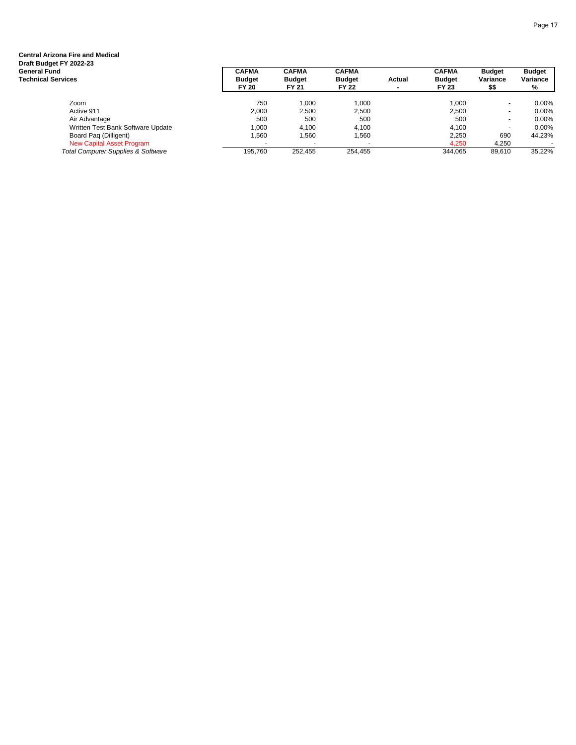| Central Arizona Fire and Medical<br>Draft Budget FY 2022-23<br>General Fund<br>Technical Services | <b>CAFMA</b><br><b>Budget</b><br><b>FY 20</b> | <b>CAFMA</b><br><b>Budget</b><br><b>FY 21</b> | <b>CAFMA</b><br><b>Budget</b><br><b>FY 22</b> | Actual | <b>CAFMA</b><br><b>Budget</b><br><b>FY 23</b> | <b>Budget</b><br>Variance<br>\$\$ | <b>Budget</b><br>Variance<br>% |
|---------------------------------------------------------------------------------------------------|-----------------------------------------------|-----------------------------------------------|-----------------------------------------------|--------|-----------------------------------------------|-----------------------------------|--------------------------------|
|                                                                                                   |                                               |                                               |                                               |        |                                               |                                   |                                |
| Zoom                                                                                              | 750                                           | 1.000                                         | 1.000                                         |        | 1.000                                         | $\blacksquare$                    | $0.00\%$                       |
| Active 911                                                                                        | 2,000                                         | 2,500                                         | 2.500                                         |        | 2,500                                         | $\blacksquare$                    | $0.00\%$                       |
| Air Advantage                                                                                     | 500                                           | 500                                           | 500                                           |        | 500                                           | $\overline{\phantom{a}}$          | $0.00\%$                       |
| Written Test Bank Software Update                                                                 | 1,000                                         | 4,100                                         | 4.100                                         |        | 4,100                                         | $\overline{a}$                    | $0.00\%$                       |
| Board Pag (Dilligent)                                                                             | .560                                          | 1,560                                         | 1,560                                         |        | 2,250                                         | 690                               | 44.23%                         |
| New Capital Asset Program                                                                         |                                               |                                               |                                               |        | 4.250                                         | 4.250                             |                                |
| <b>Total Computer Supplies &amp; Software</b>                                                     | 195,760                                       | 252,455                                       | 254,455                                       |        | 344.065                                       | 89,610                            | 35.22%                         |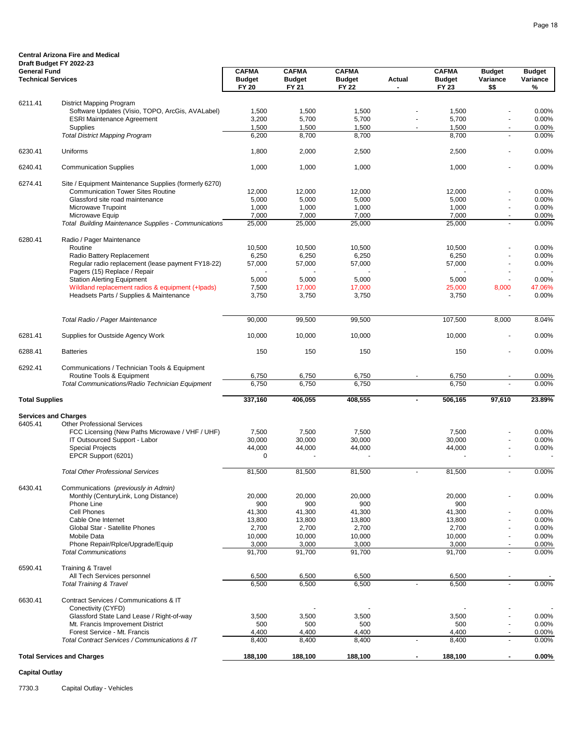|                                                  | Draft Budget FY 2022-23                                                                           |                                               |                                        |                                               |                |                                        |                                   |                                |
|--------------------------------------------------|---------------------------------------------------------------------------------------------------|-----------------------------------------------|----------------------------------------|-----------------------------------------------|----------------|----------------------------------------|-----------------------------------|--------------------------------|
| <b>General Fund</b><br><b>Technical Services</b> |                                                                                                   | <b>CAFMA</b><br><b>Budget</b><br><b>FY 20</b> | <b>CAFMA</b><br><b>Budget</b><br>FY 21 | <b>CAFMA</b><br><b>Budget</b><br><b>FY 22</b> | Actual         | <b>CAFMA</b><br><b>Budget</b><br>FY 23 | <b>Budget</b><br>Variance<br>\$\$ | <b>Budget</b><br>Variance<br>% |
|                                                  |                                                                                                   |                                               |                                        |                                               |                |                                        |                                   |                                |
| 6211.41                                          | District Mapping Program<br>Software Updates (Visio, TOPO, ArcGis, AVALabel)                      | 1,500                                         | 1,500                                  | 1,500                                         |                | 1,500                                  |                                   | 0.00%                          |
|                                                  | <b>ESRI Maintenance Agreement</b>                                                                 | 3,200                                         | 5,700                                  | 5,700                                         |                | 5,700                                  |                                   | 0.00%                          |
|                                                  | Supplies                                                                                          | 1,500                                         | 1,500                                  | 1,500                                         |                | 1,500                                  |                                   | 0.00%                          |
|                                                  | <b>Total District Mapping Program</b>                                                             | 6,200                                         | 8,700                                  | 8,700                                         |                | 8,700                                  |                                   | 0.00%                          |
| 6230.41                                          | Uniforms                                                                                          | 1,800                                         | 2,000                                  | 2,500                                         |                | 2,500                                  |                                   | $0.00\%$                       |
| 6240.41                                          | <b>Communication Supplies</b>                                                                     | 1,000                                         | 1,000                                  | 1,000                                         |                | 1,000                                  |                                   | 0.00%                          |
|                                                  |                                                                                                   |                                               |                                        |                                               |                |                                        |                                   |                                |
| 6274.41                                          | Site / Equipment Maintenance Supplies (formerly 6270)<br><b>Communication Tower Sites Routine</b> | 12,000                                        | 12,000                                 | 12,000                                        |                | 12,000                                 |                                   | 0.00%                          |
|                                                  | Glassford site road maintenance                                                                   | 5,000                                         | 5,000                                  | 5,000                                         |                | 5,000                                  |                                   | 0.00%                          |
|                                                  | Microwave Trupoint                                                                                | 1,000                                         | 1,000                                  | 1,000                                         |                | 1,000                                  | $\blacksquare$                    | 0.00%                          |
|                                                  | Microwave Equip                                                                                   | 7,000                                         | 7,000                                  | 7,000                                         |                | 7,000                                  |                                   | 0.00%                          |
|                                                  | <b>Total Building Maintenance Supplies - Communications</b>                                       | 25,000                                        | 25,000                                 | 25,000                                        |                | 25,000                                 | $\blacksquare$                    | 0.00%                          |
| 6280.41                                          | Radio / Pager Maintenance                                                                         |                                               |                                        |                                               |                |                                        |                                   |                                |
|                                                  | Routine                                                                                           | 10,500                                        | 10,500                                 | 10,500                                        |                | 10,500                                 |                                   | 0.00%                          |
|                                                  | Radio Battery Replacement                                                                         | 6,250                                         | 6,250                                  | 6,250                                         |                | 6,250                                  |                                   | 0.00%                          |
|                                                  | Regular radio replacement (lease payment FY18-22)                                                 | 57,000                                        | 57,000                                 | 57,000                                        |                | 57,000                                 |                                   | 0.00%                          |
|                                                  | Pagers (15) Replace / Repair                                                                      |                                               |                                        |                                               |                |                                        |                                   |                                |
|                                                  | <b>Station Alerting Equipment</b>                                                                 | 5,000                                         | 5,000                                  | 5,000                                         |                | 5,000                                  | $\blacksquare$                    | 0.00%                          |
|                                                  | Wildland replacement radios & equipment (+Ipads)                                                  | 7,500                                         | 17,000                                 | 17,000                                        |                | 25,000                                 | 8,000                             | 47.06%<br>0.00%                |
|                                                  | Headsets Parts / Supplies & Maintenance                                                           | 3,750                                         | 3,750                                  | 3,750                                         |                | 3,750                                  |                                   |                                |
|                                                  | Total Radio / Pager Maintenance                                                                   | 90,000                                        | 99,500                                 | 99,500                                        |                | 107,500                                | 8,000                             | 8.04%                          |
| 6281.41                                          | Supplies for Oustside Agency Work                                                                 | 10,000                                        | 10,000                                 | 10,000                                        |                | 10,000                                 |                                   | 0.00%                          |
| 6288.41                                          | <b>Batteries</b>                                                                                  | 150                                           | 150                                    | 150                                           |                | 150                                    |                                   | 0.00%                          |
| 6292.41                                          | Communications / Technician Tools & Equipment                                                     |                                               |                                        |                                               |                |                                        |                                   |                                |
|                                                  | Routine Tools & Equipment                                                                         | 6,750                                         | 6,750                                  | 6,750                                         |                | 6,750                                  |                                   | 0.00%                          |
|                                                  | Total Communications/Radio Technician Equipment                                                   | 6,750                                         | 6,750                                  | 6,750                                         |                | 6,750                                  |                                   | 0.00%                          |
| <b>Total Supplies</b>                            |                                                                                                   | 337,160                                       | 406,055                                | 408,555                                       | $\blacksquare$ | 506,165                                | 97,610                            | 23.89%                         |
|                                                  |                                                                                                   |                                               |                                        |                                               |                |                                        |                                   |                                |
|                                                  | <b>Services and Charges</b>                                                                       |                                               |                                        |                                               |                |                                        |                                   |                                |
| 6405.41                                          | <b>Other Professional Services</b><br>FCC Licensing (New Paths Microwave / VHF / UHF)             | 7,500                                         | 7,500                                  | 7,500                                         |                | 7,500                                  |                                   | 0.00%                          |
|                                                  | IT Outsourced Support - Labor                                                                     | 30,000                                        | 30,000                                 | 30,000                                        |                | 30,000                                 |                                   | $0.00\%$                       |
|                                                  | <b>Special Projects</b>                                                                           | 44,000                                        | 44,000                                 | 44,000                                        |                | 44,000                                 |                                   | 0.00%                          |
|                                                  | EPCR Support (6201)                                                                               | 0                                             |                                        |                                               |                |                                        |                                   |                                |
|                                                  | <b>Total Other Professional Services</b>                                                          | 81,500                                        | 81,500                                 | 81.500                                        | $\blacksquare$ | 81,500                                 |                                   | 0.00%                          |
|                                                  |                                                                                                   |                                               |                                        |                                               |                |                                        |                                   |                                |
| 6430.41                                          | Communications (previously in Admin)<br>Monthly (CenturyLink, Long Distance)                      |                                               |                                        |                                               |                |                                        |                                   |                                |
|                                                  | Phone Line                                                                                        | 20,000<br>900                                 | 20,000<br>900                          | 20,000<br>900                                 |                | 20,000<br>900                          |                                   | 0.00%                          |
|                                                  | Cell Phones                                                                                       | 41,300                                        | 41,300                                 | 41,300                                        |                | 41,300                                 |                                   | 0.00%                          |
|                                                  | Cable One Internet                                                                                | 13,800                                        | 13,800                                 | 13,800                                        |                | 13,800                                 |                                   | 0.00%                          |
|                                                  | Global Star - Satellite Phones                                                                    | 2,700                                         | 2,700                                  | 2,700                                         |                | 2,700                                  |                                   | 0.00%                          |
|                                                  | Mobile Data                                                                                       | 10,000                                        | 10,000                                 | 10,000                                        |                | 10,000                                 | $\blacksquare$                    | 0.00%                          |
|                                                  | Phone Repair/Rplce/Upgrade/Equip                                                                  | 3,000                                         | 3,000                                  | 3,000                                         |                | 3,000                                  |                                   | 0.00%                          |
|                                                  | <b>Total Communications</b>                                                                       | 91,700                                        | 91,700                                 | 91,700                                        |                | 91,700                                 | $\blacksquare$                    | 0.00%                          |
| 6590.41                                          | Training & Travel                                                                                 |                                               |                                        |                                               |                |                                        |                                   |                                |
|                                                  | All Tech Services personnel                                                                       | 6,500                                         | 6,500                                  | 6,500                                         |                | 6,500                                  |                                   | $\overline{\phantom{a}}$       |
|                                                  | <b>Total Training &amp; Travel</b>                                                                | 6,500                                         | 6,500                                  | 6,500                                         |                | 6,500                                  |                                   | 0.00%                          |
| 6630.41                                          | Contract Services / Communications & IT                                                           |                                               |                                        |                                               |                |                                        |                                   |                                |
|                                                  | Conectivity (CYFD)                                                                                |                                               |                                        |                                               |                |                                        |                                   |                                |
|                                                  | Glassford State Land Lease / Right-of-way                                                         | 3,500                                         | 3,500                                  | 3,500                                         |                | 3,500                                  |                                   | 0.00%                          |
|                                                  | Mt. Francis Improvement District<br>Forest Service - Mt. Francis                                  | 500                                           | 500                                    | 500                                           |                | 500                                    |                                   | 0.00%                          |
|                                                  | Total Contract Services / Communications & IT                                                     | 4,400<br>8,400                                | 4,400<br>8,400                         | 4,400<br>8,400                                |                | 4,400<br>8,400                         | $\overline{\phantom{a}}$          | 0.00%<br>0.00%                 |
|                                                  |                                                                                                   |                                               |                                        |                                               |                |                                        |                                   |                                |
|                                                  | <b>Total Services and Charges</b>                                                                 | 188,100                                       | 188,100                                | 188,100                                       |                | 188,100                                |                                   | $0.00\%$                       |

### **Capital Outlay**

7730.3 Capital Outlay - Vehicles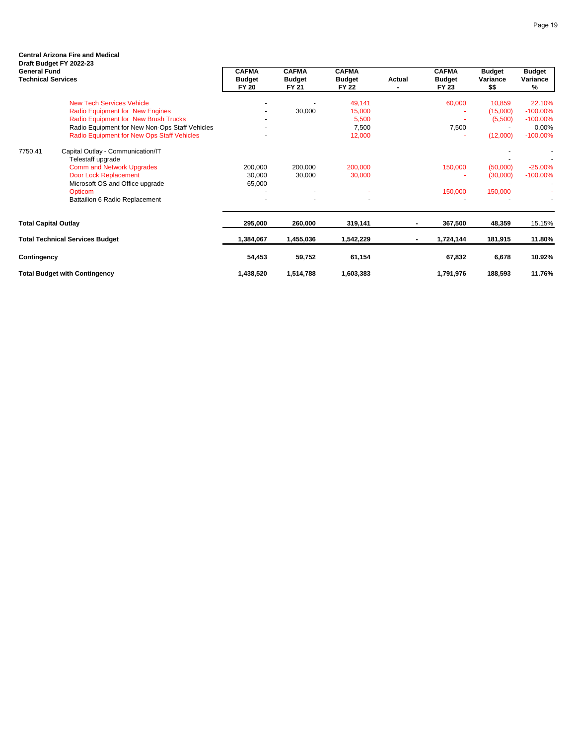### **Central Arizona Fire and Medical Draft Budget FY 2022-23**

| <b>General Fund</b><br><b>Technical Services</b> |                                                        | CAFMA<br><b>Budget</b><br><b>FY 20</b> | <b>CAFMA</b><br><b>Budget</b><br>FY 21 | CAFMA<br><b>Budget</b><br><b>FY 22</b> | Actual | <b>CAFMA</b><br><b>Budget</b><br><b>FY 23</b> | <b>Budget</b><br>Variance<br>\$\$ | Budget<br>Variance<br>% |
|--------------------------------------------------|--------------------------------------------------------|----------------------------------------|----------------------------------------|----------------------------------------|--------|-----------------------------------------------|-----------------------------------|-------------------------|
|                                                  | <b>New Tech Services Vehicle</b>                       |                                        |                                        | 49,141                                 |        | 60,000                                        | 10,859                            | 22.10%                  |
|                                                  | <b>Radio Equipment for New Engines</b>                 |                                        | 30,000                                 | 15,000                                 |        |                                               | (15,000)                          | $-100.00\%$             |
|                                                  | <b>Radio Equipment for New Brush Trucks</b>            |                                        |                                        | 5,500                                  |        |                                               | (5,500)                           | $-100.00\%$             |
|                                                  | Radio Equipment for New Non-Ops Staff Vehicles         |                                        |                                        | 7,500                                  |        | 7,500                                         |                                   | 0.00%                   |
|                                                  | Radio Equipment for New Ops Staff Vehicles             |                                        |                                        | 12,000                                 |        |                                               | (12,000)                          | $-100.00\%$             |
| 7750.41                                          | Capital Outlay - Communication/IT<br>Telestaff upgrade |                                        |                                        |                                        |        |                                               |                                   |                         |
|                                                  | <b>Comm and Network Upgrades</b>                       | 200,000                                | 200,000                                | 200,000                                |        | 150,000                                       | (50,000)                          | $-25.00\%$              |
|                                                  | Door Lock Replacement                                  | 30,000                                 | 30,000                                 | 30,000                                 |        |                                               | (30,000)                          | $-100.00\%$             |
|                                                  | Microsoft OS and Office upgrade                        | 65,000                                 |                                        |                                        |        |                                               |                                   |                         |
|                                                  | Opticom                                                |                                        |                                        |                                        |        | 150,000                                       | 150,000                           |                         |
|                                                  | Battailion 6 Radio Replacement                         |                                        |                                        |                                        |        |                                               |                                   |                         |
| <b>Total Capital Outlay</b>                      |                                                        | 295,000                                | 260,000                                | 319,141                                |        | 367,500                                       | 48,359                            | 15.15%                  |
|                                                  | <b>Total Technical Services Budget</b>                 | 1,384,067                              | 1,455,036                              | 1,542,229                              |        | 1,724,144                                     | 181,915                           | 11.80%                  |
| Contingency                                      |                                                        | 54,453                                 | 59,752                                 | 61,154                                 |        | 67,832                                        | 6,678                             | 10.92%                  |
|                                                  | <b>Total Budget with Contingency</b>                   | 1,438,520                              | 1,514,788                              | 1,603,383                              |        | 1,791,976                                     | 188,593                           | 11.76%                  |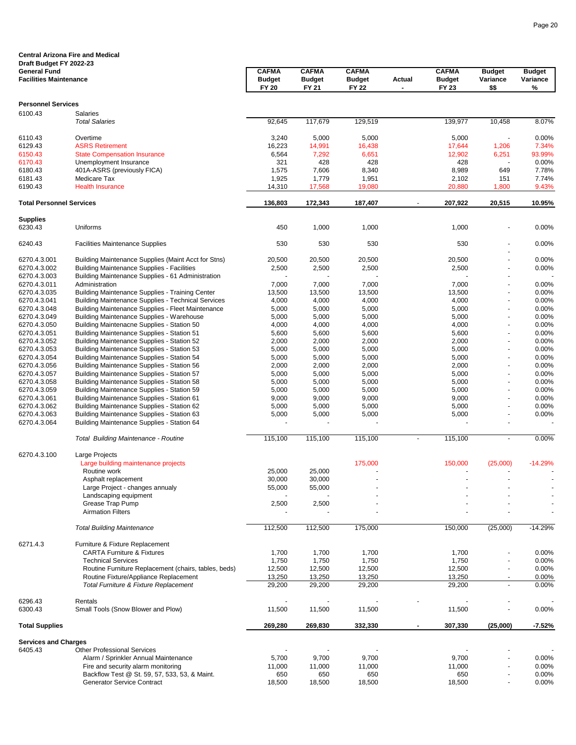|                                                      | <b>Central Arizona Fire and Medical</b>                                        |                               |                               |                               |                |                               |                                  |                           |
|------------------------------------------------------|--------------------------------------------------------------------------------|-------------------------------|-------------------------------|-------------------------------|----------------|-------------------------------|----------------------------------|---------------------------|
| Draft Budget FY 2022-23                              |                                                                                |                               |                               |                               |                |                               |                                  |                           |
| <b>General Fund</b><br><b>Facilities Maintenance</b> |                                                                                | <b>CAFMA</b><br><b>Budget</b> | <b>CAFMA</b><br><b>Budget</b> | <b>CAFMA</b><br><b>Budget</b> | Actual         | <b>CAFMA</b><br><b>Budget</b> | <b>Budget</b><br>Variance        | <b>Budget</b><br>Variance |
|                                                      |                                                                                | <b>FY 20</b>                  | FY 21                         | <b>FY 22</b>                  | $\blacksquare$ | FY 23                         | \$\$                             | %                         |
| <b>Personnel Services</b>                            |                                                                                |                               |                               |                               |                |                               |                                  |                           |
| 6100.43                                              | Salaries                                                                       |                               |                               |                               |                |                               |                                  |                           |
|                                                      | <b>Total Salaries</b>                                                          | 92,645                        | 117,679                       | 129,519                       |                | 139,977                       | 10,458                           | 8.07%                     |
| 6110.43                                              | Overtime                                                                       | 3,240                         | 5,000                         | 5,000                         |                | 5,000                         |                                  | 0.00%                     |
| 6129.43                                              | <b>ASRS Retirement</b>                                                         | 16,223                        | 14,991                        | 16,438                        |                | 17,644                        | 1,206                            | 7.34%                     |
| 6150.43                                              | <b>State Compensation Insurance</b>                                            | 6,564                         | 7,292                         | 6,651                         |                | 12,902                        | 6,251                            | 93.99%                    |
| 6170.43                                              | Unemployment Insurance                                                         | 321                           | 428                           | 428                           |                | 428                           |                                  | 0.00%                     |
| 6180.43                                              | 401A-ASRS (previously FICA)                                                    | 1,575                         | 7,606                         | 8,340                         |                | 8,989                         | 649                              | 7.78%                     |
| 6181.43                                              | Medicare Tax                                                                   | 1,925                         | 1,779                         | 1,951                         |                | 2,102                         | 151                              | 7.74%                     |
| 6190.43                                              | <b>Health Insurance</b>                                                        | 14,310                        | 17,568                        | 19,080                        |                | 20,880                        | 1,800                            | 9.43%                     |
| <b>Total Personnel Services</b>                      |                                                                                | 136,803                       | 172,343                       | 187,407                       |                | 207,922                       | 20,515                           | 10.95%                    |
| <b>Supplies</b>                                      |                                                                                |                               |                               |                               |                |                               |                                  |                           |
| 6230.43                                              | Uniforms                                                                       | 450                           | 1,000                         | 1,000                         |                | 1,000                         |                                  | 0.00%                     |
| 6240.43                                              | <b>Facilities Maintenance Supplies</b>                                         | 530                           | 530                           | 530                           |                | 530                           |                                  | 0.00%                     |
| 6270.4.3.001                                         | Building Maintenance Supplies (Maint Acct for Stns)                            | 20,500                        | 20,500                        | 20,500                        |                | 20,500                        |                                  | 0.00%                     |
| 6270.4.3.002                                         | <b>Building Maintenance Supplies - Facilities</b>                              | 2,500                         | 2,500                         | 2,500                         |                | 2,500                         | $\frac{1}{2}$                    | 0.00%                     |
| 6270.4.3.003                                         | Building Maintenance Supplies - 61 Administration                              |                               |                               |                               |                |                               |                                  |                           |
| 6270.4.3.011                                         | Administration                                                                 | 7,000                         | 7,000                         | 7,000                         |                | 7,000                         |                                  | 0.00%                     |
| 6270.4.3.035                                         | <b>Building Maintenance Supplies - Training Center</b>                         | 13,500                        | 13,500                        | 13,500                        |                | 13,500                        |                                  | 0.00%                     |
| 6270.4.3.041                                         | <b>Building Maintenance Supplies - Technical Services</b>                      | 4,000                         | 4,000                         | 4,000                         |                | 4,000                         |                                  | 0.00%                     |
| 6270.4.3.048                                         | Building Maintenance Supplies - Fleet Maintenance                              | 5,000                         | 5,000                         | 5,000                         |                | 5,000                         | $\overline{a}$                   | 0.00%                     |
| 6270.4.3.049                                         | <b>Building Maintenance Supplies - Warehouse</b>                               | 5,000                         | 5,000                         | 5,000                         |                | 5,000                         |                                  | 0.00%                     |
| 6270.4.3.050                                         | Building Maintenacne Supplies - Station 50                                     | 4,000                         | 4,000                         | 4,000                         |                | 4,000                         | $\overline{a}$                   | 0.00%                     |
| 6270.4.3.051                                         | Building Maintenance Supplies - Station 51                                     | 5,600                         | 5,600                         | 5,600                         |                | 5,600                         |                                  | 0.00%                     |
| 6270.4.3.052                                         | Building Maintenance Supplies - Station 52                                     | 2,000                         | 2,000                         | 2,000                         |                | 2,000                         | $\overline{a}$                   | 0.00%                     |
| 6270.4.3.053                                         | Building Maintenance Supplies - Station 53                                     | 5,000                         | 5,000                         | 5,000                         |                | 5,000                         |                                  | 0.00%                     |
| 6270.4.3.054                                         | Building Maintenance Supplies - Station 54                                     | 5,000                         | 5,000                         | 5,000                         |                | 5,000                         | $\blacksquare$                   | 0.00%                     |
| 6270.4.3.056                                         | Building Maintenance Supplies - Station 56                                     | 2,000                         | 2,000                         | 2,000                         |                | 2,000                         | $\overline{a}$                   | 0.00%                     |
| 6270.4.3.057                                         | Building Maintenance Supplies - Station 57                                     | 5,000                         | 5,000                         | 5,000                         |                | 5,000                         | $\blacksquare$                   | 0.00%                     |
| 6270.4.3.058                                         | Building Maintenance Supplies - Station 58                                     | 5,000                         | 5,000                         | 5,000                         |                | 5,000                         | $\overline{a}$                   | 0.00%                     |
| 6270.4.3.059                                         | Building Maintenance Supplies - Station 59                                     | 5,000                         | 5,000                         | 5,000                         |                | 5,000                         |                                  | 0.00%                     |
| 6270.4.3.061                                         | Building Maintenance Supplies - Station 61                                     | 9,000                         | 9,000                         | 9,000                         |                | 9,000                         | $\overline{a}$                   | 0.00%                     |
| 6270.4.3.062                                         | Building Maintenance Supplies - Station 62                                     | 5,000                         | 5,000                         | 5,000                         |                | 5,000                         | ٠                                | 0.00%                     |
| 6270.4.3.063                                         | Building Maintenance Supplies - Station 63                                     | 5,000                         | 5,000                         | 5,000                         |                | 5,000                         | $\frac{1}{2}$                    | 0.00%                     |
| 6270.4.3.064                                         | Building Maintenance Supplies - Station 64                                     |                               |                               |                               |                |                               | ä,                               |                           |
|                                                      | Total Building Maintenance - Routine                                           | 115,100                       | 115,100                       | 115,100                       | $\blacksquare$ | 115,100                       | $\blacksquare$                   | 0.00%                     |
| 6270.4.3.100                                         | Large Projects                                                                 |                               |                               |                               |                |                               |                                  |                           |
|                                                      | Large building maintenance projects                                            |                               |                               | 175,000                       |                | 150,000                       | (25,000)                         | $-14.29%$                 |
|                                                      | Routine work                                                                   | 25,000                        | 25,000                        |                               |                |                               |                                  |                           |
|                                                      | Asphalt replacement                                                            | 30,000                        | 30,000                        |                               |                |                               |                                  |                           |
|                                                      | Large Project - changes annualy                                                | 55,000                        | 55,000                        |                               |                |                               |                                  |                           |
|                                                      | Landscaping equipment                                                          |                               |                               |                               |                |                               |                                  |                           |
|                                                      | Grease Trap Pump                                                               | 2,500                         | 2,500                         |                               |                |                               |                                  |                           |
|                                                      | <b>Airmation Filters</b>                                                       |                               |                               |                               |                |                               |                                  | $\ddot{\phantom{1}}$      |
|                                                      | <b>Total Building Maintenance</b>                                              | 112,500                       | 112,500                       | 175,000                       |                | 150,000                       | (25,000)                         | $-14.29%$                 |
| 6271.4.3                                             | Furniture & Fixture Replacement                                                |                               |                               |                               |                |                               |                                  |                           |
|                                                      | <b>CARTA Furniture &amp; Fixtures</b>                                          | 1,700                         | 1,700                         | 1,700                         |                | 1,700                         |                                  | 0.00%                     |
|                                                      | <b>Technical Services</b>                                                      | 1,750                         | 1,750                         | 1,750                         |                | 1,750                         |                                  | 0.00%                     |
|                                                      | Routine Furniture Replacement (chairs, tables, beds)                           | 12,500                        | 12,500                        | 12,500                        |                | 12,500                        | ٠                                | 0.00%                     |
|                                                      | Routine Fixture/Appliance Replacement<br>Total Furniture & Fixture Replacement | 13,250<br>29,200              | 13,250<br>29,200              | 13,250<br>29,200              |                | 13,250<br>29,200              | $\blacksquare$<br>$\blacksquare$ | 0.00%<br>0.00%            |
|                                                      |                                                                                |                               |                               |                               |                |                               |                                  |                           |
| 6296.43<br>6300.43                                   | Rentals<br>Small Tools (Snow Blower and Plow)                                  | ÷<br>11,500                   | $\sim$<br>11,500              | 11,500                        |                | 11,500                        | $\overline{a}$<br>$\blacksquare$ | 0.00%                     |
| <b>Total Supplies</b>                                |                                                                                | 269,280                       | 269,830                       | 332,330                       |                | 307,330                       | (25,000)                         | -7.52%                    |
|                                                      |                                                                                |                               |                               |                               |                |                               |                                  |                           |
| <b>Services and Charges</b><br>6405.43               | <b>Other Professional Services</b>                                             |                               |                               |                               |                |                               |                                  |                           |
|                                                      | Alarm / Sprinkler Annual Maintenance                                           | 5,700                         | 9,700                         | 9,700                         |                | 9,700                         |                                  | 0.00%                     |
|                                                      | Fire and security alarm monitoring                                             | 11,000                        | 11,000                        | 11,000                        |                | 11,000                        |                                  | 0.00%                     |
|                                                      | Backflow Test @ St. 59, 57, 533, 53, & Maint.                                  | 650                           | 650                           | 650                           |                | 650                           | ٠                                | 0.00%                     |
|                                                      | <b>Generator Service Contract</b>                                              | 18,500                        | 18,500                        | 18,500                        |                | 18,500                        |                                  | 0.00%                     |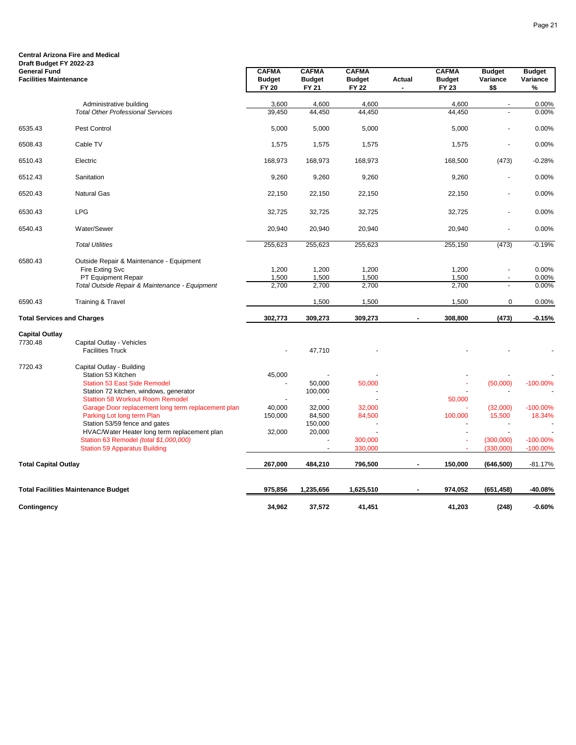#### **Central Arizona Fire and Medical Draft Budget FY 2022-23**

| <b>General Fund</b><br><b>Facilities Maintenance</b> |                                                                                | <b>CAFMA</b><br><b>Budget</b><br><b>FY 20</b> | <b>CAFMA</b><br><b>Budget</b><br>FY 21 | <b>CAFMA</b><br><b>Budget</b><br><b>FY 22</b> | Actual | <b>CAFMA</b><br><b>Budget</b><br>FY 23 | <b>Budget</b><br>Variance<br>\$\$ | <b>Budget</b><br>Variance<br>% |
|------------------------------------------------------|--------------------------------------------------------------------------------|-----------------------------------------------|----------------------------------------|-----------------------------------------------|--------|----------------------------------------|-----------------------------------|--------------------------------|
|                                                      | Administrative building                                                        | 3,600                                         | 4,600                                  | 4,600                                         |        | 4,600                                  |                                   | 0.00%                          |
|                                                      | <b>Total Other Professional Services</b>                                       | 39,450                                        | 44,450                                 | 44,450                                        |        | 44,450                                 |                                   | 0.00%                          |
| 6535.43                                              | Pest Control                                                                   | 5,000                                         | 5,000                                  | 5,000                                         |        | 5,000                                  |                                   | 0.00%                          |
| 6508.43                                              | Cable TV                                                                       | 1,575                                         | 1,575                                  | 1,575                                         |        | 1,575                                  | ä,                                | 0.00%                          |
| 6510.43                                              | Electric                                                                       | 168,973                                       | 168,973                                | 168,973                                       |        | 168,500                                | (473)                             | $-0.28%$                       |
| 6512.43                                              | Sanitation                                                                     | 9,260                                         | 9,260                                  | 9,260                                         |        | 9,260                                  | $\blacksquare$                    | 0.00%                          |
| 6520.43                                              | <b>Natural Gas</b>                                                             | 22,150                                        | 22,150                                 | 22,150                                        |        | 22,150                                 |                                   | 0.00%                          |
| 6530.43                                              | <b>LPG</b>                                                                     | 32,725                                        | 32,725                                 | 32,725                                        |        | 32,725                                 |                                   | 0.00%                          |
| 6540.43                                              | Water/Sewer                                                                    | 20,940                                        | 20,940                                 | 20,940                                        |        | 20,940                                 | ä,                                | 0.00%                          |
|                                                      | <b>Total Utilities</b>                                                         | 255,623                                       | 255,623                                | 255,623                                       |        | 255,150                                | (473)                             | $-0.19%$                       |
| 6580.43                                              | Outside Repair & Maintenance - Equipment                                       |                                               |                                        |                                               |        |                                        |                                   |                                |
|                                                      | Fire Exting Svc                                                                | 1,200                                         | 1,200                                  | 1,200                                         |        | 1,200                                  |                                   | 0.00%                          |
|                                                      | PT Equipment Repair                                                            | 1,500                                         | 1,500                                  | 1,500                                         |        | 1,500                                  |                                   | 0.00%                          |
|                                                      | Total Outside Repair & Maintenance - Equipment                                 | 2,700                                         | 2,700                                  | 2,700                                         |        | 2,700                                  |                                   | 0.00%                          |
| 6590.43                                              | <b>Training &amp; Travel</b>                                                   |                                               | 1,500                                  | 1,500                                         |        | 1,500                                  | 0                                 | 0.00%                          |
| <b>Total Services and Charges</b>                    |                                                                                | 302,773                                       | 309,273                                | 309,273                                       |        | 308,800                                | (473)                             | $-0.15%$                       |
| <b>Capital Outlay</b>                                |                                                                                |                                               |                                        |                                               |        |                                        |                                   |                                |
| 7730.48                                              | Capital Outlay - Vehicles                                                      |                                               |                                        |                                               |        |                                        |                                   |                                |
|                                                      | <b>Facilities Truck</b>                                                        |                                               | 47,710                                 |                                               |        |                                        |                                   |                                |
| 7720.43                                              | Capital Outlay - Building                                                      |                                               |                                        |                                               |        |                                        |                                   |                                |
|                                                      | Station 53 Kitchen                                                             | 45,000                                        |                                        |                                               |        |                                        |                                   |                                |
|                                                      | <b>Station 53 East Side Remodel</b>                                            |                                               | 50,000                                 | 50,000                                        |        |                                        | (50,000)                          | $-100.00\%$                    |
|                                                      | Station 72 kitchen, windows, generator                                         |                                               | 100,000                                |                                               |        |                                        |                                   |                                |
|                                                      | <b>Stattion 58 Workout Room Remodel</b>                                        |                                               |                                        |                                               |        | 50,000                                 |                                   |                                |
|                                                      | Garage Door replacement long term replacement plan                             | 40,000                                        | 32,000                                 | 32,000                                        |        |                                        | (32,000)                          | $-100.00\%$                    |
|                                                      | Parking Lot long term Plan                                                     | 150,000                                       | 84,500                                 | 84,500                                        |        | 100,000                                | 15,500                            | 18.34%                         |
|                                                      | Station 53/59 fence and gates                                                  |                                               | 150,000                                |                                               |        |                                        |                                   |                                |
|                                                      | HVAC/Water Heater long term replacement plan                                   | 32,000                                        | 20,000                                 |                                               |        | ٠.                                     |                                   |                                |
|                                                      | Station 63 Remodel (total \$1,000,000)<br><b>Station 59 Apparatus Building</b> |                                               |                                        | 300,000<br>330,000                            |        | ÷.                                     | (300,000)<br>(330,000)            | $-100.00\%$<br>$-100.00\%$     |
|                                                      |                                                                                |                                               |                                        |                                               |        |                                        |                                   |                                |
| <b>Total Capital Outlay</b>                          |                                                                                | 267,000                                       | 484,210                                | 796,500                                       |        | 150,000                                | (646, 500)                        | $-81.17%$                      |
|                                                      | <b>Total Facilities Maintenance Budget</b>                                     | 975,856                                       | 1,235,656                              | 1,625,510                                     |        | 974,052                                | (651, 458)                        | -40.08%                        |
| Contingency                                          |                                                                                | 34.962                                        | 37,572                                 | 41,451                                        |        | 41.203                                 | (248)                             | $-0.60\%$                      |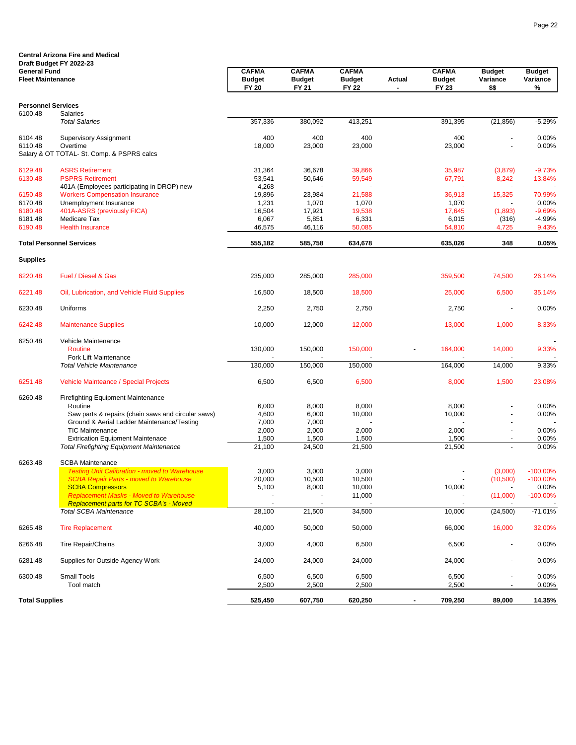|                                                 | <b>Central Arizona Fire and Medical</b><br>Draft Budget FY 2022-23                              |                                               |                                               |                                               |               |                                        |                                   |                                |
|-------------------------------------------------|-------------------------------------------------------------------------------------------------|-----------------------------------------------|-----------------------------------------------|-----------------------------------------------|---------------|----------------------------------------|-----------------------------------|--------------------------------|
| <b>General Fund</b><br><b>Fleet Maintenance</b> |                                                                                                 | <b>CAFMA</b><br><b>Budget</b><br><b>FY 20</b> | <b>CAFMA</b><br><b>Budget</b><br><b>FY 21</b> | <b>CAFMA</b><br><b>Budget</b><br><b>FY 22</b> | <b>Actual</b> | <b>CAFMA</b><br><b>Budget</b><br>FY 23 | <b>Budget</b><br>Variance<br>\$\$ | <b>Budget</b><br>Variance<br>% |
| <b>Personnel Services</b>                       |                                                                                                 |                                               |                                               |                                               |               |                                        |                                   |                                |
| 6100.48                                         | <b>Salaries</b>                                                                                 |                                               |                                               |                                               |               |                                        |                                   |                                |
|                                                 | <b>Total Salaries</b>                                                                           | 357,336                                       | 380,092                                       | 413,251                                       |               | 391,395                                | (21, 856)                         | $-5.29%$                       |
| 6104.48                                         | <b>Supervisory Assignment</b>                                                                   | 400                                           | 400                                           | 400                                           |               | 400                                    |                                   | 0.00%                          |
| 6110.48                                         | Overtime                                                                                        | 18,000                                        | 23,000                                        | 23,000                                        |               | 23,000                                 | $\blacksquare$                    | 0.00%                          |
|                                                 | Salary & OT TOTAL- St. Comp. & PSPRS calcs                                                      |                                               |                                               |                                               |               |                                        |                                   |                                |
| 6129.48                                         | <b>ASRS Retirement</b>                                                                          | 31,364                                        | 36,678                                        | 39,866                                        |               | 35,987                                 | (3,879)                           | $-9.73%$                       |
| 6130.48                                         | <b>PSPRS Retirement</b>                                                                         | 53,541                                        | 50,646                                        | 59,549                                        |               | 67,791                                 | 8,242                             | 13.84%                         |
|                                                 | 401A (Employees participating in DROP) new                                                      | 4,268                                         |                                               |                                               |               |                                        | ÷.                                |                                |
| 6150.48<br>6170.48                              | <b>Workers Compensation Insurance</b><br>Unemployment Insurance                                 | 19,896<br>1,231                               | 23,984<br>1,070                               | 21,588<br>1,070                               |               | 36,913<br>1,070                        | 15,325                            | 70.99%<br>0.00%                |
| 6180.48                                         | 401A-ASRS (previously FICA)                                                                     | 16,504                                        | 17,921                                        | 19,538                                        |               | 17,645                                 | (1,893)                           | $-9.69%$                       |
| 6181.48                                         | Medicare Tax                                                                                    | 6,067                                         | 5,851                                         | 6,331                                         |               | 6,015                                  | (316)                             | $-4.99%$                       |
| 6190.48                                         | <b>Health Insurance</b>                                                                         | 46,575                                        | 46,116                                        | 50,085                                        |               | 54,810                                 | 4,725                             | 9.43%                          |
|                                                 | <b>Total Personnel Services</b>                                                                 | 555,182                                       | 585,758                                       | 634,678                                       |               | 635,026                                | 348                               | 0.05%                          |
| <b>Supplies</b>                                 |                                                                                                 |                                               |                                               |                                               |               |                                        |                                   |                                |
| 6220.48                                         | Fuel / Diesel & Gas                                                                             | 235,000                                       | 285,000                                       | 285,000                                       |               | 359,500                                | 74,500                            | 26.14%                         |
| 6221.48                                         | Oil, Lubrication, and Vehicle Fluid Supplies                                                    | 16,500                                        | 18,500                                        | 18,500                                        |               | 25,000                                 | 6,500                             | 35.14%                         |
| 6230.48                                         | Uniforms                                                                                        | 2,250                                         | 2,750                                         | 2,750                                         |               | 2,750                                  |                                   | 0.00%                          |
| 6242.48                                         | <b>Maintenance Supplies</b>                                                                     | 10,000                                        | 12,000                                        | 12,000                                        |               | 13,000                                 | 1,000                             | 8.33%                          |
| 6250.48                                         | Vehicle Maintenance                                                                             |                                               |                                               |                                               |               |                                        |                                   |                                |
|                                                 | <b>Routine</b>                                                                                  | 130,000                                       | 150,000                                       | 150,000                                       |               | 164,000                                | 14,000                            | 9.33%                          |
|                                                 | <b>Fork Lift Maintenance</b><br><b>Total Vehicle Maintenance</b>                                | 130,000                                       | 150,000                                       | 150,000                                       |               | 164,000                                | 14,000                            | 9.33%                          |
|                                                 |                                                                                                 |                                               |                                               |                                               |               |                                        |                                   |                                |
| 6251.48                                         | Vehicle Mainteance / Special Projects                                                           | 6,500                                         | 6,500                                         | 6,500                                         |               | 8,000                                  | 1,500                             | 23.08%                         |
| 6260.48                                         | <b>Firefighting Equipment Maintenance</b>                                                       |                                               |                                               |                                               |               |                                        |                                   |                                |
|                                                 | Routine<br>Saw parts & repairs (chain saws and circular saws)                                   | 6,000<br>4,600                                | 8,000<br>6,000                                | 8,000<br>10,000                               |               | 8,000<br>10,000                        |                                   | 0.00%<br>0.00%                 |
|                                                 | Ground & Aerial Ladder Maintenance/Testing                                                      | 7,000                                         | 7,000                                         |                                               |               |                                        |                                   |                                |
|                                                 | <b>TIC Maintenance</b>                                                                          | 2,000                                         | 2,000                                         | 2,000                                         |               | 2,000                                  |                                   | 0.00%                          |
|                                                 | <b>Extrication Equipment Maintenace</b>                                                         | 1,500                                         | 1,500                                         | 1,500                                         |               | 1,500                                  |                                   | 0.00%                          |
|                                                 | <b>Total Firefighting Equipment Maintenance</b>                                                 | 21,100                                        | 24,500                                        | 21,500                                        |               | 21,500                                 |                                   | 0.00%                          |
| 6263.48                                         | <b>SCBA Maintenance</b>                                                                         |                                               |                                               |                                               |               |                                        |                                   |                                |
|                                                 | <b>I esting Unit Calibration - moved to Warehouse</b>                                           | 3,000                                         | 3,000                                         | 3,000                                         |               |                                        | (3,000)                           | $-100.00\%$                    |
|                                                 | <b>SCBA Repair Parts - moved to Warehouse</b>                                                   | 20,000                                        | 10,500                                        | 10,500                                        |               |                                        | (10,500)                          | $-100.00\%$                    |
|                                                 | <b>SCBA Compressors</b>                                                                         | 5,100                                         | 8,000                                         | 10,000                                        |               | 10,000                                 |                                   | 0.00%                          |
|                                                 | <b>Replacement Masks - Moved to Warehouse</b><br><b>Replacement parts for TC SCBA's - Moved</b> |                                               |                                               | 11,000                                        |               |                                        | (11,000)                          | $-100.00\%$                    |
|                                                 | <b>Total SCBA Maintenance</b>                                                                   | 28,100                                        | 21,500                                        | 34,500                                        |               | 10,000                                 | (24, 500)                         | $-71.01%$                      |
| 6265.48                                         | <b>Tire Replacement</b>                                                                         | 40,000                                        | 50,000                                        | 50,000                                        |               | 66,000                                 | 16,000                            | 32.00%                         |
| 6266.48                                         | <b>Tire Repair/Chains</b>                                                                       | 3,000                                         | 4,000                                         | 6,500                                         |               | 6,500                                  |                                   | 0.00%                          |
| 6281.48                                         | Supplies for Outside Agency Work                                                                | 24,000                                        | 24,000                                        | 24,000                                        |               | 24,000                                 | $\blacksquare$                    | 0.00%                          |
| 6300.48                                         | Small Tools                                                                                     | 6,500                                         | 6,500                                         | 6,500                                         |               | 6,500                                  | $\blacksquare$                    | 0.00%                          |
|                                                 | Tool match                                                                                      | 2,500                                         | 2,500                                         | 2,500                                         |               | 2,500                                  |                                   | $0.00\%$                       |
| <b>Total Supplies</b>                           |                                                                                                 | 525,450                                       | 607,750                                       | 620,250                                       |               | 709,250                                | 89,000                            | 14.35%                         |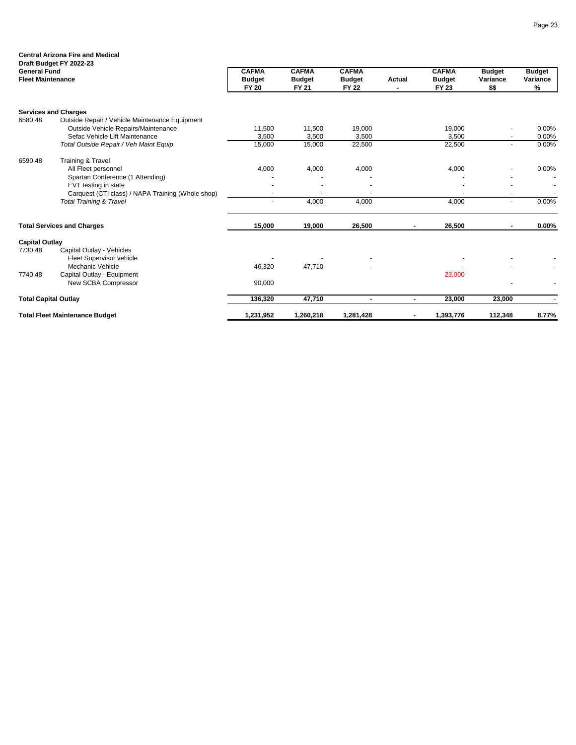|                                                 | <b>Central Arizona Fire and Medical</b>           |                                               |                                               |                                               |                |                                        |                                   |                                |
|-------------------------------------------------|---------------------------------------------------|-----------------------------------------------|-----------------------------------------------|-----------------------------------------------|----------------|----------------------------------------|-----------------------------------|--------------------------------|
| <b>General Fund</b><br><b>Fleet Maintenance</b> | Draft Budget FY 2022-23                           | <b>CAFMA</b><br><b>Budget</b><br><b>FY 20</b> | <b>CAFMA</b><br><b>Budget</b><br><b>FY 21</b> | <b>CAFMA</b><br><b>Budget</b><br><b>FY 22</b> | <b>Actual</b>  | <b>CAFMA</b><br><b>Budget</b><br>FY 23 | <b>Budget</b><br>Variance<br>\$\$ | <b>Budget</b><br>Variance<br>% |
|                                                 |                                                   |                                               |                                               |                                               |                |                                        |                                   |                                |
|                                                 | <b>Services and Charges</b>                       |                                               |                                               |                                               |                |                                        |                                   |                                |
| 6580.48                                         | Outside Repair / Vehicle Maintenance Equipment    |                                               |                                               |                                               |                |                                        |                                   |                                |
|                                                 | Outside Vehicle Repairs/Maintenance               | 11,500                                        | 11,500                                        | 19,000                                        |                | 19,000                                 |                                   | 0.00%                          |
|                                                 | Sefac Vehicle Lift Maintenance                    | 3,500                                         | 3,500                                         | 3,500                                         |                | 3,500                                  | $\blacksquare$                    | 0.00%                          |
|                                                 | Total Outside Repair / Veh Maint Equip            | 15,000                                        | 15,000                                        | 22,500                                        |                | 22,500                                 | $\sim$                            | 0.00%                          |
| 6590.48                                         | <b>Training &amp; Travel</b>                      |                                               |                                               |                                               |                |                                        |                                   |                                |
|                                                 | All Fleet personnel                               | 4,000                                         | 4,000                                         | 4,000                                         |                | 4,000                                  |                                   | 0.00%                          |
|                                                 | Spartan Conference (1 Attending)                  |                                               |                                               |                                               |                |                                        |                                   |                                |
|                                                 | EVT testing in state                              |                                               |                                               |                                               |                |                                        |                                   |                                |
|                                                 | Carquest (CTI class) / NAPA Training (Whole shop) |                                               |                                               |                                               |                |                                        | $\blacksquare$                    |                                |
|                                                 | <b>Total Training &amp; Travel</b>                |                                               | 4,000                                         | 4,000                                         |                | 4,000                                  | $\blacksquare$                    | 0.00%                          |
|                                                 | <b>Total Services and Charges</b>                 | 15,000                                        | 19,000                                        | 26,500                                        |                | 26,500                                 | ٠.                                | $0.00\%$                       |
| <b>Capital Outlay</b>                           |                                                   |                                               |                                               |                                               |                |                                        |                                   |                                |
| 7730.48                                         | Capital Outlay - Vehicles                         |                                               |                                               |                                               |                |                                        |                                   |                                |
|                                                 | Fleet Supervisor vehicle                          |                                               |                                               |                                               |                |                                        |                                   |                                |
|                                                 | Mechanic Vehicle                                  | 46,320                                        | 47,710                                        |                                               |                |                                        |                                   |                                |
| 7740.48                                         | Capital Outlay - Equipment                        |                                               |                                               |                                               |                | 23,000                                 |                                   |                                |
|                                                 | New SCBA Compressor                               | 90,000                                        |                                               |                                               |                |                                        |                                   |                                |
| <b>Total Capital Outlay</b>                     |                                                   | 136,320                                       | 47,710                                        | ۰                                             | $\blacksquare$ | 23,000                                 | 23,000                            |                                |
|                                                 | <b>Total Fleet Maintenance Budget</b>             | 1,231,952                                     | 1,260,218                                     | 1,281,428                                     |                | 1,393,776                              | 112,348                           | 8.77%                          |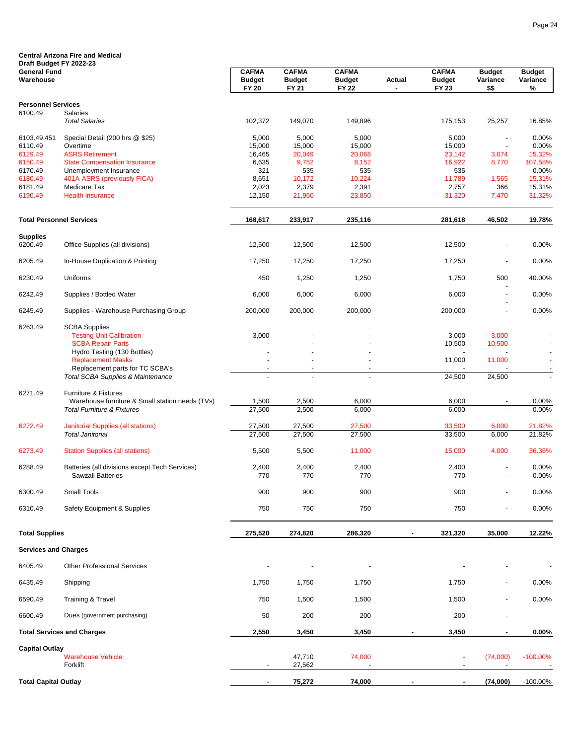| Draft Budget FY 2022-23          | <b>Central Arizona Fire and Medical</b>                                                  |                                               |                                        |                                               |        |                                        |                                      |                                |
|----------------------------------|------------------------------------------------------------------------------------------|-----------------------------------------------|----------------------------------------|-----------------------------------------------|--------|----------------------------------------|--------------------------------------|--------------------------------|
| <b>General Fund</b><br>Warehouse |                                                                                          | <b>CAFMA</b><br><b>Budget</b><br><b>FY 20</b> | <b>CAFMA</b><br><b>Budget</b><br>FY 21 | <b>CAFMA</b><br><b>Budget</b><br><b>FY 22</b> | Actual | <b>CAFMA</b><br><b>Budget</b><br>FY 23 | <b>Budget</b><br>Variance<br>\$\$    | <b>Budget</b><br>Variance<br>% |
| <b>Personnel Services</b>        |                                                                                          |                                               |                                        |                                               |        |                                        |                                      |                                |
| 6100.49                          | <b>Salaries</b><br><b>Total Salaries</b>                                                 | 102,372                                       | 149,070                                | 149,896                                       |        | 175,153                                | 25,257                               | 16.85%                         |
| 6103.49.451                      | Special Detail (200 hrs @ \$25)                                                          | 5,000                                         | 5,000                                  | 5,000                                         |        | 5,000                                  | $\blacksquare$                       | 0.00%                          |
| 6110.49<br>6129.49               | Overtime<br><b>ASRS Retirement</b>                                                       | 15,000<br>16,465                              | 15,000<br>20,049                       | 15,000<br>20,068                              |        | 15,000<br>23,142                       | $\blacksquare$<br>3,074              | 0.00%<br>15.32%                |
| 6150.49                          | <b>State Compensation Insurance</b>                                                      | 6,635                                         | 9,752                                  | 8,152                                         |        | 16,922                                 | 8,770                                | 107.58%                        |
| 6170.49                          | Unemployment Insurance                                                                   | 321                                           | 535                                    | 535                                           |        | 535                                    |                                      | 0.00%                          |
| 6180.49<br>6181.49               | 401A-ASRS (previously FICA)<br>Medicare Tax                                              | 8,651<br>2,023                                | 10,172<br>2,379                        | 10,224<br>2,391                               |        | 11,789<br>2,757                        | 1,565<br>366                         | 15.31%<br>15.31%               |
| 6190.49                          | <b>Health Insurance</b>                                                                  | 12,150                                        | 21,960                                 | 23,850                                        |        | 31,320                                 | 7,470                                | 31.32%                         |
| <b>Total Personnel Services</b>  |                                                                                          | 168,617                                       | 233,917                                | 235,116                                       |        | 281,618                                | 46,502                               | 19.78%                         |
| <b>Supplies</b><br>6200.49       | Office Supplies (all divisions)                                                          | 12,500                                        | 12,500                                 | 12,500                                        |        | 12,500                                 |                                      | 0.00%                          |
| 6205.49                          | In-House Duplication & Printing                                                          | 17,250                                        | 17,250                                 | 17,250                                        |        | 17,250                                 |                                      | 0.00%                          |
| 6230.49                          | Uniforms                                                                                 | 450                                           | 1,250                                  | 1,250                                         |        | 1,750                                  | 500                                  | 40.00%                         |
| 6242.49                          | Supplies / Bottled Water                                                                 | 6,000                                         | 6,000                                  | 6,000                                         |        | 6,000                                  |                                      | 0.00%                          |
| 6245.49                          | Supplies - Warehouse Purchasing Group                                                    | 200,000                                       | 200,000                                | 200,000                                       |        | 200,000                                |                                      | 0.00%                          |
| 6263.49                          | <b>SCBA Supplies</b>                                                                     |                                               |                                        |                                               |        |                                        |                                      |                                |
|                                  | <b>Testing Unit Calibration</b>                                                          | 3,000                                         |                                        |                                               |        | 3,000                                  | 3,000                                |                                |
|                                  | <b>SCBA Repair Parts</b><br>Hydro Testing (130 Bottles)                                  |                                               |                                        |                                               |        | 10,500                                 | 10,500                               |                                |
|                                  | <b>Replacement Masks</b>                                                                 |                                               |                                        |                                               |        | 11,000                                 | 11,000                               |                                |
|                                  | Replacement parts for TC SCBA's<br><b>Total SCBA Supplies &amp; Maintenance</b>          |                                               |                                        |                                               |        | 24,500                                 | 24,500                               | $\blacksquare$                 |
| 6271.49                          | Furniture & Fixtures                                                                     |                                               |                                        |                                               |        |                                        |                                      |                                |
|                                  | Warehouse furniture & Small station needs (TVs)<br><b>Total Furniture &amp; Fixtures</b> | 1,500<br>27,500                               | 2,500<br>2,500                         | 6,000<br>6,000                                |        | 6,000<br>6,000                         |                                      | 0.00%<br>0.00%                 |
|                                  |                                                                                          |                                               |                                        |                                               |        |                                        |                                      |                                |
| 6272.49                          | <b>Janitorial Supplies (all stations)</b><br><b>Total Janitorial</b>                     | 27,500<br>27,500                              | 27,500<br>27,500                       | 27,500<br>27,500                              |        | 33,500<br>33,500                       | 6,000<br>6,000                       | 21.82%<br>21.82%               |
| 6273.49                          | <b>Station Supplies (all stations)</b>                                                   | 5,500                                         | 5,500                                  | 11,000                                        |        | 15,000                                 | 4,000                                | 36.36%                         |
| 6288.49                          | Batteries (all divisions except Tech Services)                                           | 2,400                                         | 2,400                                  | 2,400                                         |        | 2,400                                  |                                      | 0.00%                          |
|                                  | <b>Sawzall Batteries</b>                                                                 | 770                                           | 110                                    | 770                                           |        | 770                                    |                                      | 0.00%                          |
| 6300.49                          | <b>Small Tools</b>                                                                       | 900                                           | 900                                    | 900                                           |        | 900                                    | $\blacksquare$                       | 0.00%                          |
| 6310.49                          | Safety Equipment & Supplies                                                              | 750                                           | 750                                    | 750                                           |        | 750                                    | $\overline{\phantom{a}}$             | 0.00%                          |
| <b>Total Supplies</b>            |                                                                                          | 275,520                                       | 274,820                                | 286,320                                       |        | 321,320                                | 35,000                               | 12.22%                         |
| <b>Services and Charges</b>      |                                                                                          |                                               |                                        |                                               |        |                                        |                                      |                                |
| 6405.49                          | <b>Other Professional Services</b>                                                       |                                               |                                        |                                               |        |                                        |                                      |                                |
| 6435.49                          | Shipping                                                                                 | 1,750                                         | 1,750                                  | 1,750                                         |        | 1,750                                  |                                      | 0.00%                          |
| 6590.49                          | <b>Training &amp; Travel</b>                                                             | 750                                           | 1,500                                  | 1,500                                         |        | 1,500                                  |                                      | 0.00%                          |
| 6600.49                          | Dues (government purchasing)                                                             | 50                                            | 200                                    | 200                                           |        | 200                                    |                                      |                                |
|                                  | <b>Total Services and Charges</b>                                                        | 2,550                                         | 3,450                                  | 3,450                                         |        | 3,450                                  |                                      | $0.00\%$                       |
| <b>Capital Outlay</b>            | <b>Warehouse Vehicle</b><br>Forklift                                                     |                                               | 47,710<br>27,562                       | 74,000                                        |        | ÷<br>$\overline{\phantom{a}}$          | (74,000)<br>$\overline{\phantom{a}}$ | $-100.00\%$                    |
| <b>Total Capital Outlay</b>      |                                                                                          | $\blacksquare$                                | 75,272                                 | 74,000                                        |        | $\blacksquare$                         | (74,000)                             | $-100.00\%$                    |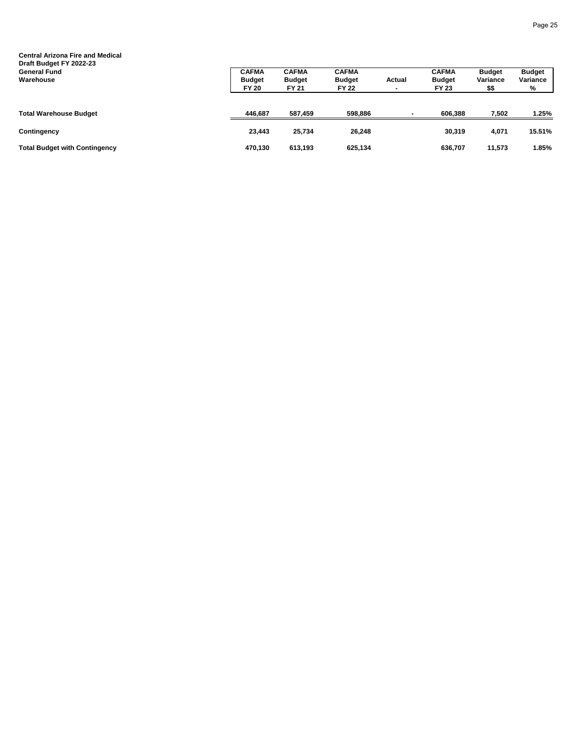| <b>Central Arizona Fire and Medical</b><br>Draft Budget FY 2022-23<br><b>General Fund</b> | <b>CAFMA</b>                  | <b>CAFMA</b>                  | <b>CAFMA</b>                  |        | <b>CAFMA</b>           | <b>Budget</b>    | <b>Budget</b> |
|-------------------------------------------------------------------------------------------|-------------------------------|-------------------------------|-------------------------------|--------|------------------------|------------------|---------------|
| Warehouse                                                                                 | <b>Budget</b><br><b>FY 20</b> | <b>Budget</b><br><b>FY 21</b> | <b>Budget</b><br><b>FY 22</b> | Actual | <b>Budget</b><br>FY 23 | Variance<br>\$\$ | Variance<br>% |
| <b>Total Warehouse Budget</b>                                                             | 446,687                       | 587,459                       | 598,886                       |        | 606.388                | 7,502            | 1.25%         |
| Contingency                                                                               | 23,443                        | 25.734                        | 26.248                        |        | 30,319                 | 4,071            | 15.51%        |
| <b>Total Budget with Contingency</b>                                                      | 470,130                       | 613,193                       | 625,134                       |        | 636,707                | 11,573           | 1.85%         |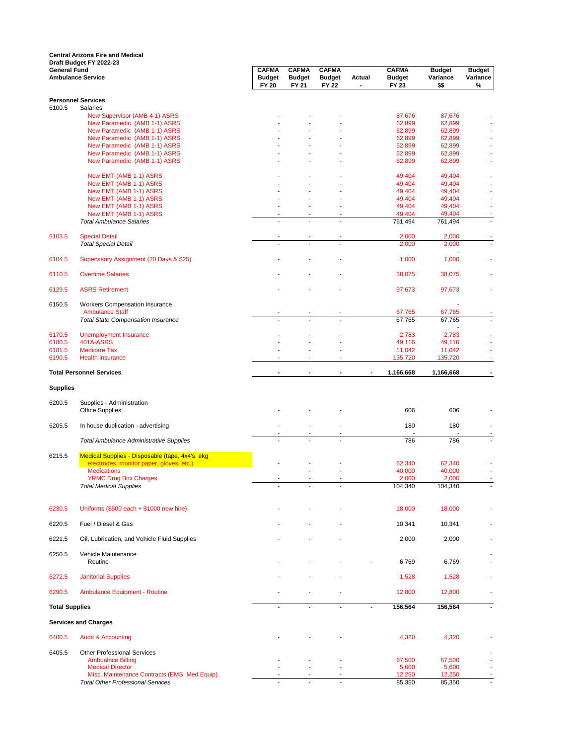**General Fund CAFMA CAFMA CAFMA CAFMA Budget Budget Ambulance Service Budget Budget Budget Actual Budget Variance Variance FY 20 FY 21 FY 22 - FY 23 \$\$ % Personnel Services**<br>6100.5 Salaries Salaries<sup>.</sup> New Supervisor (AMB 4-1) ASRS - - - 87,676 87,676 - New Paramedic (AMB 1-1) ASRS 62,899 62,899 62,899 62,899 62,899 62,899 62,899 62,899 62,899 62,899 62,899 62,89 New Paramedic (AMB 1-1) ASRS 62,899 62,899 62,899 62,899 62,899 62,899 62,899 62,899 62,899 62,899 62,899 62,899 62,899 62,899 62,899 62,899 62,899 62,899 62,899 62,899 62,899 62,899 62,899 62,899 62,899 62,899 62,899 62,8 New Paramedic (AMB 1-1) ASRS 62,899 62,899 62,899 62,899 62,899 62,899 62,899 62,899 62,899 62,899 62,899 62,899 62,899 62,899 62,899 62,899 62,899 62,899 62,899 62,899 62,899 62,899 62,899 62,899 62,899 62,899 62,899 62,8 New Paramedic (AMB 1-1) ASRS 62,899 62,899 62,899 62,899 62,899 62,899 62,899 62,899 62,899 62,899 62,899 62,899 62,899 62,899 62,899 62,899 62,899 62,899 62,899 62,899 62,899 62,899 62,899 62,899 62,899 62,899 62,899 62,8 New Paramedic (AMB 1-1) ASRS 62,899 62,899 62,899 62,899 62,899 62,899 62,899 62,899 62,899 62,899 62,899 62,899 62,899 62,899 62,899 62,899 62,899 62,899 62,899 62,899 62,899 62,899 62,899 62,899 62,899 62,899 62,899 62,8 New Paramedic (AMB 1-1) ASRS New EMT (AMB 1-1) ASRS 49,404 49,404 49,404 49,404 49,404 49,404 49,404 49,404 49,404 49,404 49,404 49,404 49,404 49,404 49,404 49,404 49,404 49,404 49,404 49,404 49,404 49,404 49,404 49,404 49,404 49,404 49,404 49,404 49, New EMT (AMB 1-1) ASRS 49,404 49,404 49,404 49,404 49,404 49,404 49,404 49,404 49,404 49,404 49,404 49,404 49,404 49,404 49,404 49,404 49,404 49,404 49,404 49,404 49,404 49,404 49,404 49,404 49,404 49,404 49,404 49,404 49, New EMT (AMB 1-1) ASRS 49,404 49,404 49,404 49,404 49,404 49,404 49,404 49,404 49,404 49,404 49,404 49,404 49,404 49,404 49,404 49,404 49,404 49,404 49,404 49,404 49,404 49,404 49,404 49,404 49,404 49,404 49,404 49,404 49, New EMT (AMB 1-1) ASRS 49,404 49,404 49,404 49,404 49,404 49,404 49,404 49,404 49,404 49,404 49,404 49,404 49,404 49,404 49,404 49,404 49,404 49,404 49,404 49,404 49,404 49,404 49,404 49,404 49,404 49,404 49,404 49,404 49, New EMT (AMB 1-1) ASRS 49,404 49,404 49,404 49,404 49,404 49,404 49,404 49,404 49,404 49,404 49,404 49,404 49,404 49,404 49,404 49,404 49,404 49,404 49,404 49,404 49,404 49,404 49,404 49,404 49,404 49,404 49,404 49,404 49, New EMT (AMB 1-1) ASRS 49,404 49,404 49,404 49,404 49,404 49,404 49,404 49,404 49,404 49,404 49,404 49,404 49,404 49,404 49,404 49,404 49,404 49,404 49,404 49,404 49,404 49,404 49,404 49,404 49,404 49,404 49,404 49,404 49, **Total Ambulance Salaries**  - <sup>2</sup> 6103.5 Special Detail - - - 2,000 2,000 - *Total Special Detail* - - - 2,000 2,000 -  $1,000$ 6104.5 Supervisory Assignment (20 Days & \$25) 4,000 1,000 1,000 1,000 1,000 1,000 1,000 1,000 1,000 1,000 1,000 6110.5 Overtime Salaries - - - 38,075 38,075 - 6129.5 ASRS Retirement - - - - - - - - - - - - 97,673 97,673 - - - - - - - - - - - 97,673 97,673 - - - - - - -6150.5 Workers Compensation Insurance - Ambulance Staff - - - 67,765 67,765 - *Total State Compensation Insurance* - - - 67,765 67,765 - - 100 minutes 8170.5 Unemployment Insurance 1999 12,783 2,783 2,783 2,783 2,783 2,783 2,783 2,783 2,783 2,783 2,783 2,783 2,783 2,783 2,783 2,783 2,783 2,783 2,783 2,783 2,783 2,783 2,783 2,783 2,783 2,783 2,783 2,783 2,783 2,783 2,783 6180.5 401A-ASRS - - - 49,116 49,116 - 6181.5 Medicare Tax - - - 11,042 11,042 - 6190.5 Health Insurance - - - 135,720 135,720 - **Total Personnel Services - - - - 1,166,668 1,166,668 - Supplies** 6200.5 Supplies - Administration Office Supplies - - - 606 606 - 6205.5 In house duplication - advertising contract the contract of the contract of the contract of the contract of the contract of the contract of the contract of the contract of the contract of the contract of the contrac - - - - - - *Total Ambulance Administrative Supplies* - - - 786 786 - 6215.5 Medical Supplies - Disposable (tape, 4x4's, ekg electrodes, monitor paper, gloves, etc.) - - - 62,340 62,340 -  $\blacksquare$ Medications - -  $\blacksquare$  -  $\blacksquare$  -  $\blacksquare$  -  $\blacksquare$  -  $\blacksquare$  -  $\blacksquare$  -  $\blacksquare$  -  $\blacksquare$  -  $\blacksquare$  -  $\blacksquare$  -  $\blacksquare$  -  $\blacksquare$  -  $\blacksquare$  -  $\blacksquare$  -  $\blacksquare$  -  $\blacksquare$  -  $\blacksquare$  -  $\blacksquare$  -  $\blacksquare$  -  $\blacksquare$  -  $\blacksquare$  -  $\blacksquare$  - PRIMC Drug Box Charges<br>  $\frac{2,000}{2,000}$ <br>  $\frac{2,000}{2,000}$ <br>  $\frac{2,000}{2,000}$ <br>  $\frac{2,000}{2,000}$ <br>  $\frac{2,000}{2,000}$ **Total Medical Supplies 104,440 104,440 104,440 104,440 104,440 104,440 104,440 104,440 104,440 104,440 104,440 104,440 104,440 104,440 104,440 104,440 104,440 104,440 104,440 104,440 104,440 104,440 104,440 104,440 104,** 6230.5 Uniforms (\$500 each + \$1000 new hire) - - - - - - - - - - - - - - - 18,000 18,000 18,000 18,000 18,000 18,000 18,000 18,000 18,000 18,000 18,000 18,000 18,000 18,000 18,000 18,000 18,000 18,000 18,000 18,000 18,000 6220.5 Fuel / Diesel & Gas - - - 10,341 10,341 - 6221.5 Oil, Lubrication, and Vehicle Fluid Supplies - - - 2,000 2,000 example of the United States of the States of the States of the States of the States of the States of the States of the States of the States of the States of the States of the States of the States of the States of the Stat Routine - - - - 6,769 6,769 - 6272.5 Janitorial Supplies - - - 1,528 1,528 - 6290.5 Ambulance Equipment - Routine - - - 12,800 12,800 - **Total Supplies - - - - 156,564 156,564 - Services and Charges** 6400.5 Audit & Accounting - - - 4,320 4,320 - 6405.5 Other Professional Services - Ambualnce Billing - - - 67,500 67,500 - Medical Director - - - 5,600 5,600 5,600 5,600 5,600 5,600 5,600 5,600 5,600 5,600 5,600 5,600 5,600 5,600 5,600 5,600 5,600 5,600 5,600 5,600 5,600 5,600 5,600 5,600 5,600 5,600 5,600 5,600 5,600 5,600 5,600 5,600 5,600 5 Misc. Maintenance Contracts (EMS, Med Equip).<br>
Misc. Maintenance Contracts (EMS, Med Equip).<br>
12,250 12,250 12,250 12,250 12,250 12,250 12,250 12,250 12,250 **Total Other Professional Services Central Arizona Fire and Medical Draft Budget FY 2022-23**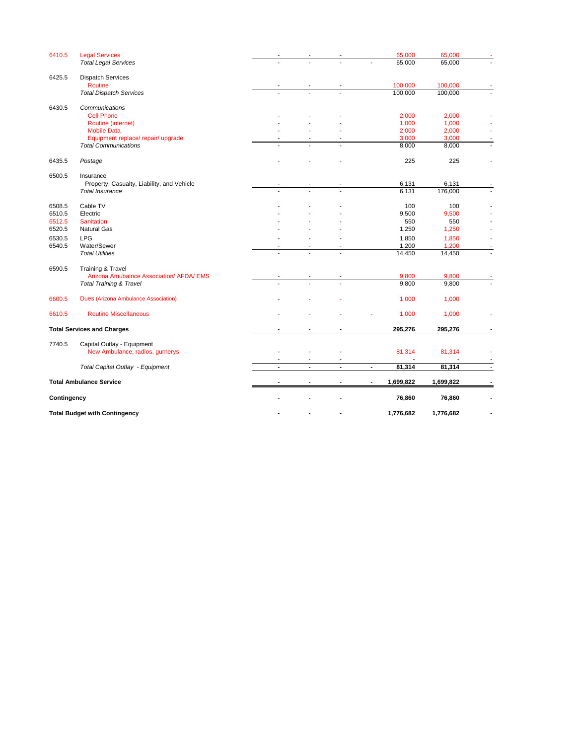| 6410.5      | <b>Legal Services</b>                      |                          |                |                          | 65,000                   | 65,000    |  |
|-------------|--------------------------------------------|--------------------------|----------------|--------------------------|--------------------------|-----------|--|
|             | <b>Total Legal Services</b>                |                          |                |                          | 65,000                   | 65,000    |  |
| 6425.5      | <b>Dispatch Services</b>                   |                          |                |                          |                          |           |  |
|             | Routine                                    |                          |                |                          | 100,000                  | 100,000   |  |
|             | <b>Total Dispatch Services</b>             |                          |                |                          | 100,000                  | 100,000   |  |
| 6430.5      | Communications                             |                          |                |                          |                          |           |  |
|             | <b>Cell Phone</b>                          |                          |                |                          | 2,000                    | 2,000     |  |
|             | Routine (internet)                         |                          |                |                          | 1,000                    | 1,000     |  |
|             | <b>Mobile Data</b>                         |                          |                |                          | 2,000                    | 2,000     |  |
|             | Equipment replace/ repair/ upgrade         |                          |                |                          | 3,000                    | 3,000     |  |
|             | <b>Total Communications</b>                |                          |                |                          | 8,000                    | 8,000     |  |
| 6435.5      | Postage                                    |                          |                |                          | 225                      | 225       |  |
| 6500.5      | Insurance                                  |                          |                |                          |                          |           |  |
|             | Property, Casualty, Liability, and Vehicle |                          |                |                          | 6,131                    | 6,131     |  |
|             | <b>Total Insurance</b>                     |                          |                |                          | 6,131                    | 176,000   |  |
| 6508.5      | Cable TV                                   |                          |                |                          | 100                      | 100       |  |
| 6510.5      | Electric                                   |                          |                |                          | 9,500                    | 9,500     |  |
| 6512.5      | <b>Sanitation</b>                          |                          |                |                          | 550                      | 550       |  |
| 6520.5      | <b>Natural Gas</b>                         |                          |                |                          | 1,250                    | 1,250     |  |
| 6530.5      | <b>LPG</b>                                 |                          |                |                          | 1,850                    | 1,850     |  |
| 6540.5      | Water/Sewer                                |                          |                |                          | 1,200                    | 1,200     |  |
|             | <b>Total Utilities</b>                     |                          |                |                          | 14,450                   | 14,450    |  |
|             |                                            |                          |                |                          |                          |           |  |
| 6590.5      | <b>Training &amp; Travel</b>               |                          |                |                          |                          |           |  |
|             | Arizona Amubalnce Association/ AFDA/ EMS   |                          |                |                          | 9,800                    | 9,800     |  |
|             | <b>Total Training &amp; Travel</b>         |                          |                |                          | 9,800                    | 9,800     |  |
| 6600.5      | Dues (Arizona Ambulance Association)       |                          |                |                          | 1,000                    | 1,000     |  |
| 6610.5      | <b>Routine Miscellaneous</b>               |                          |                |                          | 1,000                    | 1,000     |  |
|             | <b>Total Services and Charges</b>          | $\blacksquare$           | $\blacksquare$ | $\blacksquare$           | 295,276                  | 295,276   |  |
| 7740.5      | Capital Outlay - Equipment                 |                          |                |                          |                          |           |  |
|             | New Ambulance, radios, gurnerys            | $\overline{\phantom{a}}$ | $\blacksquare$ | $\overline{\phantom{a}}$ | 81,314                   | 81,314    |  |
|             | Total Capital Outlay - Equipment           | $\blacksquare$           | $\blacksquare$ | $\blacksquare$           | 81,314<br>$\blacksquare$ | 81,314    |  |
|             | <b>Total Ambulance Service</b>             |                          |                |                          | 1,699,822                | 1,699,822 |  |
|             |                                            |                          |                |                          |                          |           |  |
| Contingency |                                            |                          |                |                          | 76,860                   | 76,860    |  |
|             | <b>Total Budget with Contingency</b>       |                          |                |                          | 1,776,682<br>1,776,682   |           |  |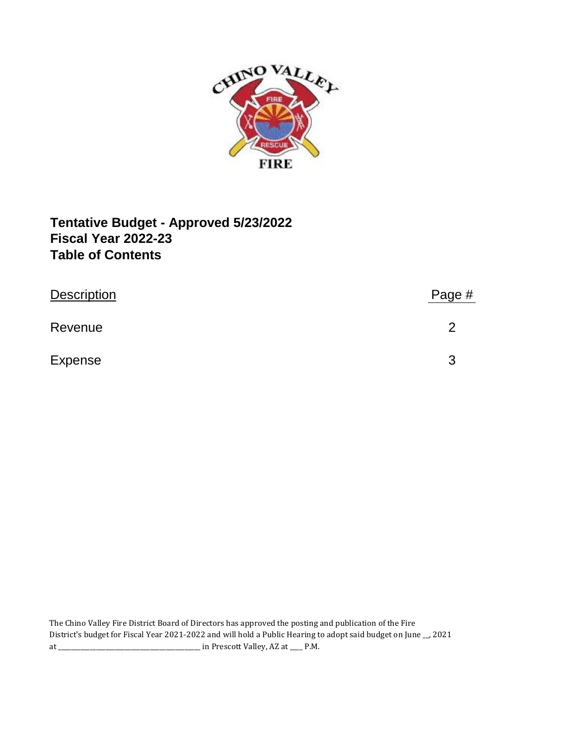

# **Fiscal Year 2022-23 Tentative Budget - Approved 5/23/2022 Table of Contents**

| <b>Description</b> | Page # |
|--------------------|--------|
| Revenue            |        |
| <b>Expense</b>     | 3      |

The Chino Valley Fire District Board of Directors has approved the posting and publication of the Fire District's budget for Fiscal Year 2021-2022 and will hold a Public Hearing to adopt said budget on June \_\_, 2021 at \_\_\_\_\_\_\_\_\_\_\_\_\_\_\_\_\_\_\_\_\_\_\_\_\_\_\_\_\_\_\_\_\_\_\_\_\_\_\_\_\_\_\_\_\_ in Prescott Valley, AZ at \_\_\_\_ P.M.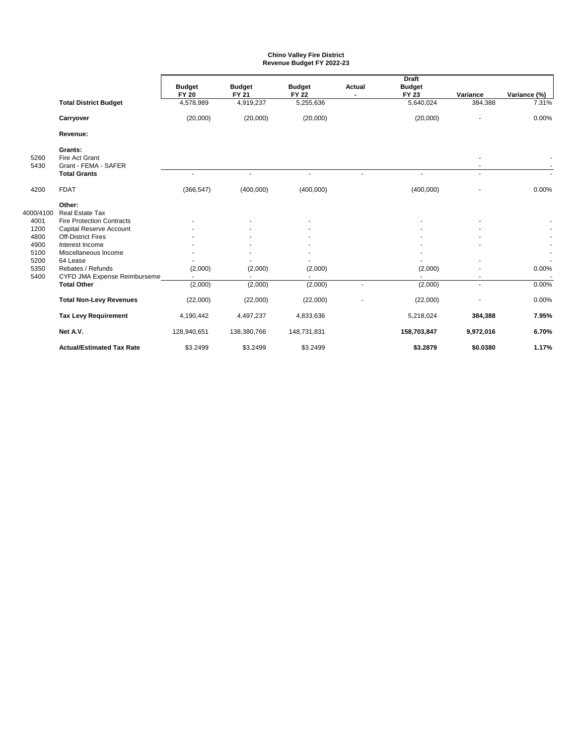#### **Chino Valley Fire District Revenue Budget FY 2022-23**

|              |                                                   |               | <b>Draft</b>  |                |                |               |           |              |
|--------------|---------------------------------------------------|---------------|---------------|----------------|----------------|---------------|-----------|--------------|
|              |                                                   | <b>Budget</b> | <b>Budget</b> | <b>Budget</b>  | <b>Actual</b>  | <b>Budget</b> |           |              |
|              |                                                   | <b>FY 20</b>  | FY 21         | <b>FY 22</b>   |                | FY 23         | Variance  | Variance (%) |
|              | <b>Total District Budget</b>                      | 4,578,989     | 4,919,237     | 5,255,636      |                | 5,640,024     | 384,388   | 7.31%        |
|              | Carryover                                         | (20,000)      | (20,000)      | (20,000)       |                | (20,000)      |           | 0.00%        |
|              | Revenue:                                          |               |               |                |                |               |           |              |
| 5260<br>5430 | Grants:<br>Fire Act Grant<br>Grant - FEMA - SAFER |               |               |                |                |               |           |              |
|              | <b>Total Grants</b>                               |               | ÷.            | $\overline{a}$ |                |               | ÷.        |              |
|              |                                                   |               |               |                |                |               |           |              |
| 4200         | <b>FDAT</b>                                       | (366, 547)    | (400,000)     | (400,000)      |                | (400,000)     |           | 0.00%        |
|              | Other:                                            |               |               |                |                |               |           |              |
| 4000/4100    | Real Estate Tax                                   |               |               |                |                |               |           |              |
| 4001         | <b>Fire Protection Contracts</b>                  |               |               |                |                |               |           |              |
| 1200         | Capital Reserve Account                           |               |               |                |                |               |           |              |
| 4800         | <b>Off-District Fires</b>                         |               |               |                |                |               |           |              |
| 4900         | Interest Income                                   |               |               |                |                |               |           |              |
| 5100         | Miscellaneous Income                              |               |               |                |                |               |           |              |
| 5200         | 64 Lease                                          |               |               |                |                |               |           |              |
| 5350         | Rebates / Refunds                                 | (2,000)       | (2,000)       | (2,000)        |                | (2,000)       |           | 0.00%        |
| 5400         | CYFD JMA Expense Reimburseme                      |               | ٠             | $\overline{a}$ |                |               | ۰         |              |
|              | <b>Total Other</b>                                | (2,000)       | (2,000)       | (2,000)        | $\overline{a}$ | (2,000)       | ÷.        | 0.00%        |
|              | <b>Total Non-Levy Revenues</b>                    | (22,000)      | (22,000)      | (22,000)       |                | (22,000)      |           | 0.00%        |
|              | <b>Tax Levy Requirement</b>                       | 4,190,442     | 4,497,237     | 4,833,636      |                | 5,218,024     | 384,388   | 7.95%        |
|              | Net A.V.                                          | 128,940,651   | 138,380,766   | 148,731,831    |                | 158,703,847   | 9,972,016 | 6.70%        |
|              | <b>Actual/Estimated Tax Rate</b>                  | \$3.2499      | \$3.2499      | \$3.2499       |                | \$3.2879      | \$0.0380  | 1.17%        |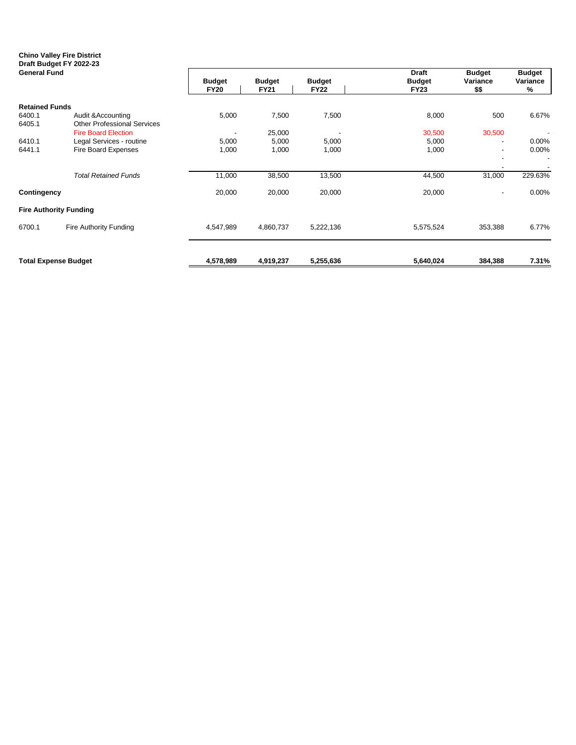## **Chino Valley Fire District Draft Budget FY 2022-23**

| <b>General Fund</b>   |                                    | <b>Budget</b><br><b>FY20</b> | <b>Budget</b><br><b>FY21</b> | <b>Budget</b><br><b>FY22</b> | <b>Draft</b><br><b>Budget</b><br><b>FY23</b> | <b>Budget</b><br>Variance<br>\$\$ | <b>Budget</b><br>Variance<br>% |
|-----------------------|------------------------------------|------------------------------|------------------------------|------------------------------|----------------------------------------------|-----------------------------------|--------------------------------|
| <b>Retained Funds</b> |                                    |                              |                              |                              |                                              |                                   |                                |
| 6400.1                | Audit & Accounting                 | 5,000                        | 7,500                        | 7,500                        | 8,000                                        | 500                               | 6.67%                          |
| 6405.1                | <b>Other Professional Services</b> |                              |                              |                              |                                              |                                   |                                |
|                       | <b>Fire Board Election</b>         | $\overline{\phantom{a}}$     | 25,000                       |                              | 30,500                                       | 30,500                            |                                |
| 6410.1                | Legal Services - routine           | 5,000                        | 5,000                        | 5,000                        | 5,000                                        | $\overline{\phantom{a}}$          | $0.00\%$                       |
| 6441.1                | Fire Board Expenses                | 1,000                        | 1,000                        | 1,000                        | 1,000                                        | $\sim$                            | $0.00\%$                       |
|                       |                                    |                              |                              |                              |                                              |                                   |                                |
|                       | <b>Total Retained Funds</b>        | 11,000                       | 38,500                       | 13,500                       | 44,500                                       | 31,000                            | 229.63%                        |
| Contingency           |                                    | 20,000                       | 20,000                       | 20,000                       | 20,000                                       | $\sim$                            | 0.00%                          |
|                       | <b>Fire Authority Funding</b>      |                              |                              |                              |                                              |                                   |                                |
| 6700.1                | Fire Authority Funding             | 4,547,989                    | 4,860,737                    | 5,222,136                    | 5,575,524                                    | 353,388                           | 6.77%                          |
|                       | <b>Total Expense Budget</b>        | 4,578,989                    | 4,919,237                    | 5,255,636                    | 5,640,024                                    | 384,388                           | 7.31%                          |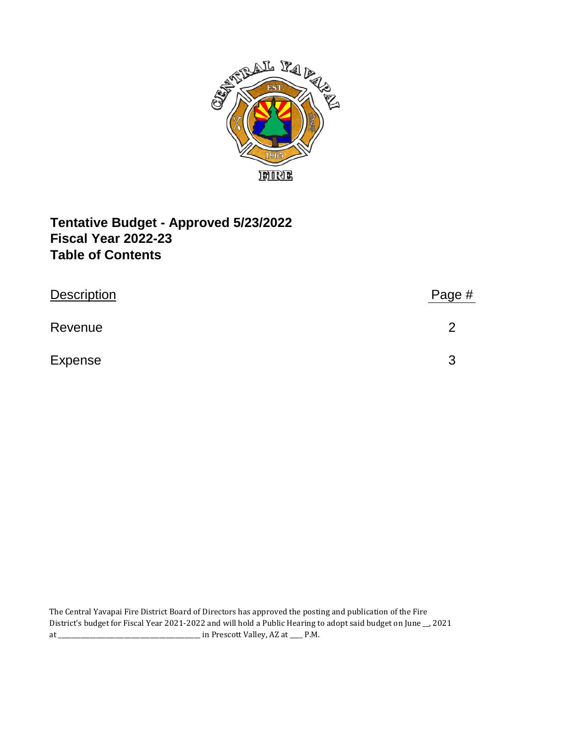

# **Fiscal Year 2022-23 Tentative Budget - Approved 5/23/2022 Table of Contents**

| <b>Description</b> | Page # |
|--------------------|--------|
| Revenue            | G      |
| <b>Expense</b>     | 3      |

The Central Yavapai Fire District Board of Directors has approved the posting and publication of the Fire District's budget for Fiscal Year 2021-2022 and will hold a Public Hearing to adopt said budget on June \_\_, 2021 at \_\_\_\_\_\_\_\_\_\_\_\_\_\_\_\_\_\_\_\_\_\_\_\_\_\_\_\_\_\_\_\_\_\_\_\_\_\_\_\_\_\_\_\_\_ in Prescott Valley, AZ at \_\_\_\_ P.M.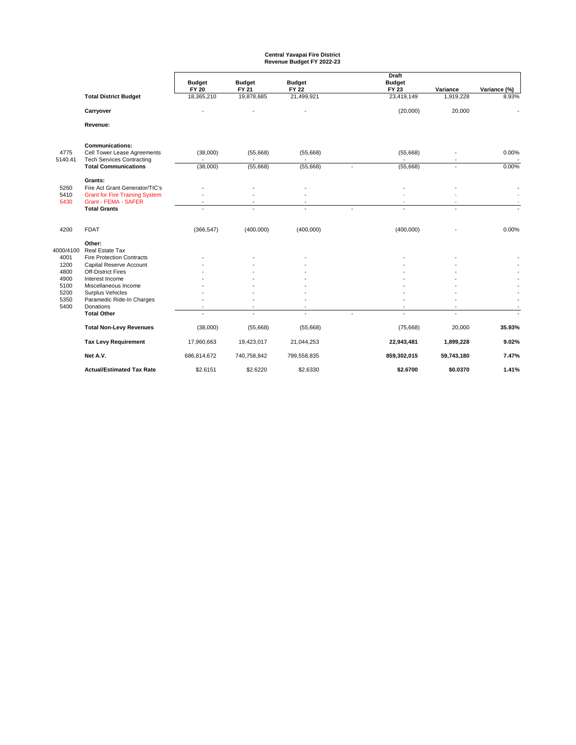# **Central Yavapai Fire District Revenue Budget FY 2022-23**

|                      |                                                                                                                                          | <b>Budget</b><br><b>FY 20</b> | <b>Budget</b><br><b>FY 21</b> | <b>Budget</b><br><b>FY 22</b>              |                | <b>Draft</b><br><b>Budget</b><br>FY 23 | Variance            | Variance (%) |
|----------------------|------------------------------------------------------------------------------------------------------------------------------------------|-------------------------------|-------------------------------|--------------------------------------------|----------------|----------------------------------------|---------------------|--------------|
|                      | <b>Total District Budget</b>                                                                                                             | 18,365,210                    | 19,878,685                    | 21,499,921                                 |                | 23,419,149                             | 1,919,228           | 8.93%        |
|                      | Carryover                                                                                                                                |                               |                               |                                            |                | (20,000)                               | 20,000              |              |
|                      | Revenue:                                                                                                                                 |                               |                               |                                            |                |                                        |                     |              |
| 4775<br>5140.41      | <b>Communications:</b><br>Cell Tower Lease Agreements<br><b>Tech Services Contracting</b>                                                | (38,000)                      | (55,668)                      | (55,668)                                   |                | (55,668)                               |                     | 0.00%        |
|                      | <b>Total Communications</b>                                                                                                              | (38,000)                      | (55,668)                      | (55,668)                                   | $\overline{a}$ | (55,668)                               | $\sim$              | 0.00%        |
| 5260<br>5410<br>5430 | Grants:<br>Fire Act Grant Generator/TIC's<br><b>Grant for Fire Training System</b><br><b>Grant - FEMA - SAFER</b><br><b>Total Grants</b> |                               |                               | $\overline{\phantom{a}}$<br>$\overline{a}$ |                |                                        | ٠<br>$\overline{a}$ |              |
| 4200                 | <b>FDAT</b>                                                                                                                              | (366, 547)                    | (400,000)                     | (400,000)                                  |                | (400,000)                              |                     | 0.00%        |
| 4000/4100            | Other:<br>Real Estate Tax                                                                                                                |                               |                               |                                            |                |                                        |                     |              |
| 4001                 | <b>Fire Protection Contracts</b>                                                                                                         |                               |                               |                                            |                |                                        |                     |              |
| 1200<br>4800         | Capital Reserve Account<br><b>Off-District Fires</b>                                                                                     |                               |                               |                                            |                |                                        |                     |              |
| 4900                 | Interest Income                                                                                                                          |                               |                               |                                            |                |                                        |                     |              |
| 5100                 | Miscellaneous Income                                                                                                                     |                               |                               |                                            |                |                                        |                     |              |
| 5200                 | Surplus Vehicles                                                                                                                         |                               |                               |                                            |                |                                        |                     |              |
| 5350                 | Paramedic Ride-In Charges                                                                                                                |                               |                               |                                            |                |                                        |                     |              |
| 5400                 | Donations                                                                                                                                |                               |                               | $\overline{\phantom{a}}$                   |                |                                        |                     |              |
|                      | <b>Total Other</b>                                                                                                                       |                               |                               |                                            |                |                                        |                     |              |
|                      | <b>Total Non-Levy Revenues</b>                                                                                                           | (38,000)                      | (55,668)                      | (55,668)                                   |                | (75, 668)                              | 20,000              | 35.93%       |
|                      | <b>Tax Levy Requirement</b>                                                                                                              | 17,960,663                    | 19,423,017                    | 21,044,253                                 |                | 22,943,481                             | 1,899,228           | 9.02%        |
|                      | Net A.V.                                                                                                                                 | 686,814,672                   | 740,758,842                   | 799,558,835                                |                | 859,302,015                            | 59,743,180          | 7.47%        |
|                      | <b>Actual/Estimated Tax Rate</b>                                                                                                         | \$2.6151                      | \$2.6220                      | \$2.6330                                   |                | \$2.6700                               | \$0.0370            | 1.41%        |